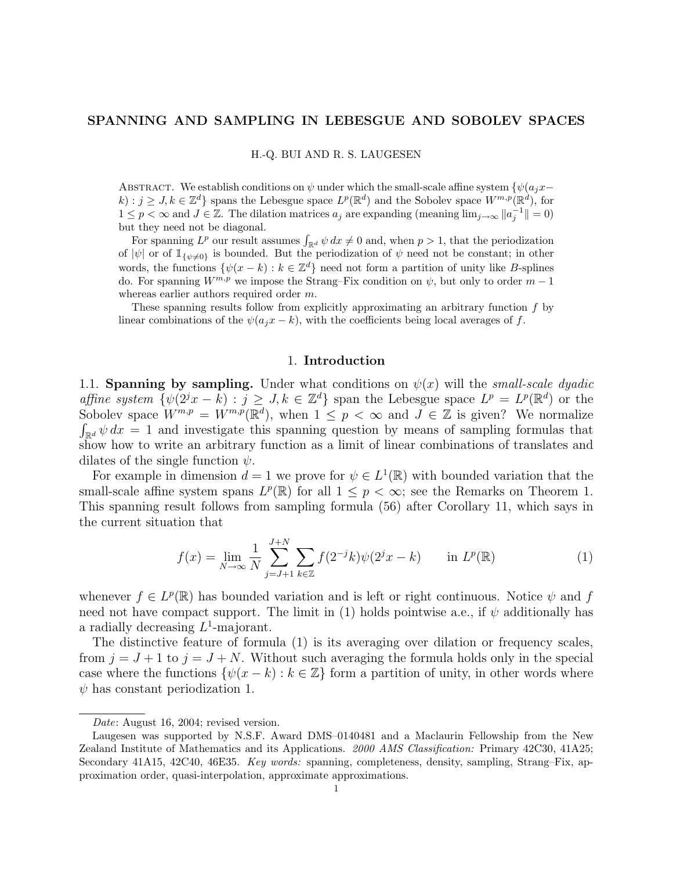### SPANNING AND SAMPLING IN LEBESGUE AND SOBOLEV SPACES

H.-Q. BUI AND R. S. LAUGESEN

ABSTRACT. We establish conditions on  $\psi$  under which the small-scale affine system  $\{\psi(a_jx-\psi_j)\}$  $k: j \geq J, k \in \mathbb{Z}^d$  spans the Lebesgue space  $L^p(\mathbb{R}^d)$  and the Sobolev space  $W^{m,p}(\mathbb{R}^d)$ , for  $1 \leq p < \infty$  and  $J \in \mathbb{Z}$ . The dilation matrices  $a_j$  are expanding (meaning  $\lim_{j\to\infty} ||a_j^{-1}|| = 0$ ) but they need not be diagonal.

t they need not be diagonal.<br>For spanning  $L^p$  our result assumes  $\int_{\mathbb{R}^d} \psi \, dx \neq 0$  and, when  $p > 1$ , that the periodization of  $|\psi|$  or of  $\mathbb{1}_{\{\psi\neq 0\}}$  is bounded. But the periodization of  $\psi$  need not be constant; in other words, the functions  $\{\psi(x - k) : k \in \mathbb{Z}^d\}$  need not form a partition of unity like B-splines do. For spanning  $W^{m,p}$  we impose the Strang–Fix condition on  $\psi$ , but only to order  $m-1$ whereas earlier authors required order m.

These spanning results follow from explicitly approximating an arbitrary function  $f$  by linear combinations of the  $\psi(a_jx - k)$ , with the coefficients being local averages of f.

#### 1. Introduction

1.1. Spanning by sampling. Under what conditions on  $\psi(x)$  will the *small-scale dyadic* affine system  $\{\psi(2^jx - k) : j \geq J, k \in \mathbb{Z}^d\}$  span the Lebesgue space  $L^p = L^p(\mathbb{R}^d)$  or the Sobolev space  $W^{m,p} = W^{m,p}(\mathbb{R}^d)$ , when  $1 \leq p < \infty$  and  $J \in \mathbb{Z}$  is given? We normalize  $\int_{\mathbb{R}^d} \psi \, dx = 1$  and investigate this spanning question by means of sampling formulas that show how to write an arbitrary function as a limit of linear combinations of translates and dilates of the single function  $\psi$ .

For example in dimension  $d = 1$  we prove for  $\psi \in L^1(\mathbb{R})$  with bounded variation that the small-scale affine system spans  $L^p(\mathbb{R})$  for all  $1 \leq p < \infty$ ; see the Remarks on Theorem 1. This spanning result follows from sampling formula (56) after Corollary 11, which says in the current situation that

$$
f(x) = \lim_{N \to \infty} \frac{1}{N} \sum_{j=J+1}^{J+N} \sum_{k \in \mathbb{Z}} f(2^{-j}k) \psi(2^{j}x - k) \quad \text{in } L^{p}(\mathbb{R})
$$
 (1)

whenever  $f \in L^p(\mathbb{R})$  has bounded variation and is left or right continuous. Notice  $\psi$  and f need not have compact support. The limit in (1) holds pointwise a.e., if  $\psi$  additionally has a radially decreasing  $L^1$ -majorant.

The distinctive feature of formula (1) is its averaging over dilation or frequency scales, from  $j = J + 1$  to  $j = J + N$ . Without such averaging the formula holds only in the special case where the functions  $\{\psi(x - k) : k \in \mathbb{Z}\}\$  form a partition of unity, in other words where  $\psi$  has constant periodization 1.

Date: August 16, 2004; revised version.

Laugesen was supported by N.S.F. Award DMS–0140481 and a Maclaurin Fellowship from the New Zealand Institute of Mathematics and its Applications. 2000 AMS Classification: Primary 42C30, 41A25; Secondary 41A15, 42C40, 46E35. Key words: spanning, completeness, density, sampling, Strang–Fix, approximation order, quasi-interpolation, approximate approximations.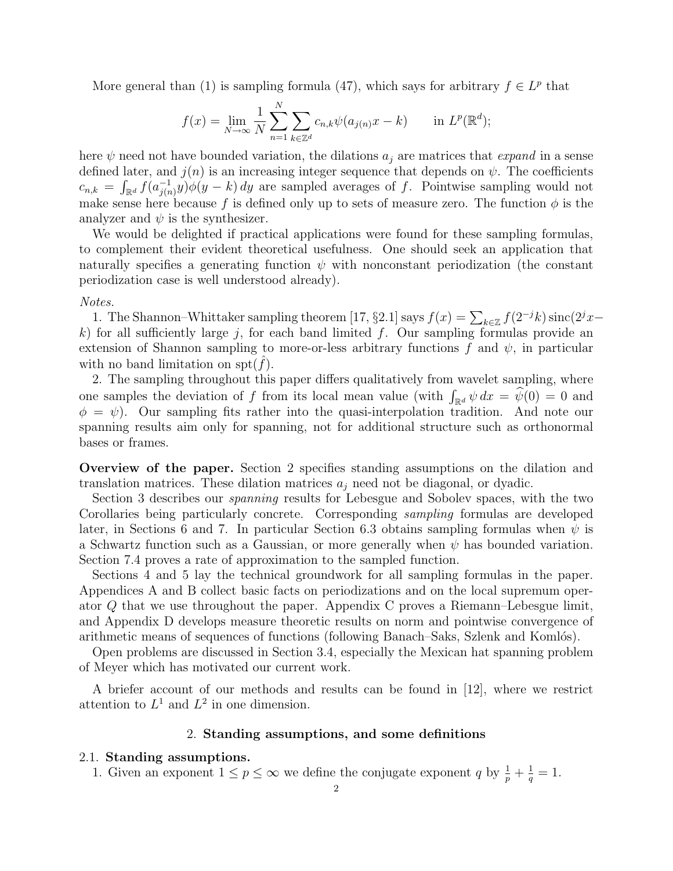More general than (1) is sampling formula (47), which says for arbitrary  $f \in L^p$  that

$$
f(x) = \lim_{N \to \infty} \frac{1}{N} \sum_{n=1}^{N} \sum_{k \in \mathbb{Z}^d} c_{n,k} \psi(a_{j(n)} x - k) \quad \text{in } L^p(\mathbb{R}^d);
$$

here  $\psi$  need not have bounded variation, the dilations  $a_j$  are matrices that *expand* in a sense defined later, and  $j(n)$  is an increasing integer sequence that depends on  $\psi$ . The coefficients  $c_{n,k} = \int_{\mathbb{R}^d} f(a_{j(n)}^{-1})$  $j_{(n)}^{-1}(y)\phi(y-k)$  dy are sampled averages of f. Pointwise sampling would not make sense here because f is defined only up to sets of measure zero. The function  $\phi$  is the analyzer and  $\psi$  is the synthesizer.

We would be delighted if practical applications were found for these sampling formulas, to complement their evident theoretical usefulness. One should seek an application that naturally specifies a generating function  $\psi$  with nonconstant periodization (the constant periodization case is well understood already).

#### Notes.

the Shannon–Whittaker sampling theorem [17, §2.1] says  $f(x) = \sum_{k \in \mathbb{Z}} f(2^{-j}k) \operatorname{sinc}(2^{j}x-1)$ k) for all sufficiently large j, for each band limited f. Our sampling formulas provide an extension of Shannon sampling to more-or-less arbitrary functions f and  $\psi$ , in particular with no band limitation on spt $(f)$ .

2. The sampling throughout this paper differs qualitatively from wavelet sampling, where 2. The sampling unoughout this paper unless quantatively from wavelet sampling, where<br>one samples the deviation of f from its local mean value (with  $\int_{\mathbb{R}^d} \psi \, dx = \hat{\psi}(0) = 0$  and  $\phi = \psi$ ). Our sampling fits rather into the quasi-interpolation tradition. And note our spanning results aim only for spanning, not for additional structure such as orthonormal bases or frames.

Overview of the paper. Section 2 specifies standing assumptions on the dilation and translation matrices. These dilation matrices  $a_j$  need not be diagonal, or dyadic.

Section 3 describes our spanning results for Lebesgue and Sobolev spaces, with the two Corollaries being particularly concrete. Corresponding sampling formulas are developed later, in Sections 6 and 7. In particular Section 6.3 obtains sampling formulas when  $\psi$  is a Schwartz function such as a Gaussian, or more generally when  $\psi$  has bounded variation. Section 7.4 proves a rate of approximation to the sampled function.

Sections 4 and 5 lay the technical groundwork for all sampling formulas in the paper. Appendices A and B collect basic facts on periodizations and on the local supremum operator Q that we use throughout the paper. Appendix C proves a Riemann–Lebesgue limit, and Appendix D develops measure theoretic results on norm and pointwise convergence of arithmetic means of sequences of functions (following Banach–Saks, Szlenk and Komlós).

Open problems are discussed in Section 3.4, especially the Mexican hat spanning problem of Meyer which has motivated our current work.

A briefer account of our methods and results can be found in [12], where we restrict attention to  $L^1$  and  $L^2$  in one dimension.

#### 2. Standing assumptions, and some definitions

#### 2.1. Standing assumptions.

1. Given an exponent  $1 \leq p \leq \infty$  we define the conjugate exponent q by  $\frac{1}{p} + \frac{1}{q}$  $\frac{1}{q} = 1.$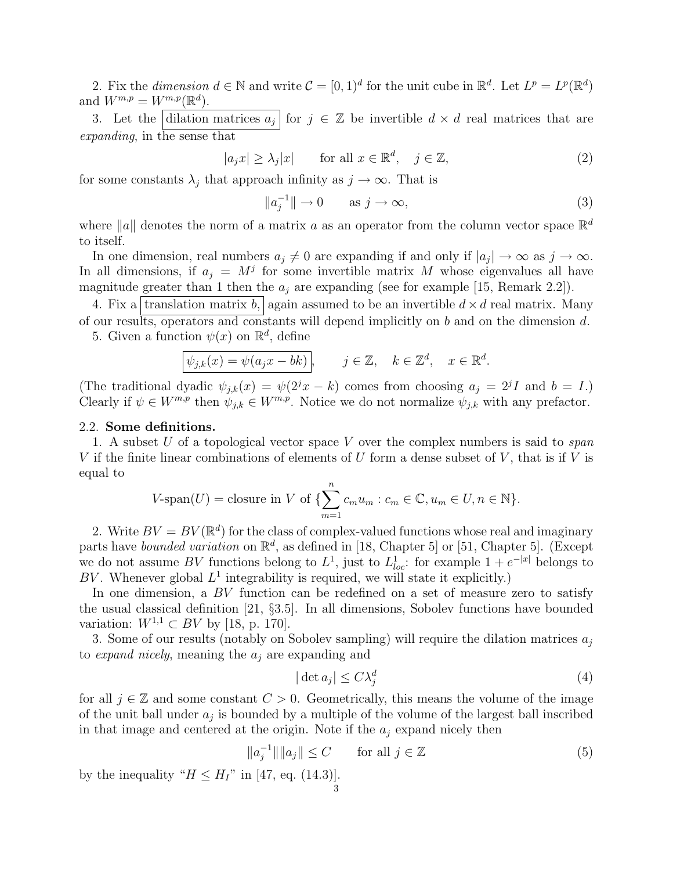2. Fix the dimension  $d \in \mathbb{N}$  and write  $\mathcal{C} = [0, 1]^d$  for the unit cube in  $\mathbb{R}^d$ . Let  $L^p = L^p(\mathbb{R}^d)$ and  $W^{m,p} = W^{m,p}(\mathbb{R}^d)$ .

3. Let the dilation matrices  $a_j$  for  $j \in \mathbb{Z}$  be invertible  $d \times d$  real matrices that are expanding, in the sense that

$$
|a_j x| \ge \lambda_j |x| \quad \text{for all } x \in \mathbb{R}^d, \quad j \in \mathbb{Z}, \tag{2}
$$

for some constants  $\lambda_j$  that approach infinity as  $j \to \infty$ . That is

$$
||a_j^{-1}|| \to 0 \qquad \text{as } j \to \infty,
$$
\n(3)

where ||a|| denotes the norm of a matrix a as an operator from the column vector space  $\mathbb{R}^d$ to itself.

In one dimension, real numbers  $a_j \neq 0$  are expanding if and only if  $|a_j| \to \infty$  as  $j \to \infty$ . In all dimensions, if  $a_j = M^j$  for some invertible matrix M whose eigenvalues all have magnitude greater than 1 then the  $a_j$  are expanding (see for example [15, Remark 2.2]).

4. Fix a translation matrix b, again assumed to be an invertible  $d \times d$  real matrix. Many of our results, operators and constants will depend implicitly on b and on the dimension d. 5. Given a function  $\psi(x)$  on  $\mathbb{R}^d$ , define

$$
\boxed{\psi_{j,k}(x) = \psi(a_j x - bk)}, \qquad j \in \mathbb{Z}, \quad k \in \mathbb{Z}^d, \quad x \in \mathbb{R}^d.
$$

(The traditional dyadic  $\psi_{j,k}(x) = \psi(2^j x - k)$  comes from choosing  $a_j = 2^j I$  and  $b = I$ .) Clearly if  $\psi \in W^{m,p}$  then  $\psi_{j,k} \in W^{m,p}$ . Notice we do not normalize  $\psi_{j,k}$  with any prefactor.

#### 2.2. Some definitions.

1. A subset U of a topological vector space V over the complex numbers is said to span V if the finite linear combinations of elements of U form a dense subset of V, that is if V is equal to

$$
V\text{-span}(U) = \text{closure in } V \text{ of } \{\sum_{m=1}^{n} c_m u_m : c_m \in \mathbb{C}, u_m \in U, n \in \mathbb{N}\}.
$$

2. Write  $BV = BV(\mathbb{R}^d)$  for the class of complex-valued functions whose real and imaginary parts have *bounded variation* on  $\mathbb{R}^d$ , as defined in [18, Chapter 5] or [51, Chapter 5]. (Except we do not assume BV functions belong to  $L^1$ , just to  $L^1_{loc}$ : for example  $1 + e^{-|x|}$  belongs to BV. Whenever global  $L^1$  integrability is required, we will state it explicitly.)

In one dimension, a BV function can be redefined on a set of measure zero to satisfy the usual classical definition [21, §3.5]. In all dimensions, Sobolev functions have bounded variation:  $W^{1,1} \subset BV$  by [18, p. 170].

3. Some of our results (notably on Sobolev sampling) will require the dilation matrices  $a_j$ to expand nicely, meaning the  $a_i$  are expanding and

$$
|\det a_j| \le C\lambda_j^d \tag{4}
$$

for all  $j \in \mathbb{Z}$  and some constant  $C > 0$ . Geometrically, this means the volume of the image of the unit ball under  $a_j$  is bounded by a multiple of the volume of the largest ball inscribed in that image and centered at the origin. Note if the  $a_j$  expand nicely then

$$
\|a_j^{-1}\| \|a_j\| \le C \qquad \text{for all } j \in \mathbb{Z}
$$
 (5)

by the inequality " $H \leq H_I$ " in [47, eq. (14.3)].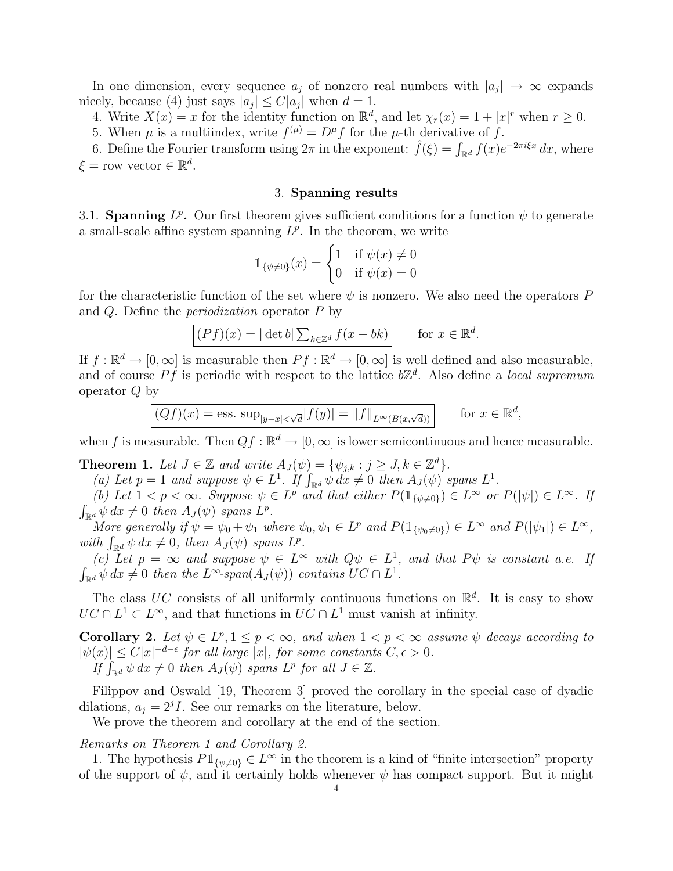In one dimension, every sequence  $a_j$  of nonzero real numbers with  $|a_j| \to \infty$  expands nicely, because (4) just says  $|a_j| \leq C |a_j|$  when  $d = 1$ .

4. Write  $X(x) = x$  for the identity function on  $\mathbb{R}^d$ , and let  $\chi_r(x) = 1 + |x|^r$  when  $r \ge 0$ .

5. When  $\mu$  is a multiindex, write  $f^{(\mu)} = D^{\mu} f$  for the  $\mu$ -th derivative of f.

5. When *μ* is a multimaex, write  $f^{(r)} = D^r f$  for the *μ*-th derivative of *f*.<br>6. Define the Fourier transform using  $2\pi$  in the exponent:  $\hat{f}(\xi) = \int_{\mathbb{R}^d} f(x)e^{-2\pi i \xi x} dx$ , where  $\xi$  = row vector  $\in \mathbb{R}^d$ .

### 3. Spanning results

3.1. Spanning  $L^p$ . Our first theorem gives sufficient conditions for a function  $\psi$  to generate a small-scale affine system spanning  $L^p$ . In the theorem, we write

$$
\mathbb{1}_{\{\psi \neq 0\}}(x) = \begin{cases} 1 & \text{if } \psi(x) \neq 0 \\ 0 & \text{if } \psi(x) = 0 \end{cases}
$$

for the characteristic function of the set where  $\psi$  is nonzero. We also need the operators P and Q. Define the periodization operator P by

$$
\boxed{(Pf)(x) = |\det b| \sum_{k \in \mathbb{Z}^d} f(x - bk) \quad \text{for } x \in \mathbb{R}^d.
$$

If  $f: \mathbb{R}^d \to [0, \infty]$  is measurable then  $Pf: \mathbb{R}^d \to [0, \infty]$  is well defined and also measurable, and of course Pf is periodic with respect to the lattice  $b\mathbb{Z}^d$ . Also define a local supremum operator Q by

$$
\boxed{(Qf)(x) = \text{ess. sup}_{|y-x| < \sqrt{d}} |f(y)| = \|f\|_{L^\infty(B(x,\sqrt{d}))}} \qquad \text{for } x \in \mathbb{R}^d,
$$

when f is measurable. Then  $Qf : \mathbb{R}^d \to [0, \infty]$  is lower semicontinuous and hence measurable.

**Theorem 1.** Let  $J \in \mathbb{Z}$  and write  $A_J(\psi) = \{\psi_{j,k} : j \geq J, k \in \mathbb{Z}^d\}.$ 

**neorem 1.** Let  $J \in \mathbb{Z}$  and write  $A_J(\psi) = \{\psi_{j,k} : j \geq J, k \in \mathbb{Z}^*\}$ .<br>
(a) Let  $p = 1$  and suppose  $\psi \in L^1$ . If  $\int_{\mathbb{R}^d} \psi \, dx \neq 0$  then  $A_J(\psi)$  spans  $L^1$ .

(b) Let  $1 < p < \infty$ . Suppose  $\psi \in L^p$  and that either  $P(\mathbb{1}_{\{\psi \neq 0\}}) \in L^{\infty}$  or  $P(|\psi|) \in L^{\infty}$ . If R  $\int_{\mathbb{R}^d} \psi \, dx \neq 0$  then  $A_J(\psi)$  spans  $L^p$ .

More generally if  $\psi = \psi_0 + \psi_1$  where  $\psi_0, \psi_1 \in L^p$  and  $P(\mathbb{1}_{\{\psi_0 \neq 0\}}) \in L^{\infty}$  and  $P(|\psi_1|) \in L^{\infty}$ , More generative  $y \psi = \psi_0 + \psi_1$  where  $\psi$ <br>with  $\int_{\mathbb{R}^d} \psi \, dx \neq 0$ , then  $A_J(\psi)$  spans  $L^p$ .

(c) Let  $p = \infty$  and suppose  $\psi \in L^{\infty}$  with  $Q\psi \in L^{1}$ , and that  $P\psi$  is constant a.e. If R  $\sum_{\mathbb{R}^d} \psi \, dx \neq 0$  then the  $L^{\infty}$ -span $(A_J(\psi))$  contains  $UC \cap L^1$ .

The class UC consists of all uniformly continuous functions on  $\mathbb{R}^d$ . It is easy to show  $UC \cap L^1 \subset L^{\infty}$ , and that functions in  $UC \cap L^1$  must vanish at infinity.

Corollary 2. Let  $\psi \in L^p, 1 \leq p < \infty$ , and when  $1 < p < \infty$  assume  $\psi$  decays according to  $|\psi(x)| \leq C |x|^{-d-\epsilon}$  for all large  $|x|$ , for some constants  $C, \epsilon > 0$ .  $\begin{array}{l} \Gamma(x) \leq C|x| \stackrel{a}{\sim}$  for all large  $|x|$ , for some constant  $\int_{\mathbb{R}^d} \psi \, dx \neq 0$  then  $A_J(\psi)$  spans  $L^p$  for all  $J \in \mathbb{Z}$ .

Filippov and Oswald [19, Theorem 3] proved the corollary in the special case of dyadic dilations,  $a_j = 2^j I$ . See our remarks on the literature, below.

We prove the theorem and corollary at the end of the section.

## Remarks on Theorem 1 and Corollary 2.

1. The hypothesis  $P1_{\{\psi\neq0\}} \in L^{\infty}$  in the theorem is a kind of "finite intersection" property of the support of  $\psi$ , and it certainly holds whenever  $\psi$  has compact support. But it might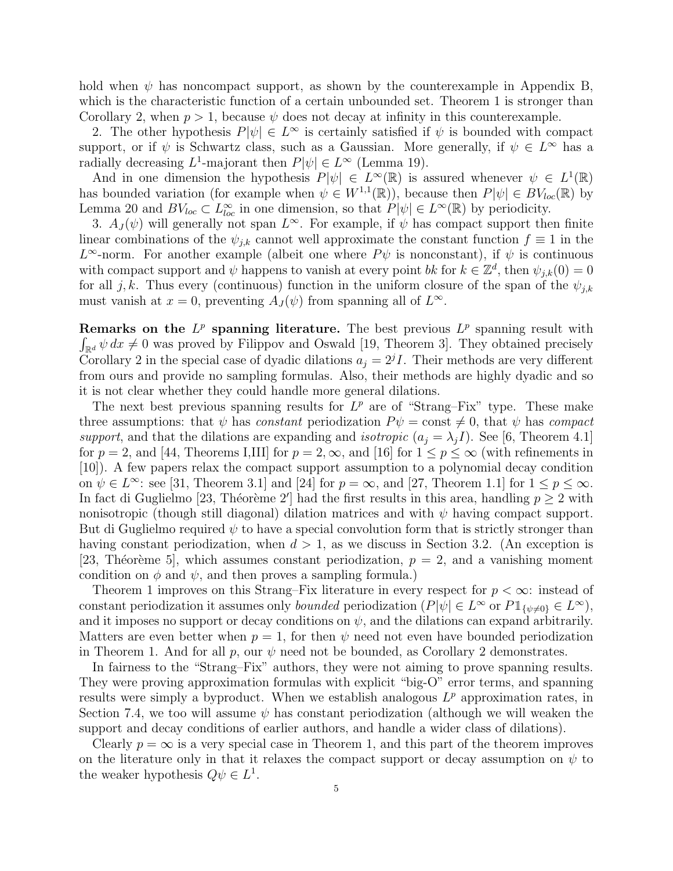hold when  $\psi$  has noncompact support, as shown by the counterexample in Appendix B, which is the characteristic function of a certain unbounded set. Theorem 1 is stronger than Corollary 2, when  $p > 1$ , because  $\psi$  does not decay at infinity in this counterexample.

2. The other hypothesis  $P[\psi] \in L^{\infty}$  is certainly satisfied if  $\psi$  is bounded with compact support, or if  $\psi$  is Schwartz class, such as a Gaussian. More generally, if  $\psi \in L^{\infty}$  has a radially decreasing  $L^1$ -majorant then  $P[\psi] \in L^{\infty}$  (Lemma 19).

And in one dimension the hypothesis  $P[\psi] \in L^{\infty}(\mathbb{R})$  is assured whenever  $\psi \in L^{1}(\mathbb{R})$ has bounded variation (for example when  $\psi \in W^{1,1}(\mathbb{R})$ ), because then  $P[\psi] \in BV_{loc}(\mathbb{R})$  by Lemma 20 and  $BV_{loc} \subset L^{\infty}_{loc}$  in one dimension, so that  $P[\psi] \in L^{\infty}(\mathbb{R})$  by periodicity.

3.  $A_J(\psi)$  will generally not span  $L^{\infty}$ . For example, if  $\psi$  has compact support then finite linear combinations of the  $\psi_{j,k}$  cannot well approximate the constant function  $f \equiv 1$  in the  $L^{\infty}$ -norm. For another example (albeit one where  $P\psi$  is nonconstant), if  $\psi$  is continuous with compact support and  $\psi$  happens to vanish at every point bk for  $k \in \mathbb{Z}^d$ , then  $\psi_{j,k}(0) = 0$ for all j, k. Thus every (continuous) function in the uniform closure of the span of the  $\psi_{i,k}$ must vanish at  $x = 0$ , preventing  $A_J(\psi)$  from spanning all of  $L^{\infty}$ .

Remarks on the  $L^p$  spanning literature. The best previous  $L^p$  spanning result with  $\int_{\mathbb{R}^d} \psi \, dx \neq 0$  was proved by Filippov and Oswald [19, Theorem 3]. They obtained precisely Corollary 2 in the special case of dyadic dilations  $a_j = 2^j I$ . Their methods are very different from ours and provide no sampling formulas. Also, their methods are highly dyadic and so it is not clear whether they could handle more general dilations.

The next best previous spanning results for  $L^p$  are of "Strang–Fix" type. These make three assumptions: that  $\psi$  has constant periodization  $P\psi = \text{const} \neq 0$ , that  $\psi$  has compact support, and that the dilations are expanding and *isotropic*  $(a_i = \lambda_i I)$ . See [6, Theorem 4.1] for  $p = 2$ , and [44, Theorems I,III] for  $p = 2, \infty$ , and [16] for  $1 \le p \le \infty$  (with refinements in [10]). A few papers relax the compact support assumption to a polynomial decay condition on  $\psi \in L^{\infty}$ : see [31, Theorem 3.1] and [24] for  $p = \infty$ , and [27, Theorem 1.1] for  $1 \le p \le \infty$ . In fact di Guglielmo [23, Théorème 2'] had the first results in this area, handling  $p \geq 2$  with nonisotropic (though still diagonal) dilation matrices and with  $\psi$  having compact support. But di Guglielmo required  $\psi$  to have a special convolution form that is strictly stronger than having constant periodization, when  $d > 1$ , as we discuss in Section 3.2. (An exception is [23, Théorème 5], which assumes constant periodization,  $p = 2$ , and a vanishing moment condition on  $\phi$  and  $\psi$ , and then proves a sampling formula.)

Theorem 1 improves on this Strang–Fix literature in every respect for  $p < \infty$ : instead of constant periodization it assumes only *bounded* periodization  $(P|\psi| \in L^{\infty}$  or  $P1_{\{\psi \neq 0\}} \in L^{\infty}$ , and it imposes no support or decay conditions on  $\psi$ , and the dilations can expand arbitrarily. Matters are even better when  $p = 1$ , for then  $\psi$  need not even have bounded periodization in Theorem 1. And for all p, our  $\psi$  need not be bounded, as Corollary 2 demonstrates.

In fairness to the "Strang–Fix" authors, they were not aiming to prove spanning results. They were proving approximation formulas with explicit "big-O" error terms, and spanning results were simply a byproduct. When we establish analogous  $L^p$  approximation rates, in Section 7.4, we too will assume  $\psi$  has constant periodization (although we will weaken the support and decay conditions of earlier authors, and handle a wider class of dilations).

Clearly  $p = \infty$  is a very special case in Theorem 1, and this part of the theorem improves on the literature only in that it relaxes the compact support or decay assumption on  $\psi$  to the weaker hypothesis  $Q\psi \in L^1$ .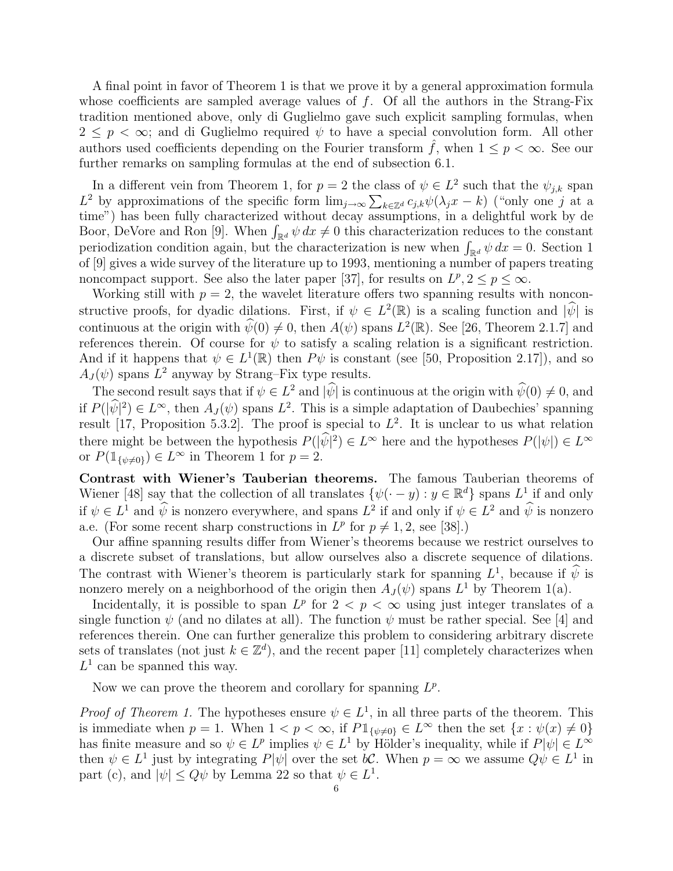A final point in favor of Theorem 1 is that we prove it by a general approximation formula whose coefficients are sampled average values of  $f$ . Of all the authors in the Strang-Fix tradition mentioned above, only di Guglielmo gave such explicit sampling formulas, when  $2 \leq p < \infty$ ; and di Guglielmo required  $\psi$  to have a special convolution form. All other authors used coefficients depending on the Fourier transform  $\tilde{f}$ , when  $1 \leq p < \infty$ . See our further remarks on sampling formulas at the end of subsection 6.1.

In a different vein from Theorem 1, for  $p = 2$  the class of  $\psi \in L^2$  such that the  $\psi_{j,k}$  span In a different vein from Theorem 1, for  $p = z$  the class of  $\psi \in L^2$  such that the  $\psi_{j,k}$  span  $L^2$  by approximations of the specific form  $\lim_{j\to\infty}\sum_{k\in\mathbb{Z}^d}c_{j,k}\psi(\lambda_jx - k)$  ("only one j at a time") has been fully characterized without decay assumptions, in a delightful work by de time") has been fully characterized without decay assumptions, in a delightful work by de<br>Boor, DeVore and Ron [9]. When  $\int_{\mathbb{R}^d} \psi \, dx \neq 0$  this characterization reduces to the constant boor, Devore and Ron [9]. When  $\int_{\mathbb{R}^d} \psi \, dx \neq 0$  this characterization reduces to the constant periodization condition again, but the characterization is new when  $\int_{\mathbb{R}^d} \psi \, dx = 0$ . Section 1 of [9] gives a wide survey of the literature up to 1993, mentioning a number of papers treating noncompact support. See also the later paper [37], for results on  $L^p, 2 \leq p \leq \infty$ .

Working still with  $p = 2$ , the wavelet literature offers two spanning results with nonconstructive proofs, for dyadic dilations. First, if  $\psi \in L^2(\mathbb{R})$  is a scaling function and  $|\hat{\psi}|$  is continuous at the origin with  $\widehat{\psi}(0) \neq 0$ , then  $A(\psi)$  spans  $L^2(\mathbb{R})$ . See [26, Theorem 2.1.7] and references therein. Of course for  $\psi$  to satisfy a scaling relation is a significant restriction. And if it happens that  $\psi \in L^1(\mathbb{R})$  then  $P\psi$  is constant (see [50, Proposition 2.17]), and so  $A_J(\psi)$  spans  $L^2$  anyway by Strang–Fix type results.

The second result says that if  $\psi \in L^2$  and  $|\widehat{\psi}|$  is continuous at the origin with  $\widehat{\psi}(0) \neq 0$ , and if  $P(|\widehat{\psi}|^2) \in L^{\infty}$ , then  $A_J(\psi)$  spans  $L^2$ . This is a simple adaptation of Daubechies' spanning result [17, Proposition 5.3.2]. The proof is special to  $L^2$ . It is unclear to us what relation there might be between the hypothesis  $P(|\hat{\psi}|^2) \in L^{\infty}$  here and the hypotheses  $P(|\psi|) \in L^{\infty}$ or  $P(\mathbb{1}_{\{\psi\neq 0\}}) \in L^{\infty}$  in Theorem 1 for  $p=2$ .

Contrast with Wiener's Tauberian theorems. The famous Tauberian theorems of Wiener [48] say that the collection of all translates  $\{\psi(\cdot - y) : y \in \mathbb{R}^d\}$  spans  $L^1$  if and only if  $\psi \in L^1$  and  $\widehat{\psi}$  is nonzero everywhere, and spans  $L^2$  if and only if  $\psi \in L^2$  and  $\widehat{\psi}$  is nonzero a.e. (For some recent sharp constructions in  $L^p$  for  $p \neq 1, 2$ , see [38].)

Our affine spanning results differ from Wiener's theorems because we restrict ourselves to a discrete subset of translations, but allow ourselves also a discrete sequence of dilations. The contrast with Wiener's theorem is particularly stark for spanning  $L^1$ , because if  $\hat{\psi}$  is nonzero merely on a neighborhood of the origin then  $A_J(\psi)$  spans  $L^1$  by Theorem 1(a).

Incidentally, it is possible to span  $L^p$  for  $2 < p < \infty$  using just integer translates of a single function  $\psi$  (and no dilates at all). The function  $\psi$  must be rather special. See [4] and references therein. One can further generalize this problem to considering arbitrary discrete sets of translates (not just  $k \in \mathbb{Z}^d$ ), and the recent paper [11] completely characterizes when  $L^1$  can be spanned this way.

Now we can prove the theorem and corollary for spanning  $L^p$ .

*Proof of Theorem 1.* The hypotheses ensure  $\psi \in L^1$ , in all three parts of the theorem. This is immediate when  $p = 1$ . When  $1 < p < \infty$ , if  $P1_{\{\psi \neq 0\}} \in L^{\infty}$  then the set  $\{x : \psi(x) \neq 0\}$ has finite measure and so  $\psi \in L^p$  implies  $\psi \in L^1$  by Hölder's inequality, while if  $P[\psi] \in L^\infty$ then  $\psi \in L^1$  just by integrating  $P[\psi]$  over the set bC. When  $p = \infty$  we assume  $Q\psi \in L^1$  in part (c), and  $|\psi| \le Q\psi$  by Lemma 22 so that  $\psi \in L^1$ .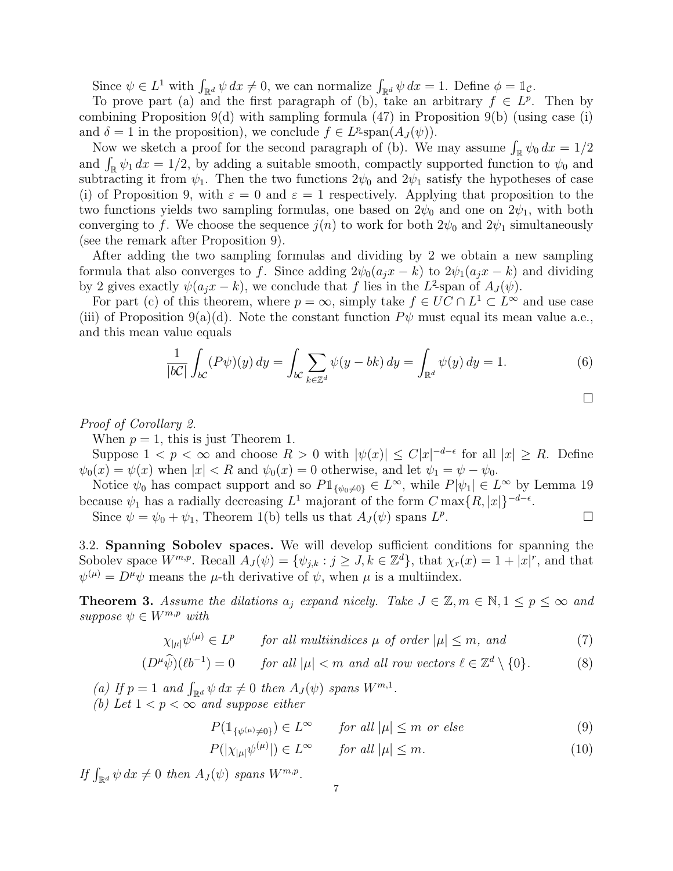Since  $\psi \in L^1$  with  $\int_{\mathbb{R}^d} \psi \, dx \neq 0$ , we can normalize  $\int_{\mathbb{R}^d} \psi \, dx = 1$ . Define  $\phi = \mathbb{1}_{\mathcal{C}}$ .

To prove part (a) and the first paragraph of (b), take an arbitrary  $f \in L^p$ . Then by combining Proposition 9(d) with sampling formula  $(47)$  in Proposition 9(b) (using case (i) and  $\delta = 1$  in the proposition), we conclude  $f \in L^p$ -span $(A_J(\psi))$ .

 $d \theta = 1$  in the proposition), we conclude  $f \in L^p$ -span $(A_J(\psi))$ .<br>Now we sketch a proof for the second paragraph of (b). We may assume  $\int_{\mathbb{R}} \psi_0 dx = 1/2$ Now we sketch a proof for the second paragraph of (b). We may assume  $\int_{\mathbb{R}} \psi_0 dx = 1/2$ <br>and  $\int_{\mathbb{R}} \psi_1 dx = 1/2$ , by adding a suitable smooth, compactly supported function to  $\psi_0$  and subtracting it from  $\psi_1$ . Then the two functions  $2\psi_0$  and  $2\psi_1$  satisfy the hypotheses of case (i) of Proposition 9, with  $\varepsilon = 0$  and  $\varepsilon = 1$  respectively. Applying that proposition to the two functions yields two sampling formulas, one based on  $2\psi_0$  and one on  $2\psi_1$ , with both converging to f. We choose the sequence  $j(n)$  to work for both  $2\psi_0$  and  $2\psi_1$  simultaneously (see the remark after Proposition 9).

After adding the two sampling formulas and dividing by 2 we obtain a new sampling formula that also converges to f. Since adding  $2\psi_0(a_i x - k)$  to  $2\psi_1(a_i x - k)$  and dividing by 2 gives exactly  $\psi(a_jx - k)$ , we conclude that f lies in the L<sup>2</sup>-span of  $A_J(\psi)$ .

For part (c) of this theorem, where  $p = \infty$ , simply take  $f \in UC \cap L^1 \subset L^{\infty}$  and use case (iii) of Proposition 9(a)(d). Note the constant function  $P\psi$  must equal its mean value a.e., and this mean value equals

$$
\frac{1}{|bC|} \int_{bC} (P\psi)(y) dy = \int_{bC} \sum_{k \in \mathbb{Z}^d} \psi(y - bk) dy = \int_{\mathbb{R}^d} \psi(y) dy = 1.
$$
 (6)

$$
\Box
$$

Proof of Corollary 2.

When  $p = 1$ , this is just Theorem 1.

Suppose  $1 < p < \infty$  and choose  $R > 0$  with  $|\psi(x)| \leq C |x|^{-d-\epsilon}$  for all  $|x| \geq R$ . Define  $\psi_0(x) = \psi(x)$  when  $|x| < R$  and  $\psi_0(x) = 0$  otherwise, and let  $\psi_1 = \psi - \psi_0$ .

Notice  $\psi_0$  has compact support and so  $P1_{\{\psi_0\neq 0\}} \in L^{\infty}$ , while  $P[\psi_1] \in L^{\infty}$  by Lemma 19 because  $\psi_1$  has a radially decreasing  $L^1$  majorant of the form  $C \max\{R, |x|\}^{-d-\epsilon}$ .

Since  $\psi = \psi_0 + \psi_1$ , Theorem 1(b) tells us that  $A_J(\psi)$  spans  $L^p$ .  $\Box$ 

3.2. Spanning Sobolev spaces. We will develop sufficient conditions for spanning the Sobolev space  $W^{m,p}$ . Recall  $A_J(\psi) = \{\psi_{j,k} : j \geq J, k \in \mathbb{Z}^d\}$ , that  $\chi_r(x) = 1 + |x|^r$ , and that  $\psi^{(\mu)} = D^{\mu}\psi$  means the  $\mu$ -th derivative of  $\psi$ , when  $\mu$  is a multiindex.

**Theorem 3.** Assume the dilations  $a_i$  expand nicely. Take  $J \in \mathbb{Z}, m \in \mathbb{N}, 1 \leq p \leq \infty$  and suppose  $\psi \in W^{m,p}$  with

 $\chi_{|\mu|} \psi^{(\mu)} \in L^p$  for all multiindices  $\mu$  of order  $|\mu| \leq m$ , and (7)

$$
(D^{\mu}\widehat{\psi})(\ell b^{-1}) = 0 \qquad \text{for all } |\mu| < m \text{ and all row vectors } \ell \in \mathbb{Z}^d \setminus \{0\}. \tag{8}
$$

(a) If  $p = 1$  and  $\int_{\mathbb{R}^d} \psi \, dx \neq 0$  then  $A_J(\psi)$  spans  $W^{m,1}$ . (b) Let  $1 < p < \infty$  and suppose either

 $P(\mathbb{1}_{\{\psi^{(\mu)}\neq 0\}}) \in L^{\infty}$  for all  $|\mu| \leq m$  or else (9)

$$
P(|\chi_{|\mu|}\psi^{(\mu)}|) \in L^{\infty} \qquad \text{for all } |\mu| \le m. \tag{10}
$$

If  $\int_{\mathbb{R}^d} \psi \, dx \neq 0$  then  $A_J(\psi)$  spans  $W^{m,p}$ .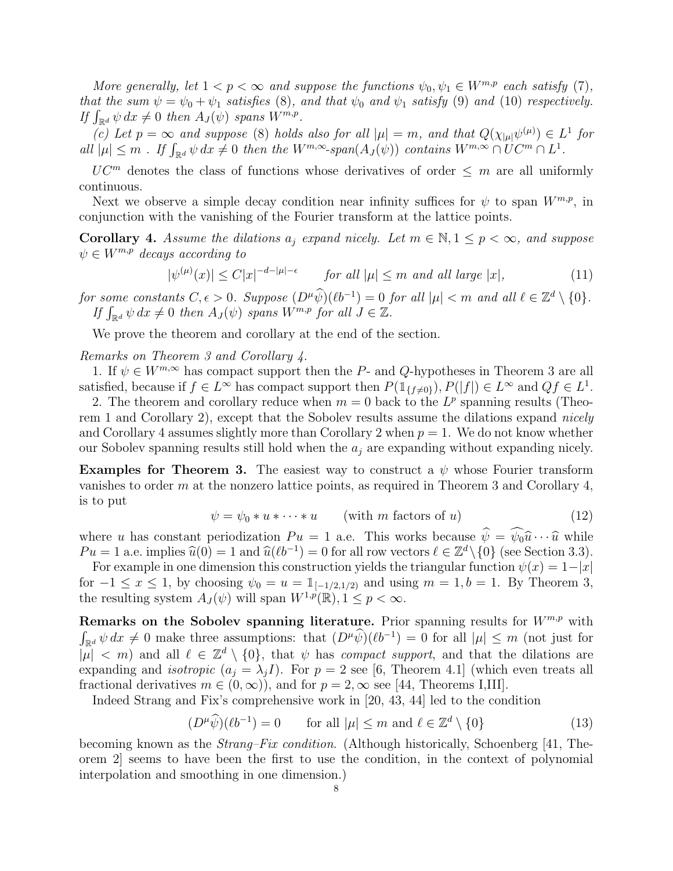More generally, let  $1 < p < \infty$  and suppose the functions  $\psi_0, \psi_1 \in W^{m,p}$  each satisfy (7), that the sum  $\psi = \psi_0 + \psi_1$  satisfies (8), and that  $\psi_0$  and  $\psi_1$  satisfy (9) and (10) respectively. that the sum  $\psi = \psi_0 + \psi_1$  satisfies (8),  $\psi$ <br>If  $\int_{\mathbb{R}^d} \psi \, dx \neq 0$  then  $A_J(\psi)$  spans  $W^{m,p}$ .

(c) Let  $p = \infty$  and suppose (8) holds also for all  $|\mu| = m$ , and that  $Q(\chi_{|\mu|} \psi^{(\mu)}) \in L^1$  for (c) Let  $p = \infty$  and suppose (8) notas also for all  $|\mu| = m$ , and that  $Q(\chi_{|\mu|}\psi^{\mu\nu}) \in L$ <br>all  $|\mu| \leq m$  . If  $\int_{\mathbb{R}^d} \psi \, dx \neq 0$  then the  $W^{m,\infty}$ -span $(A_J(\psi))$  contains  $W^{m,\infty} \cap U C^m \cap L^1$ .

 $UC^m$  denotes the class of functions whose derivatives of order  $\leq m$  are all uniformly continuous.

Next we observe a simple decay condition near infinity suffices for  $\psi$  to span  $W^{m,p}$ , in conjunction with the vanishing of the Fourier transform at the lattice points.

**Corollary 4.** Assume the dilations  $a_i$  expand nicely. Let  $m \in \mathbb{N}, 1 \leq p < \infty$ , and suppose  $\psi \in W^{m,p}$  decays according to

$$
|\psi^{(\mu)}(x)| \le C|x|^{-d-|\mu|-\epsilon} \qquad \text{for all } |\mu| \le m \text{ and all large } |x|,\tag{11}
$$

for some constants  $C, \epsilon > 0$ . Suppose  $(D^{\mu}\widehat{\psi})(\ell b^{-1}) = 0$  for all  $|\mu| < m$  and all  $\ell \in \mathbb{Z}^d \setminus \{0\}$ .  $\begin{array}{l} \textit{if } \textit{Some constants } C, \epsilon > 0. \textit{ Suppose } (D^{\mu}\psi)(\ell\sigma^{-1}) = 0 \textit{ if } \textit{if } \int_{\mathbb{R}^d} \psi \, dx \neq 0 \textit{ then } A_J(\psi) \textit{ spans } W^{m,p} \textit{ for all } J \in \mathbb{Z}. \end{array}$ 

We prove the theorem and corollary at the end of the section.

Remarks on Theorem 3 and Corollary 4.

1. If  $\psi \in W^{m,\infty}$  has compact support then the P- and Q-hypotheses in Theorem 3 are all satisfied, because if  $f \in L^{\infty}$  has compact support then  $P(\mathbb{1}_{\{f \neq 0\}}), P(|f|) \in L^{\infty}$  and  $Qf \in L^{1}$ .

2. The theorem and corollary reduce when  $m = 0$  back to the  $L^p$  spanning results (Theorem 1 and Corollary 2), except that the Sobolev results assume the dilations expand nicely and Corollary 4 assumes slightly more than Corollary 2 when  $p = 1$ . We do not know whether our Sobolev spanning results still hold when the  $a_i$  are expanding without expanding nicely.

**Examples for Theorem 3.** The easiest way to construct a  $\psi$  whose Fourier transform vanishes to order m at the nonzero lattice points, as required in Theorem 3 and Corollary 4, is to put

$$
\psi = \psi_0 * u * \dots * u \qquad \text{(with } m \text{ factors of } u\text{)}\tag{12}
$$

where u has constant periodization  $Pu = 1$  a.e. This works because  $\hat{\psi} = \hat{\psi}_0 \hat{u} \cdots \hat{u}$  while  $Pu = 1$  a.e. implies  $\hat{u}(0) = 1$  and  $\hat{u}(\ell b^{-1}) = 0$  for all row vectors  $\ell \in \mathbb{Z}^d \setminus \{0\}$  (see Section 3.3).

For example in one dimension this construction yields the triangular function  $\psi(x) = 1-|x|$ for  $-1 \le x \le 1$ , by choosing  $\psi_0 = u = \mathbb{1}_{[-1/2,1/2)}$  and using  $m = 1, b = 1$ . By Theorem 3, the resulting system  $A_J(\psi)$  will span  $W^{1,p}(\mathbb{R}), 1 \leq p < \infty$ .

Remarks on the Sobolev spanning literature. Prior spanning results for  $W^{m,p}$  with  $\int_{\mathbb{R}^d} \psi \, dx \neq 0$  make three assumptions: that  $(D^{\mu} \widehat{\psi})(\ell b^{-1}) = 0$  for all  $|\mu| \leq m$  (not just for  $|\mu| < m$ ) and all  $\ell \in \mathbb{Z}^d \setminus \{0\}$ , that  $\psi$  has *compact support*, and that the dilations are expanding and *isotropic*  $(a_i = \lambda_i I)$ . For  $p = 2$  see [6, Theorem 4.1] (which even treats all fractional derivatives  $m \in (0,\infty)$ , and for  $p = 2, \infty$  see [44, Theorems I,III].

Indeed Strang and Fix's comprehensive work in [20, 43, 44] led to the condition

$$
(D^{\mu}\widehat{\psi})(\ell b^{-1}) = 0 \qquad \text{for all } |\mu| \le m \text{ and } \ell \in \mathbb{Z}^d \setminus \{0\} \tag{13}
$$

becoming known as the Strang–Fix condition. (Although historically, Schoenberg [41, Theorem 2] seems to have been the first to use the condition, in the context of polynomial interpolation and smoothing in one dimension.)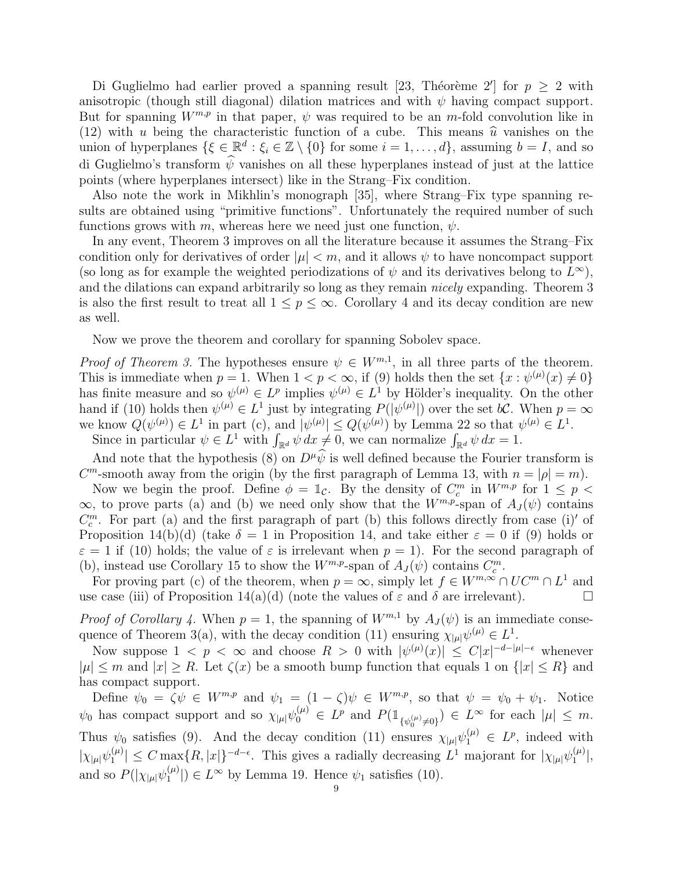Di Guglielmo had earlier proved a spanning result [23, Théorème 2'] for  $p \geq 2$  with anisotropic (though still diagonal) dilation matrices and with  $\psi$  having compact support. But for spanning  $W^{m,p}$  in that paper,  $\psi$  was required to be an m-fold convolution like in (12) with u being the characteristic function of a cube. This means  $\hat{u}$  vanishes on the union of hyperplanes  $\{\xi \in \mathbb{R}^d : \xi_i \in \mathbb{Z} \setminus \{0\} \text{ for some } i = 1, \ldots, d\}$ , assuming  $b = I$ , and so di Guglielmo's transform  $\hat{\psi}$  vanishes on all these hyperplanes instead of just at the lattice points (where hyperplanes intersect) like in the Strang–Fix condition.

Also note the work in Mikhlin's monograph [35], where Strang–Fix type spanning results are obtained using "primitive functions". Unfortunately the required number of such functions grows with m, whereas here we need just one function,  $\psi$ .

In any event, Theorem 3 improves on all the literature because it assumes the Strang–Fix condition only for derivatives of order  $|\mu| < m$ , and it allows  $\psi$  to have noncompact support (so long as for example the weighted periodizations of  $\psi$  and its derivatives belong to  $L^{\infty}$ ), and the dilations can expand arbitrarily so long as they remain nicely expanding. Theorem 3 is also the first result to treat all  $1 \leq p \leq \infty$ . Corollary 4 and its decay condition are new as well.

Now we prove the theorem and corollary for spanning Sobolev space.

*Proof of Theorem 3.* The hypotheses ensure  $\psi \in W^{m,1}$ , in all three parts of the theorem. This is immediate when  $p = 1$ . When  $1 < p < \infty$ , if (9) holds then the set  $\{x : \psi^{(\mu)}(x) \neq 0\}$ has finite measure and so  $\psi^{(\mu)} \in L^p$  implies  $\psi^{(\mu)} \in L^1$  by Hölder's inequality. On the other hand if (10) holds then  $\psi^{(\mu)} \in L^1$  just by integrating  $P(|\psi^{(\mu)}|)$  over the set  $b\mathcal{C}$ . When  $p = \infty$ we know  $Q(\psi^{(\mu)}) \in L^1$  in part (c), and  $|\psi^{(\mu)}| \leq Q(\psi^{(\mu)})$  by Lemma 22 so that  $\psi^{(\mu)} \in L^1$ . show  $Q(\psi^{\mu}) \in L^1$  in part (c), and  $|\psi^{\mu}\rangle \leq Q(\psi^{\mu})$  by Lemma 22 so that  $\psi$ <br>Since in particular  $\psi \in L^1$  with  $\int_{\mathbb{R}^d} \psi \, dx \neq 0$ , we can normalize  $\int_{\mathbb{R}^d} \psi \, dx = 1$ .

And note that the hypothesis (8) on  $D^{\mu}\psi$  is well defined because the Fourier transform is  $C<sup>m</sup>$ -smooth away from the origin (by the first paragraph of Lemma 13, with  $n = |\rho| = m$ ).

Now we begin the proof. Define  $\phi = \mathbb{1}_{\mathcal{C}}$ . By the density of  $C_c^m$  in  $W^{m,p}$  for  $1 \leq p <$  $\infty$ , to prove parts (a) and (b) we need only show that the  $W^{m,p}$ -span of  $A_J(\psi)$  contains  $C_c^m$ . For part (a) and the first paragraph of part (b) this follows directly from case (i)' of Proposition 14(b)(d) (take  $\delta = 1$  in Proposition 14, and take either  $\varepsilon = 0$  if (9) holds or  $\varepsilon = 1$  if (10) holds; the value of  $\varepsilon$  is irrelevant when  $p = 1$ ). For the second paragraph of (b), instead use Corollary 15 to show the  $W^{m,p}$ -span of  $A_J(\psi)$  contains  $C_c^m$ .

For proving part (c) of the theorem, when  $p = \infty$ , simply let  $f \in W^{m,\infty} \cap UC^m \cap L^1$  and use case (iii) of Proposition 14(a)(d) (note the values of  $\varepsilon$  and  $\delta$  are irrelevant).

*Proof of Corollary 4.* When  $p = 1$ , the spanning of  $W^{m,1}$  by  $A_J(\psi)$  is an immediate consequence of Theorem 3(a), with the decay condition (11) ensuring  $\chi_{|\mu|} \psi^{(\mu)} \in L^1$ .

Now suppose  $1 \leq p \leq \infty$  and choose  $R > 0$  with  $|\psi^{(\mu)}(x)| \leq C |x|^{-d-|\mu|-\epsilon}$  whenever  $|\mu| \leq m$  and  $|x| \geq R$ . Let  $\zeta(x)$  be a smooth bump function that equals 1 on  $\{|x| \leq R\}$  and has compact support.

Define  $\psi_0 = \zeta \psi \in W^{m,p}$  and  $\psi_1 = (1 - \zeta)\psi \in W^{m,p}$ , so that  $\psi = \psi_0 + \psi_1$ . Notice  $\psi_0$  has compact support and so  $\chi_{|\mu|} \psi_0^{(\mu)} \in L^p$  and  $P(\mathbb{1}_{\{\psi_0^{(\mu)} \neq 0\}}) \in L^{\infty}$  for each  $|\mu| \leq m$ . Thus  $\psi_0$  satisfies (9). And the decay condition (11) ensures  $\chi_{|\mu|} \psi_1^{(\mu)} \in L^p$ , indeed with  $|\chi_{|\mu|} \psi_1^{(\mu)}$  $|I_{1}^{(\mu)}| \leq C \max\{R, |x|\}^{-d-\epsilon}$ . This gives a radially decreasing  $L^{1}$  majorant for  $|\chi_{|\mu|} \psi_{1}^{(\mu)}|$  $\binom{(\mu)}{1},$ and so  $P(|\chi_{|\mu|}\psi_1^{(\mu)}\rangle)$  $\binom{\mu}{1}$   $\in L^{\infty}$  by Lemma 19. Hence  $\psi_1$  satisfies (10).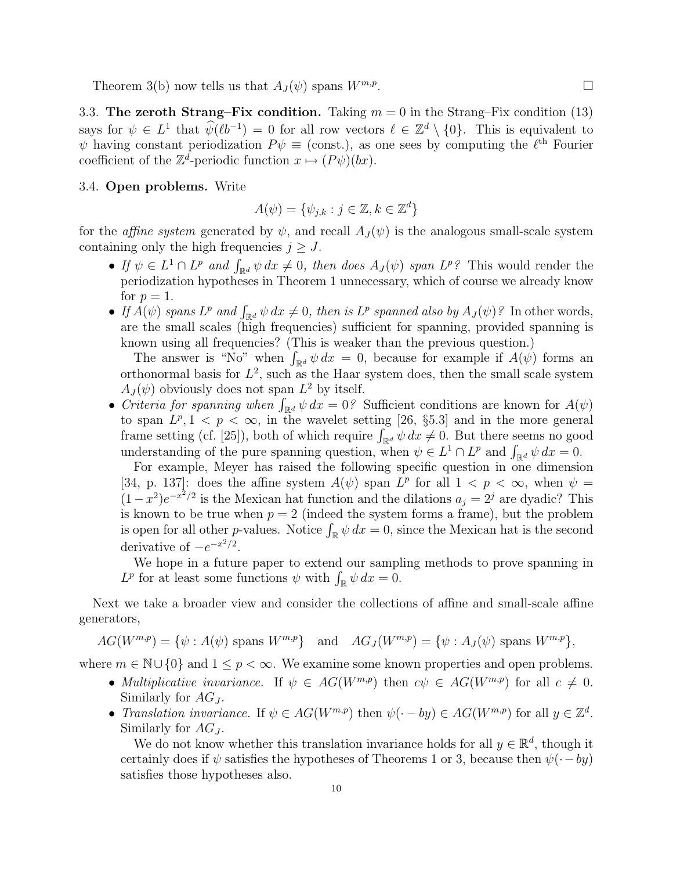Theorem 3(b) now tells us that  $A_J(\psi)$  spans  $W^{m,p}$ .

3.3. The zeroth Strang–Fix condition. Taking  $m = 0$  in the Strang–Fix condition (13) says for  $\psi \in L^1$  that  $\widehat{\psi}(\ell b^{-1}) = 0$  for all row vectors  $\ell \in \mathbb{Z}^d \setminus \{0\}$ . This is equivalent to  $\psi$  having constant periodization  $P\psi \equiv$  (const.), as one sees by computing the  $\ell^{\text{th}}$  Fourier coefficient of the  $\mathbb{Z}^d$ -periodic function  $x \mapsto (P\psi)(bx)$ .

#### 3.4. Open problems. Write

$$
A(\psi) = \{\psi_{j,k} : j \in \mathbb{Z}, k \in \mathbb{Z}^d\}
$$

for the *affine system* generated by  $\psi$ , and recall  $A_J(\psi)$  is the analogous small-scale system containing only the high frequencies  $j \geq J$ .

- If  $\psi \in L^1 \cap L^p$  and  $\int_{\mathbb{R}^d} \psi \, dx \neq 0$ , then does  $A_J(\psi)$  span  $L^p$ ? This would render the periodization hypotheses in Theorem 1 unnecessary, which of course we already know for  $p=1$ .
- for  $p = 1$ .<br>
 If  $A(\psi)$  spans  $L^p$  and  $\int_{\mathbb{R}^d} \psi \, dx \neq 0$ , then is  $L^p$  spanned also by  $A_J(\psi)$ ? In other words, are the small scales (high frequencies) sufficient for spanning, provided spanning is known using all frequencies? (This is weaker than the previous question.)

own using all frequencies! (This is weaker than the previous question.)<br>The answer is "No" when  $\int_{\mathbb{R}^d} \psi \, dx = 0$ , because for example if  $A(\psi)$  forms an orthonormal basis for  $L^2$ , such as the Haar system does, then the small scale system  $A_J(\psi)$  obviously does not span  $L^2$  by itself.

 $A_J(\psi)$  obviously does not span  $L^2$  by itself.<br>
• *Criteria for spanning when*  $\int_{\mathbb{R}^d} \psi \, dx = 0$ ? Sufficient conditions are known for  $A(\psi)$ to span  $L^p, 1 \leq p \leq \infty$ , in the wavelet setting [26, §5.3] and in the more general to span  $L^p$ ,  $1 < p < \infty$ , in the wavelet setting [20, §5.3] and in the more general frame setting (cf. [25]), both of which require  $\int_{\mathbb{R}^d} \psi \, dx \neq 0$ . But there seems no good Traine setting (ci. [25]), both of which require  $\int_{\mathbb{R}^d} \psi \, dx \neq 0$ . But there seems no got understanding of the pure spanning question, when  $\psi \in L^1 \cap L^p$  and  $\int_{\mathbb{R}^d} \psi \, dx = 0$ .

For example, Meyer has raised the following specific question in one dimension [34, p. 137]: does the affine system  $A(\psi)$  span  $L^p$  for all  $1 < p < \infty$ , when  $\psi =$  $(1-x^2)e^{-x^2/2}$  is the Mexican hat function and the dilations  $a_j = 2^j$  are dyadic? This is known to be true when  $p = 2$  (indeed the system forms a frame), but the problem is known to be true when  $p = 2$  (indeed the system forms a frame), but the problem<br>is open for all other *p*-values. Notice  $\int_{\mathbb{R}} \psi \, dx = 0$ , since the Mexican hat is the second derivative of  $-e^{-x^2/2}$ .

We hope in a future paper to extend our sampling methods to prove spanning in We nope in a future paper to extend our sample  $L^p$  for at least some functions  $\psi$  with  $\int_{\mathbb{R}} \psi \, dx = 0$ .

Next we take a broader view and consider the collections of affine and small-scale affine generators,

 $AG(W^{m,p}) = \{\psi : A(\psi) \text{ spans } W^{m,p}\}\$ and  $AG_J(W^{m,p}) = \{\psi : A_J(\psi) \text{ spans } W^{m,p}\},$ 

where  $m \in \mathbb{N} \cup \{0\}$  and  $1 \leq p < \infty$ . We examine some known properties and open problems.

- Multiplicative invariance. If  $\psi \in AG(W^{m,p})$  then  $c\psi \in AG(W^{m,p})$  for all  $c \neq 0$ . Similarly for  $AG_J$ .
- Translation invariance. If  $\psi \in AG(W^{m,p})$  then  $\psi(\cdot by) \in AG(W^{m,p})$  for all  $y \in \mathbb{Z}^d$ . Similarly for  $AG_J$ .

We do not know whether this translation invariance holds for all  $y \in \mathbb{R}^d$ , though it certainly does if  $\psi$  satisfies the hypotheses of Theorems 1 or 3, because then  $\psi(\cdot - by)$ satisfies those hypotheses also.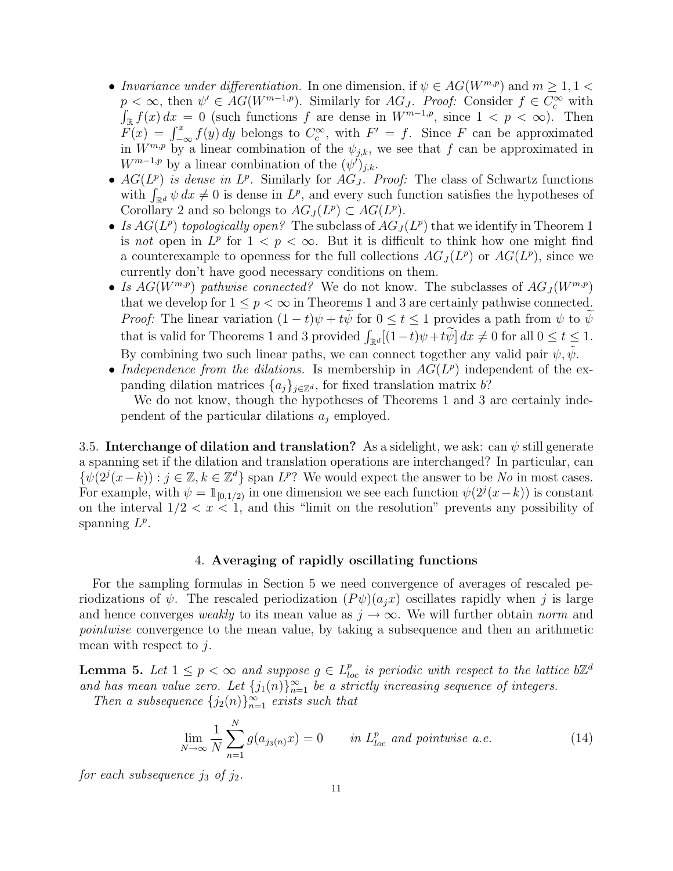- Invariance under differentiation. In one dimension, if  $\psi \in AG(W^{m,p})$  and  $m \geq 1, 1$  $p < \infty$ , then  $\psi' \in AG(W^{m-1,p})$ . Similarly for  $AG_J$ . Proof: Consider  $f \in C_c^{\infty}$  with  $\int_{\mathbb{R}} f(x) dx = 0$  (such functions f are dense in  $W^{m-1,p}$ , since  $1 < p < \infty$ ). Then  $F(x) = \int_{-\infty}^{x} f(y) dy$  belongs to  $C_c^{\infty}$ , with  $F' = f$ . Since F can be approximated in  $W^{m,p}$  by a linear combination of the  $\psi_{j,k}$ , we see that f can be approximated in  $W^{m-1,p}$  by a linear combination of the  $(\psi')_{j,k}$ .
- $AG(L^p)$  is dense in  $L^p$ . Similarly for  $AG_J$ . Proof: The class of Schwartz functions  $AG(L^p)$  is dense in  $L^p$ . Similarly for  $AG_J$ . Proof: The class of Schwartz functions<br>with  $\int_{\mathbb{R}^d} \psi \, dx \neq 0$  is dense in  $L^p$ , and every such function satisfies the hypotheses of Corollary 2 and so belongs to  $AG_J(L^p) \subset AG(L^p)$ .
- Is  $AG(L^p)$  topologically open? The subclass of  $AG_J(L^p)$  that we identify in Theorem 1 is not open in  $L^p$  for  $1 < p < \infty$ . But it is difficult to think how one might find a counterexample to openness for the full collections  $AG_J(L^p)$  or  $AG(L^p)$ , since we currently don't have good necessary conditions on them.
- Is  $AG(W^{m,p})$  pathwise connected? We do not know. The subclasses of  $AG_J(W^{m,p})$ that we develop for  $1 \leq p < \infty$  in Theorems 1 and 3 are certainly pathwise connected. *Proof:* The linear variation  $(1-t)\psi + t\psi$  for  $0 \le t \le 1$  provides a path from  $\psi$  to  $\psi$ that is valid for Theorems 1 and 3 provided  $\int_{\mathbb{R}^d} [(1-t)\psi + t\widetilde{\psi}] dx \neq 0$  for all  $0 \leq t \leq 1$ . By combining two such linear paths, we can connect together any valid pair  $\psi, \psi$ .
- Independence from the dilations. Is membership in  $AG(L^p)$  independent of the expanding dilation matrices  $\{a_j\}_{j\in\mathbb{Z}^d}$ , for fixed translation matrix b?

We do not know, though the hypotheses of Theorems 1 and 3 are certainly independent of the particular dilations  $a_i$  employed.

3.5. Interchange of dilation and translation? As a sidelight, we ask: can  $\psi$  still generate a spanning set if the dilation and translation operations are interchanged? In particular, can  $\{\psi(2^{j}(x-k)) : j \in \mathbb{Z}, k \in \mathbb{Z}^d\}$  span  $L^p$ ? We would expect the answer to be No in most cases. For example, with  $\psi = \mathbb{1}_{[0,1/2)}$  in one dimension we see each function  $\psi(2^j(x-k))$  is constant on the interval  $1/2 < x < 1$ , and this "limit on the resolution" prevents any possibility of spanning  $L^p$ .

#### 4. Averaging of rapidly oscillating functions

For the sampling formulas in Section 5 we need convergence of averages of rescaled periodizations of  $\psi$ . The rescaled periodization  $(P\psi)(a_i x)$  oscillates rapidly when j is large and hence converges weakly to its mean value as  $j \to \infty$ . We will further obtain norm and pointwise convergence to the mean value, by taking a subsequence and then an arithmetic mean with respect to  $j$ .

**Lemma 5.** Let  $1 \leq p < \infty$  and suppose  $g \in L^{p}_{loc}$  is periodic with respect to the lattice  $b\mathbb{Z}^d$ and has mean value zero. Let  ${j_1(n)}_{n=1}^{\infty}$  be a strictly increasing sequence of integers.

Then a subsequence  ${j_2(n)}_{n=1}^{\infty}$  exists such that

$$
\lim_{N \to \infty} \frac{1}{N} \sum_{n=1}^{N} g(a_{j_3(n)} x) = 0 \qquad \text{in } L^p_{loc} \text{ and pointwise a.e.}
$$
 (14)

for each subsequence  $j_3$  of  $j_2$ .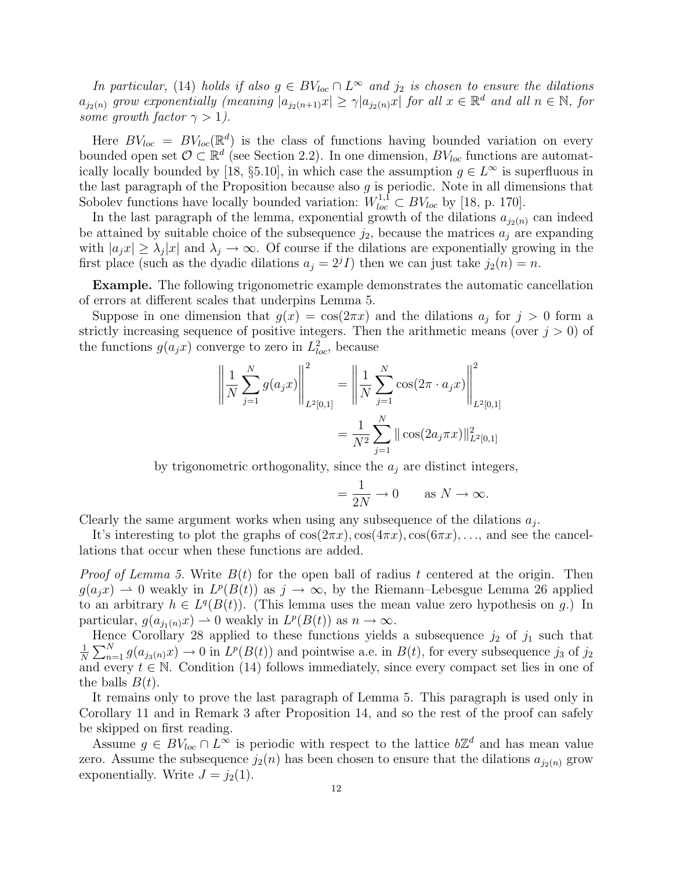In particular, (14) holds if also  $g \in BV_{loc} \cap L^{\infty}$  and  $j_2$  is chosen to ensure the dilations  $a_{j_2(n)}$  grow exponentially (meaning  $|a_{j_2(n+1)}x| \geq \gamma |a_{j_2(n)}x|$  for all  $x \in \mathbb{R}^d$  and all  $n \in \mathbb{N}$ , for some growth factor  $\gamma > 1$ ).

Here  $BV_{loc} = BV_{loc}(\mathbb{R}^d)$  is the class of functions having bounded variation on every bounded open set  $\mathcal{O} \subset \mathbb{R}^d$  (see Section 2.2). In one dimension,  $BV_{loc}$  functions are automatically locally bounded by [18, §5.10], in which case the assumption  $g \in L^{\infty}$  is superfluous in the last paragraph of the Proposition because also  $g$  is periodic. Note in all dimensions that Sobolev functions have locally bounded variation:  $W_{loc}^{1,\bar{1}} \subset BV_{loc}$  by [18, p. 170].

In the last paragraph of the lemma, exponential growth of the dilations  $a_{j_2(n)}$  can indeed be attained by suitable choice of the subsequence  $j_2$ , because the matrices  $a_j$  are expanding with  $|a_j x| \geq \lambda_j |x|$  and  $\lambda_j \to \infty$ . Of course if the dilations are exponentially growing in the first place (such as the dyadic dilations  $a_j = 2^{j} I$ ) then we can just take  $j_2(n) = n$ .

Example. The following trigonometric example demonstrates the automatic cancellation of errors at different scales that underpins Lemma 5.

Suppose in one dimension that  $g(x) = \cos(2\pi x)$  and the dilations  $a_j$  for  $j > 0$  form a strictly increasing sequence of positive integers. Then the arithmetic means (over  $j > 0$ ) of the functions  $g(a_jx)$  converge to zero in  $L^2_{loc}$ , because

$$
\left\| \frac{1}{N} \sum_{j=1}^{N} g(a_j x) \right\|_{L^2[0,1]}^2 = \left\| \frac{1}{N} \sum_{j=1}^{N} \cos(2\pi \cdot a_j x) \right\|_{L^2[0,1]}^2
$$

$$
= \frac{1}{N^2} \sum_{j=1}^{N} ||\cos(2a_j \pi x)||_{L^2[0,1]}^2
$$

by trigonometric orthogonality, since the  $a_j$  are distinct integers,

$$
= \frac{1}{2N} \to 0 \quad \text{as } N \to \infty.
$$

Clearly the same argument works when using any subsequence of the dilations  $a_j$ .

It's interesting to plot the graphs of  $\cos(2\pi x)$ ,  $\cos(4\pi x)$ ,  $\cos(6\pi x)$ , ..., and see the cancellations that occur when these functions are added.

*Proof of Lemma 5.* Write  $B(t)$  for the open ball of radius t centered at the origin. Then  $g(a_jx) \rightharpoonup 0$  weakly in  $L^p(B(t))$  as  $j \to \infty$ , by the Riemann–Lebesgue Lemma 26 applied to an arbitrary  $h \in L<sup>q</sup>(B(t))$ . (This lemma uses the mean value zero hypothesis on g.) In particular,  $g(a_{j_1(n)}x) \to 0$  weakly in  $L^p(B(t))$  as  $n \to \infty$ .

Hence Corollary 28 applied to these functions yields a subsequence  $j_2$  of  $j_1$  such that 1 N  $\overline{\nabla}N$  $_{n=1}^{N} g(a_{j_3(n)}x) \to 0$  in  $L^p(B(t))$  and pointwise a.e. in  $B(t)$ , for every subsequence  $j_3$  of  $j_2$ and every  $t \in \mathbb{N}$ . Condition (14) follows immediately, since every compact set lies in one of the balls  $B(t)$ .

It remains only to prove the last paragraph of Lemma 5. This paragraph is used only in Corollary 11 and in Remark 3 after Proposition 14, and so the rest of the proof can safely be skipped on first reading.

Assume  $g \in BV_{loc} \cap L^{\infty}$  is periodic with respect to the lattice  $b\mathbb{Z}^d$  and has mean value zero. Assume the subsequence  $j_2(n)$  has been chosen to ensure that the dilations  $a_{j_2(n)}$  grow exponentially. Write  $J = j_2(1)$ .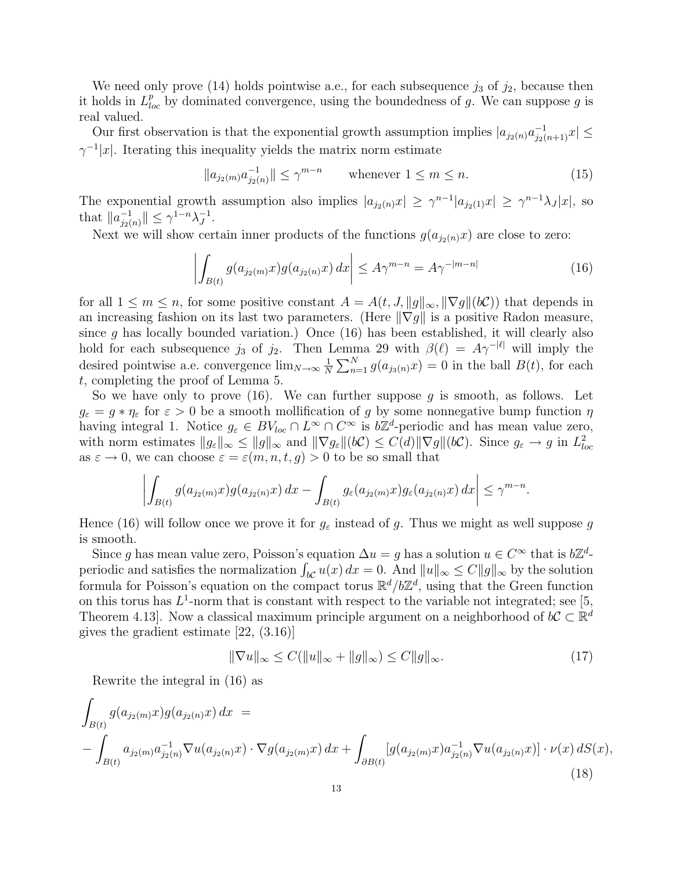We need only prove (14) holds pointwise a.e., for each subsequence  $j_3$  of  $j_2$ , because then it holds in  $L_{loc}^p$  by dominated convergence, using the boundedness of g. We can suppose g is real valued.

Our first observation is that the exponential growth assumption implies  $|a_{j_2(n)}a_{j_2(n+1)}^{-1}x| \leq$  $\gamma^{-1}|x|$ . Iterating this inequality yields the matrix norm estimate

$$
||a_{j_2(m)}a_{j_2(n)}^{-1}|| \le \gamma^{m-n} \qquad \text{whenever } 1 \le m \le n. \tag{15}
$$

The exponential growth assumption also implies  $|a_{j_2(n)}x| \geq \gamma^{n-1}|a_{j_2(1)}x| \geq \gamma^{n-1}\lambda_J|x|$ , so that  $\|a^{-1}_{i\alpha}\|$  $\|f_{j_2(n)}^{-1}\| \leq \gamma^{1-n} \lambda_J^{-1}$  $_J^{-1}.$ 

Next we will show certain inner products of the functions  $g(a_{j_2(n)}x)$  are close to zero:

$$
\left| \int_{B(t)} g(a_{j_2(m)} x) g(a_{j_2(n)} x) dx \right| \leq A \gamma^{m-n} = A \gamma^{-|m-n|}
$$
 (16)

for all  $1 \leq m \leq n$ , for some positive constant  $A = A(t, J, ||g||_{\infty}, ||\nabla g||(b\mathcal{C}))$  that depends in an increasing fashion on its last two parameters. (Here  $\|\nabla g\|$  is a positive Radon measure, since  $g$  has locally bounded variation.) Once (16) has been established, it will clearly also hold for each subsequence  $j_3$  of  $j_2$ . Then Lemma 29 with  $\beta(\ell) = A\gamma^{-|\ell|}$  will imply the desired pointwise a.e. convergence  $\lim_{N\to\infty}\frac{1}{N}$ N enn.<br> $\nabla^N$  $\sum_{n=1}^{N} g(a_{j_3(n)}x) = 0$  in the ball  $B(t)$ , for each t, completing the proof of Lemma 5.

So we have only to prove  $(16)$ . We can further suppose g is smooth, as follows. Let  $g_{\varepsilon} = g * \eta_{\varepsilon}$  for  $\varepsilon > 0$  be a smooth mollification of g by some nonnegative bump function  $\eta$ having integral 1. Notice  $g_{\varepsilon} \in BV_{loc} \cap L^{\infty} \cap C^{\infty}$  is  $b\mathbb{Z}^{d}$ -periodic and has mean value zero, with norm estimates  $||g_{\varepsilon}||_{\infty} \le ||g||_{\infty}$  and  $||\nabla g_{\varepsilon}||(b\mathcal{C}) \le C(d)||\nabla g||(b\mathcal{C})$ . Since  $g_{\varepsilon} \to g$  in  $L^2_{loc}$ as  $\varepsilon \to 0$ , we can choose  $\varepsilon = \varepsilon(m, n, t, g) > 0$  to be so small that

$$
\left| \int_{B(t)} g(a_{j_2(m)}x) g(a_{j_2(n)}x) dx - \int_{B(t)} g_{\varepsilon}(a_{j_2(m)}x) g_{\varepsilon}(a_{j_2(n)}x) dx \right| \leq \gamma^{m-n}.
$$

Hence (16) will follow once we prove it for  $g_{\varepsilon}$  instead of g. Thus we might as well suppose g is smooth.

Since g has mean value zero, Poisson's equation  $\Delta u = g$  has a solution  $u \in C^{\infty}$  that is  $b\mathbb{Z}^d$ -Since g has mean value zero, Poisson's equation  $\Delta u = g$  has a solution  $u \in C^{\infty}$  that is  $b\mathbb{Z}^n$ -<br>periodic and satisfies the normalization  $\int_{bC} u(x) dx = 0$ . And  $||u||_{\infty} \le C||g||_{\infty}$  by the solution formula for Poisson's equation on the compact torus  $\mathbb{R}^d/b\mathbb{Z}^d$ , using that the Green function on this torus has  $L^1$ -norm that is constant with respect to the variable not integrated; see [5, Theorem 4.13. Now a classical maximum principle argument on a neighborhood of  $bC \subset \mathbb{R}^d$ gives the gradient estimate [22, (3.16)]

$$
\|\nabla u\|_{\infty} \le C(\|u\|_{\infty} + \|g\|_{\infty}) \le C\|g\|_{\infty}.
$$
\n(17)

Rewrite the integral in (16) as

$$
\int_{B(t)} g(a_{j_2(m)}x)g(a_{j_2(n)}x) dx =
$$
\n
$$
-\int_{B(t)} a_{j_2(m)}a_{j_2(n)}^{-1} \nabla u(a_{j_2(n)}x) \cdot \nabla g(a_{j_2(m)}x) dx + \int_{\partial B(t)} [g(a_{j_2(m)}x) a_{j_2(n)}^{-1} \nabla u(a_{j_2(n)}x)] \cdot \nu(x) dS(x),
$$
\n(18)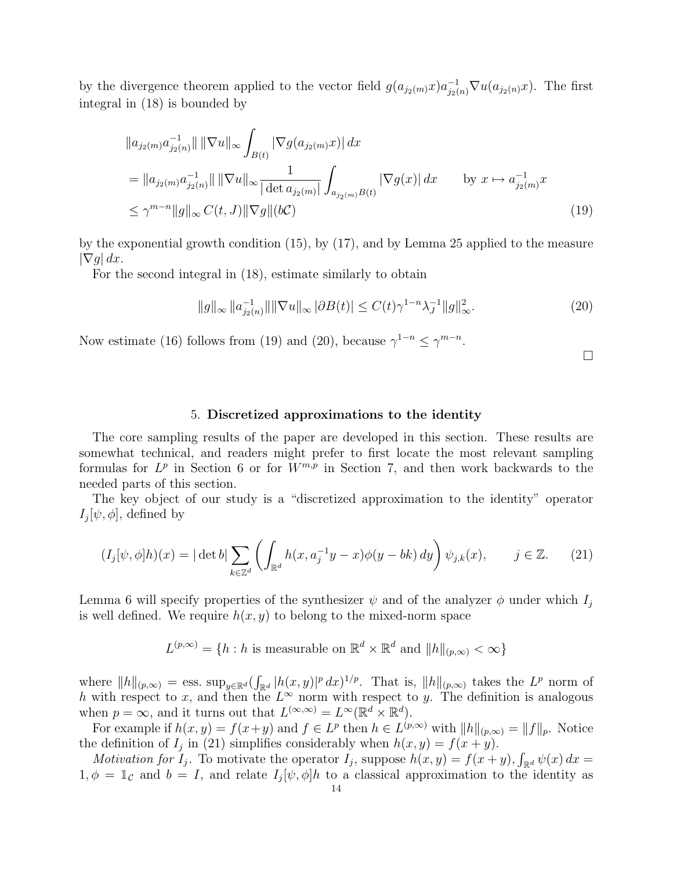by the divergence theorem applied to the vector field  $g(a_{j_2(m)}x)a_{j_2(n)}^{-1}\nabla u(a_{j_2(n)}x)$ . The first integral in (18) is bounded by

$$
||a_{j_2(m)}a_{j_2(n)}^{-1}|| ||\nabla u||_{\infty} \int_{B(t)} |\nabla g(a_{j_2(m)}x)| dx
$$
  
\n
$$
= ||a_{j_2(m)}a_{j_2(n)}^{-1}|| ||\nabla u||_{\infty} \frac{1}{|\det a_{j_2(m)}|} \int_{a_{j_2(m)}B(t)} |\nabla g(x)| dx \qquad \text{by } x \mapsto a_{j_2(m)}^{-1}x
$$
  
\n
$$
\leq \gamma^{m-n} ||g||_{\infty} C(t, J) ||\nabla g|| (bC) \qquad (19)
$$

by the exponential growth condition (15), by (17), and by Lemma 25 applied to the measure  $|\nabla g| dx$ .

For the second integral in (18), estimate similarly to obtain

$$
||g||_{\infty} ||a_{j_2(n)}^{-1}|| |\nabla u||_{\infty} |\partial B(t)| \le C(t)\gamma^{1-n}\lambda_J^{-1} ||g||_{\infty}^2.
$$
 (20)

Now estimate (16) follows from (19) and (20), because  $\gamma^{1-n} \leq \gamma^{m-n}$ .

 $\Box$ 

#### 5. Discretized approximations to the identity

The core sampling results of the paper are developed in this section. These results are somewhat technical, and readers might prefer to first locate the most relevant sampling formulas for  $L^p$  in Section 6 or for  $W^{m,p}$  in Section 7, and then work backwards to the needed parts of this section.

The key object of our study is a "discretized approximation to the identity" operator  $I_j[\psi,\phi]$ , defined by

$$
(I_j[\psi,\phi]h)(x) = |\det b| \sum_{k \in \mathbb{Z}^d} \left( \int_{\mathbb{R}^d} h(x, a_j^{-1}y - x)\phi(y - bk) dy \right) \psi_{j,k}(x), \qquad j \in \mathbb{Z}.
$$
 (21)

Lemma 6 will specify properties of the synthesizer  $\psi$  and of the analyzer  $\phi$  under which  $I_j$ is well defined. We require  $h(x, y)$  to belong to the mixed-norm space

 $L^{(p,\infty)} = \{h : h \text{ is measurable on } \mathbb{R}^d \times \mathbb{R}^d \text{ and } ||h||_{(p,\infty)} < \infty\}$ 

where  $||h||_{(p,\infty)} = \text{ess. sup}_{y \in \mathbb{R}^d}$  ( R  $\int_{\mathbb{R}^d} |h(x,y)|^p dx$ <sup>1/p</sup>. That is,  $||h||_{(p,\infty)}$  takes the  $L^p$  norm of h with respect to x, and then the  $L^{\infty}$  norm with respect to y. The definition is analogous when  $p = \infty$ , and it turns out that  $L^{(\infty,\infty)} = L^{\infty}(\mathbb{R}^d \times \mathbb{R}^d)$ .

For example if  $h(x, y) = f(x+y)$  and  $f \in L^p$  then  $h \in L^{(p,\infty)}$  with  $||h||_{(p,\infty)} = ||f||_p$ . Notice the definition of  $I_j$  in (21) simplifies considerably when  $h(x, y) = f(x + y)$ . R

*Motivation for*  $I_j$ . To motivate the operator  $I_j$ , suppose  $h(x, y) = f(x + y)$ ,  $\int_{\mathbb{R}^d} \psi(x) dx =$  $1, \phi = \mathbb{1}_{\mathcal{C}}$  and  $b = I$ , and relate  $I_j[\psi, \phi]h$  to a classical approximation to the identity as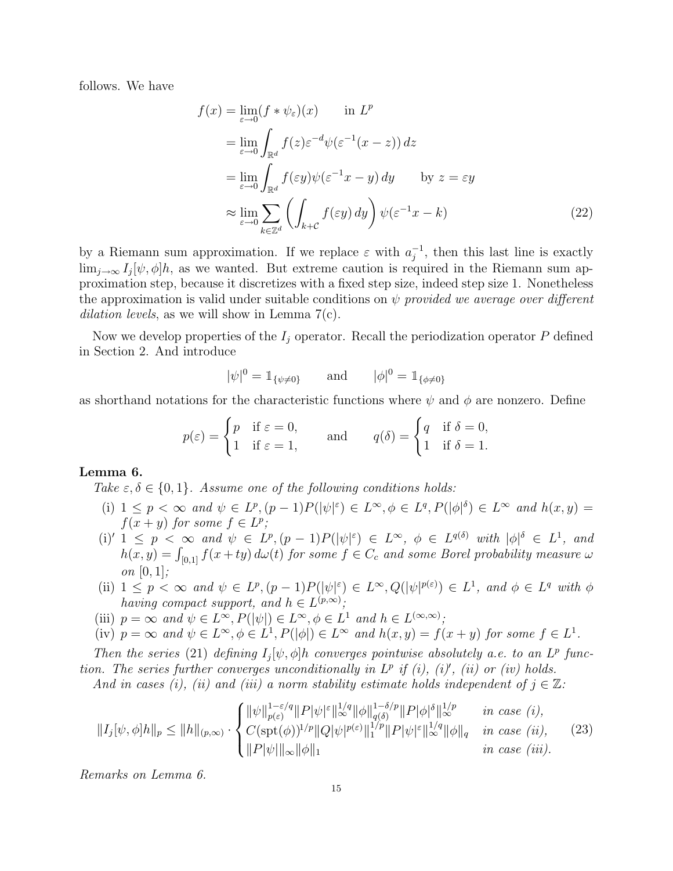follows. We have

$$
f(x) = \lim_{\varepsilon \to 0} (f * \psi_{\varepsilon})(x) \quad \text{in } L^{p}
$$
  
\n
$$
= \lim_{\varepsilon \to 0} \int_{\mathbb{R}^{d}} f(z) \varepsilon^{-d} \psi(\varepsilon^{-1}(x - z)) dz
$$
  
\n
$$
= \lim_{\varepsilon \to 0} \int_{\mathbb{R}^{d}} f(\varepsilon y) \psi(\varepsilon^{-1} x - y) dy \quad \text{by } z = \varepsilon y
$$
  
\n
$$
\approx \lim_{\varepsilon \to 0} \sum_{k \in \mathbb{Z}^{d}} \left( \int_{k+c} f(\varepsilon y) dy \right) \psi(\varepsilon^{-1} x - k)
$$
 (22)

by a Riemann sum approximation. If we replace  $\varepsilon$  with  $a_i^{-1}$  $j^{-1}$ , then this last line is exactly  $\lim_{j\to\infty} I_j[\psi,\phi]h$ , as we wanted. But extreme caution is required in the Riemann sum approximation step, because it discretizes with a fixed step size, indeed step size 1. Nonetheless the approximation is valid under suitable conditions on  $\psi$  provided we average over different dilation levels, as we will show in Lemma 7(c).

Now we develop properties of the  $I_i$  operator. Recall the periodization operator P defined in Section 2. And introduce

$$
|\psi|^0 = 1_{\{\psi \neq 0\}}
$$
 and  $|\phi|^0 = 1_{\{\phi \neq 0\}}$ 

as shorthand notations for the characteristic functions where  $\psi$  and  $\phi$  are nonzero. Define

$$
p(\varepsilon) = \begin{cases} p & \text{if } \varepsilon = 0, \\ 1 & \text{if } \varepsilon = 1, \end{cases} \quad \text{and} \quad q(\delta) = \begin{cases} q & \text{if } \delta = 0, \\ 1 & \text{if } \delta = 1. \end{cases}
$$

#### Lemma 6.

Take  $\varepsilon, \delta \in \{0, 1\}$ . Assume one of the following conditions holds:

- (i)  $1 \leq p < \infty$  and  $\psi \in L^p$ ,  $(p-1)P(|\psi|^{\varepsilon}) \in L^{\infty}$ ,  $\phi \in L^q$ ,  $P(|\phi|^{\delta}) \in L^{\infty}$  and  $h(x, y) =$  $f(x + y)$  for some  $f \in L^p$ ;
- (i)'  $1 \leq p \leq \infty$  and  $\psi \in L^p, (p-1)P(|\psi|^{\varepsilon}) \in L^{\infty}, \ \phi \in L^{q(\delta)}$  with  $|\phi|^{\delta} \in L^1$ , and  $h(x,y) = \int_{[0,1]} f(x+ty) d\omega(t)$  for some  $f \in C_c$  and some Borel probability measure  $\omega$ on  $[0, 1]$ ;
- (ii)  $1 \leq p < \infty$  and  $\psi \in L^p, (p-1)P(|\psi|^{\varepsilon}) \in L^{\infty}, Q(|\psi|^{p(\varepsilon)}) \in L^1$ , and  $\phi \in L^q$  with  $\phi$ having compact support, and  $h \in L^{(p,\infty)}$ ;
- (iii)  $p = \infty$  and  $\psi \in L^{\infty}, P(|\psi|) \in L^{\infty}, \phi \in L^{1}$  and  $h \in L^{(\infty,\infty)}$ ;
- (iv)  $p = \infty$  and  $\psi \in L^{\infty}, \phi \in L^{1}, P(|\phi|) \in L^{\infty}$  and  $h(x, y) = f(x + y)$  for some  $f \in L^{1}$ .

Then the series (21) defining  $I_j[\psi, \phi]$ h converges pointwise absolutely a.e. to an L<sup>p</sup> function. The series further converges unconditionally in  $L^p$  if (i), (i), (ii) or (iv) holds.

And in cases (i), (ii) and (iii) a norm stability estimate holds independent of  $j \in \mathbb{Z}$ :

$$
||I_{j}[\psi,\phi]h||_{p} \leq ||h||_{(p,\infty)} \cdot \begin{cases} ||\psi||_{p(\varepsilon)}^{1-\varepsilon/q} ||P|\psi|^{\varepsilon} ||_{\infty}^{1/q} ||\phi||_{q(\delta)}^{1-\delta/p} ||P|\phi|^{\delta} ||_{\infty}^{1/p} & \text{in case } (i), \\ C(\text{spt}(\phi))^{1/p} ||Q|\psi|^{p(\varepsilon)} ||_{1}^{1/p} ||P|\psi|^{\varepsilon} ||_{\infty}^{2/q} ||\phi||_{q} & \text{in case } (ii), \\ ||P|\psi||_{\infty} ||\phi||_{1} & \text{in case } (iii). \end{cases} (23)
$$

Remarks on Lemma 6.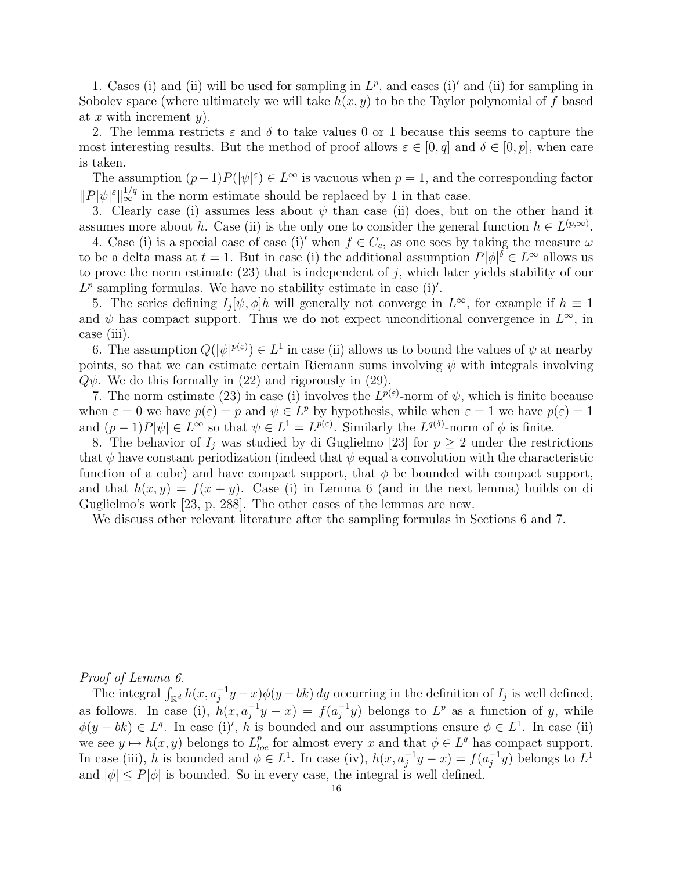1. Cases (i) and (ii) will be used for sampling in  $L^p$ , and cases (i)' and (ii) for sampling in Sobolev space (where ultimately we will take  $h(x, y)$  to be the Taylor polynomial of f based at x with increment  $y$ ).

2. The lemma restricts  $\varepsilon$  and  $\delta$  to take values 0 or 1 because this seems to capture the most interesting results. But the method of proof allows  $\varepsilon \in [0, q]$  and  $\delta \in [0, p]$ , when care is taken.

The assumption  $(p-1)P(|\psi|^{\varepsilon}) \in L^{\infty}$  is vacuous when  $p = 1$ , and the corresponding factor  $||P|\psi|^{\varepsilon}||_{\infty}^{1/q}$  in the norm estimate should be replaced by 1 in that case.

3. Clearly case (i) assumes less about  $\psi$  than case (ii) does, but on the other hand it assumes more about h. Case (ii) is the only one to consider the general function  $h \in L^{(p,\infty)}$ .

4. Case (i) is a special case of case (i)' when  $f \in C_c$ , as one sees by taking the measure  $\omega$ to be a delta mass at  $t = 1$ . But in case (i) the additional assumption  $P|\phi|^{\delta} \in L^{\infty}$  allows us to prove the norm estimate  $(23)$  that is independent of j, which later yields stability of our  $L^p$  sampling formulas. We have no stability estimate in case (i)'.

5. The series defining  $I_j[\psi, \phi]h$  will generally not converge in  $L^{\infty}$ , for example if  $h \equiv 1$ and  $\psi$  has compact support. Thus we do not expect unconditional convergence in  $L^{\infty}$ , in case (iii).

6. The assumption  $Q(|\psi|^{p(\varepsilon)}) \in L^1$  in case (ii) allows us to bound the values of  $\psi$  at nearby points, so that we can estimate certain Riemann sums involving  $\psi$  with integrals involving  $Q\psi$ . We do this formally in (22) and rigorously in (29).

7. The norm estimate (23) in case (i) involves the  $L^{p(\varepsilon)}$ -norm of  $\psi$ , which is finite because when  $\varepsilon = 0$  we have  $p(\varepsilon) = p$  and  $\psi \in L^p$  by hypothesis, while when  $\varepsilon = 1$  we have  $p(\varepsilon) = 1$ and  $(p-1)P|\psi| \in L^{\infty}$  so that  $\psi \in L^{1} = L^{p(\varepsilon)}$ . Similarly the  $L^{q(\delta)}$ -norm of  $\phi$  is finite.

8. The behavior of  $I_j$  was studied by di Guglielmo [23] for  $p \geq 2$  under the restrictions that  $\psi$  have constant periodization (indeed that  $\psi$  equal a convolution with the characteristic function of a cube) and have compact support, that  $\phi$  be bounded with compact support, and that  $h(x, y) = f(x + y)$ . Case (i) in Lemma 6 (and in the next lemma) builds on di Guglielmo's work [23, p. 288]. The other cases of the lemmas are new.

We discuss other relevant literature after the sampling formulas in Sections 6 and 7.

Proof of Lemma 6.

*oof of Lemma b.*<br>The integral  $\int_{\mathbb{R}^d} h(x, a_j^{-1}y - x) \phi(y - bk) dy$  occurring in the definition of  $I_j$  is well defined, as follows. In case (i),  $h(x, a_i^{-1}y - x) = f(a_i^{-1}y)$  $j^{-1}y$ ) belongs to  $L^p$  as a function of y, while  $\phi(y - bk) \in L^q$ . In case (i)', h is bounded and our assumptions ensure  $\phi \in L^1$ . In case (ii) we see  $y \mapsto h(x, y)$  belongs to  $L_{loc}^p$  for almost every x and that  $\phi \in L^q$  has compact support. In case (iii), h is bounded and  $\phi \in L^1$ . In case (iv),  $h(x, a_j^{-1}y - x) = f(a_j^{-1}y)$  $j^{-1}y$ ) belongs to  $L^1$ and  $|\phi| \leq P |\phi|$  is bounded. So in every case, the integral is well defined.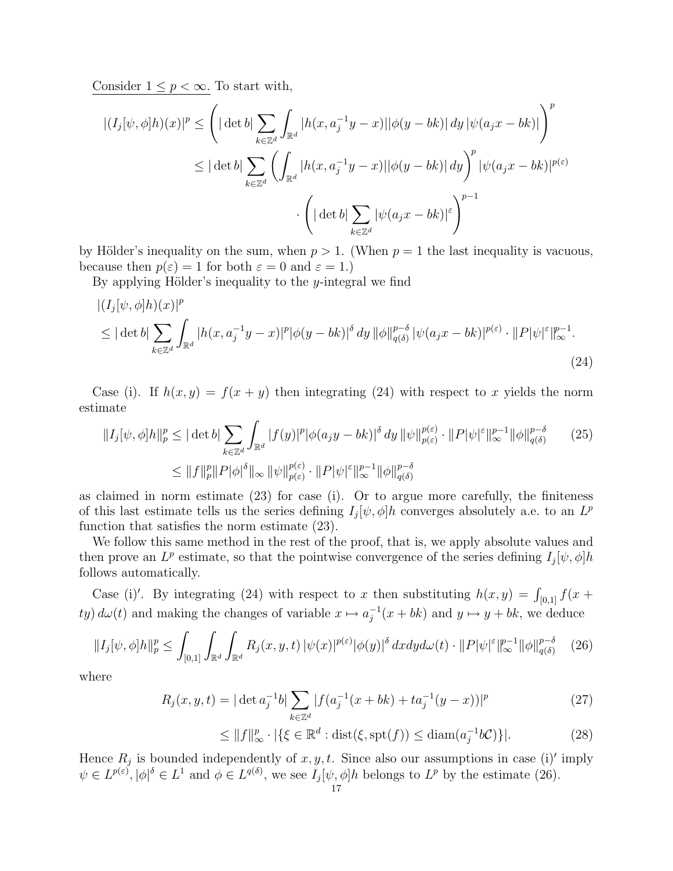Consider  $1 \leq p < \infty$ . To start with,

$$
\sqrt{|(I_j[\psi,\phi]h)(x)|^p} \leq \left( |\det b| \sum_{k \in \mathbb{Z}^d} \int_{\mathbb{R}^d} |h(x, a_j^{-1}y - x)||\phi(y - bk)| dy |\psi(a_jx - bk)| \right)^p
$$
  

$$
\leq |\det b| \sum_{k \in \mathbb{Z}^d} \left( \int_{\mathbb{R}^d} |h(x, a_j^{-1}y - x)||\phi(y - bk)| dy \right)^p |\psi(a_jx - bk)|^{p(\varepsilon)}
$$
  

$$
\cdot \left( |\det b| \sum_{k \in \mathbb{Z}^d} |\psi(a_jx - bk)|^{\varepsilon} \right)^{p-1}
$$

by Hölder's inequality on the sum, when  $p > 1$ . (When  $p = 1$  the last inequality is vacuous, because then  $p(\varepsilon) = 1$  for both  $\varepsilon = 0$  and  $\varepsilon = 1$ .

By applying Hölder's inequality to the y-integral we find

$$
\begin{aligned} &\left| (I_j[\psi,\phi]h)(x) \right|^p\\ &\leq |\det b| \sum_{k \in \mathbb{Z}^d} \int_{\mathbb{R}^d} |h(x, a_j^{-1}y - x)|^p |\phi(y - bk)|^{\delta} dy \, ||\phi||_{q(\delta)}^{p-\delta} |\psi(a_j x - bk)|^{p(\varepsilon)} \cdot ||P|\psi|^{\varepsilon}||_{\infty}^{p-1} .\end{aligned} \tag{24}
$$

Case (i). If  $h(x, y) = f(x + y)$  then integrating (24) with respect to x yields the norm estimate

$$
||I_{j}[\psi,\phi]h||_{p}^{p} \leq |\det b| \sum_{k \in \mathbb{Z}^{d}} \int_{\mathbb{R}^{d}} |f(y)|^{p} |\phi(a_{j}y-bk)|^{\delta} dy \, ||\psi||_{p(\varepsilon)}^{p(\varepsilon)} \cdot ||P|\psi|^{\varepsilon}||_{\infty}^{p-1} ||\phi||_{q(\delta)}^{p-\delta} \qquad (25)
$$
  

$$
\leq ||f||_{p}^{p} ||P|\phi|^{\delta} ||_{\infty} ||\psi||_{p(\varepsilon)}^{p(\varepsilon)} \cdot ||P|\psi|^{\varepsilon}||_{\infty}^{p-1} ||\phi||_{q(\delta)}^{p-\delta}
$$

as claimed in norm estimate (23) for case (i). Or to argue more carefully, the finiteness of this last estimate tells us the series defining  $I_j[\psi, \phi]h$  converges absolutely a.e. to an  $L^p$ function that satisfies the norm estimate (23).

We follow this same method in the rest of the proof, that is, we apply absolute values and then prove an  $L^p$  estimate, so that the pointwise convergence of the series defining  $I_j[\psi, \phi]h$ follows automatically.

Case (i)'. By integrating (24) with respect to x then substituting  $h(x, y) = \int_{[0,1]} f(x +$  $ty) d\omega(t)$  and making the changes of variable  $x \mapsto a_i^{-1}$  $j_i^{-1}(x + bk)$  and  $y \mapsto y + bk$ , we deduce

$$
||I_j[\psi, \phi]h||_p^p \le \int_{[0,1]} \int_{\mathbb{R}^d} \int_{\mathbb{R}^d} R_j(x, y, t) |\psi(x)|^{p(\varepsilon)} |\phi(y)|^{\delta} dx dy d\omega(t) \cdot ||P|\psi|^{\varepsilon} ||_{\infty}^{p-1} ||\phi||_{q(\delta)}^{p-\delta} \tag{26}
$$

where

$$
R_j(x, y, t) = |\det a_j^{-1}b| \sum_{k \in \mathbb{Z}^d} |f(a_j^{-1}(x + bk) + ta_j^{-1}(y - x))|^p
$$
 (27)

$$
\leq \|f\|_{\infty}^p \cdot |\{\xi \in \mathbb{R}^d : \text{dist}(\xi, \text{spt}(f)) \leq \text{diam}(a_j^{-1}b\mathcal{C})\}|. \tag{28}
$$

Hence  $R_j$  is bounded independently of  $x, y, t$ . Since also our assumptions in case (i)' imply  $\psi \in L^{p(\varepsilon)}, |\phi|^{\delta} \in L^{1}$  and  $\phi \in L^{q(\delta)},$  we see  $I_j[\psi, \phi]h$  belongs to  $L^p$  by the estimate (26).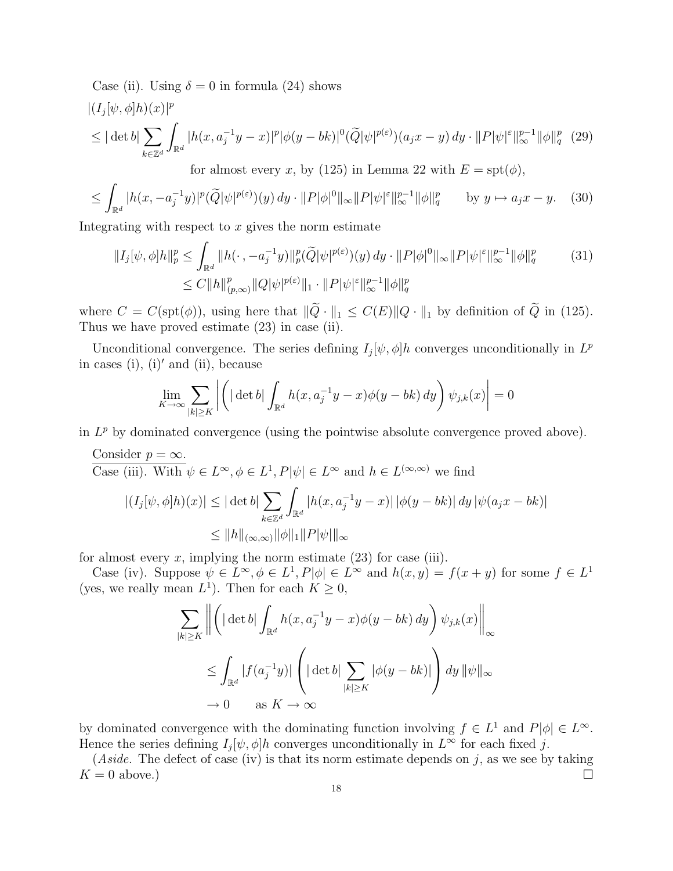Case (ii). Using  $\delta = 0$  in formula (24) shows

$$
|(I_j[\psi,\phi]h)(x)|^p
$$
  
\n
$$
\leq |\det b| \sum_{k \in \mathbb{Z}^d} \int_{\mathbb{R}^d} |h(x, a_j^{-1}y - x)|^p |\phi(y - bk)|^0 (\widetilde{Q}|\psi|^{p(\varepsilon)}) (a_j x - y) dy \cdot ||P|\psi|^{\varepsilon} ||_{\infty}^{p-1} ||\phi||_q^p (29)
$$
  
\nfor almost every  $x$ , by (125) in Lemma 22 with  $E = \text{spt}(\phi)$ ,

$$
\leq \int_{\mathbb{R}^d} |h(x, -a_j^{-1}y)|^p (\widetilde{Q}|\psi|^{p(\varepsilon)})(y) dy \cdot ||P|\phi|^0 ||_\infty ||P|\psi|^{\varepsilon} ||_\infty^{p-1} ||\phi||_q^p \qquad \text{by } y \mapsto a_j x - y. \tag{30}
$$

Integrating with respect to  $x$  gives the norm estimate

$$
||I_j[\psi,\phi]h||_p^p \le \int_{\mathbb{R}^d} ||h(\cdot, -a_j^{-1}y)||_p^p(\widetilde{Q}|\psi|^{p(\varepsilon)})(y) \, dy \cdot ||P|\phi|^0 ||_\infty ||P|\psi|^{\varepsilon}||_\infty^{p-1} ||\phi||_q^p \tag{31}
$$
  

$$
\le C||h||_{(p,\infty)}^p ||Q|\psi|^{p(\varepsilon)} ||_1 \cdot ||P|\psi|^{\varepsilon}||_\infty^{p-1} ||\phi||_q^p
$$

where  $C = C(\text{spt}(\phi))$ , using here that  $\|\tilde{Q} \cdot \|_1 \leq C(E) \|Q \cdot \|_1$  by definition of  $\tilde{Q}$  in (125). Thus we have proved estimate (23) in case (ii).

Unconditional convergence. The series defining  $I_j[\psi, \phi]h$  converges unconditionally in  $L^p$ in cases (i), (i)' and (ii), because  $\overline{a}$  $\overline{a}$  $\overline{a}$ 

$$
\lim_{K \to \infty} \sum_{|k| \ge K} \left| \left( |\det b| \int_{\mathbb{R}^d} h(x, a_j^{-1}y - x) \phi(y - bk) dy \right) \psi_{j,k}(x) \right| = 0
$$

in  $L^p$  by dominated convergence (using the pointwise absolute convergence proved above).

Consider 
$$
p = \infty
$$
.  
\nCase (iii). With  $\psi \in L^{\infty}, \phi \in L^{1}, P|\psi| \in L^{\infty}$  and  $h \in L^{(\infty,\infty)}$  we find  
\n
$$
|(I_{j}[\psi,\phi]h)(x)| \leq |\det b| \sum_{k \in \mathbb{Z}^{d}} \int_{\mathbb{R}^{d}} |h(x, a_{j}^{-1}y - x)| |\phi(y - bk)| dy |\psi(a_{j}x - bk)|
$$
\n
$$
\leq ||h||_{(\infty,\infty)} ||\phi||_{1} ||P|\psi||_{\infty}
$$

for almost every  $x$ , implying the norm estimate  $(23)$  for case (iii).

Case (iv). Suppose  $\psi \in L^{\infty}, \phi \in L^{1}, P[\phi] \in L^{\infty}$  and  $h(x, y) = f(x + y)$  for some  $f \in L^{1}$ (yes, we really mean  $L^1$ ). Then for each  $K \geq 0$ ,

$$
\sum_{|k| \ge K} \left\| \left( |\det b| \int_{\mathbb{R}^d} h(x, a_j^{-1}y - x) \phi(y - bk) dy \right) \psi_{j,k}(x) \right\|_{\infty}
$$
  

$$
\le \int_{\mathbb{R}^d} |f(a_j^{-1}y)| \left( |\det b| \sum_{|k| \ge K} |\phi(y - bk)| \right) dy \|\psi\|_{\infty}
$$
  

$$
\to 0 \quad \text{as } K \to \infty
$$

by dominated convergence with the dominating function involving  $f \in L^1$  and  $P[\phi] \in L^{\infty}$ . Hence the series defining  $I_j[\psi, \phi]h$  converges unconditionally in  $L^{\infty}$  for each fixed j.

(Aside. The defect of case (iv) is that its norm estimate depends on j, as we see by taking  $K = 0$  above.)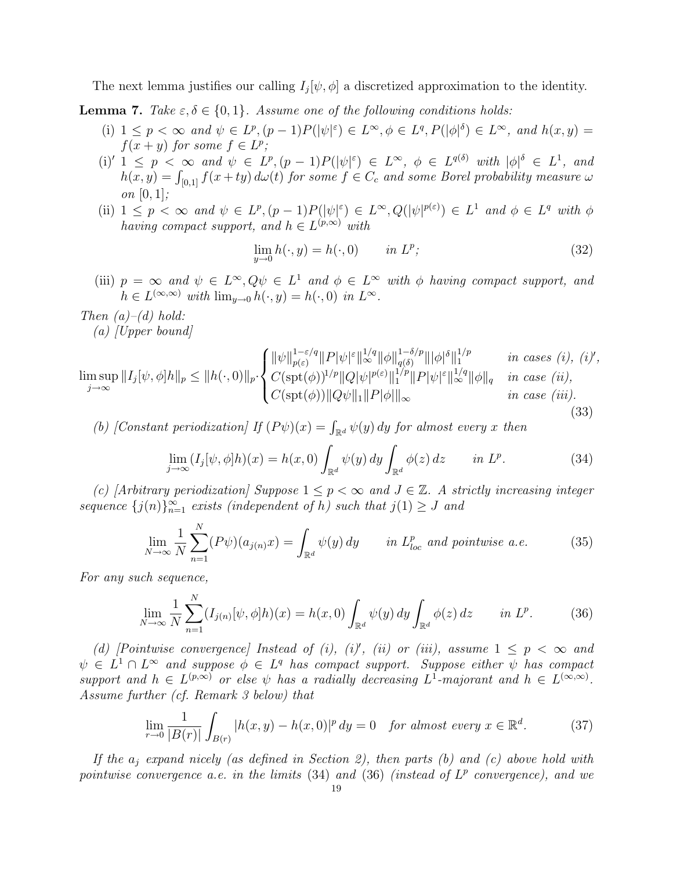The next lemma justifies our calling  $I_j[\psi, \phi]$  a discretized approximation to the identity.

**Lemma 7.** Take  $\varepsilon, \delta \in \{0, 1\}$ . Assume one of the following conditions holds:

- (i)  $1 \leq p < \infty$  and  $\psi \in L^p$ ,  $(p-1)P(|\psi|^{\varepsilon}) \in L^{\infty}$ ,  $\phi \in L^q$ ,  $P(|\phi|^{\delta}) \in L^{\infty}$ , and  $h(x, y) =$  $f(x + y)$  for some  $f \in L^p$ ;
- (i)'  $1 \leq p \leq \infty$  and  $\psi \in L^p, (p-1)P(|\psi|^{\varepsilon}) \in L^{\infty}, \ \phi \in L^{q(\delta)}$  with  $|\phi|^{\delta} \in L^1$ , and  $h(x,y) = \int_{[0,1]} f(x+ty) d\omega(t)$  for some  $f \in C_c$  and some Borel probability measure  $\omega$ on  $[0, 1]$ ;
- (ii)  $1 \leq p \leq \infty$  and  $\psi \in L^p$ ,  $(p-1)P(|\psi|^{\varepsilon}) \in L^{\infty}$ ,  $Q(|\psi|^{p(\varepsilon)}) \in L^1$  and  $\phi \in L^q$  with  $\phi$ having compact support, and  $h \in L^{(p,\infty)}$  with

$$
\lim_{y \to 0} h(\cdot, y) = h(\cdot, 0) \qquad in \ L^p; \tag{32}
$$

(iii)  $p = \infty$  and  $\psi \in L^{\infty}, Q\psi \in L^{1}$  and  $\phi \in L^{\infty}$  with  $\phi$  having compact support, and  $h \in L^{(\infty,\infty)}$  with  $\lim_{y\to 0} h(\cdot,y) = h(\cdot,0)$  in  $L^{\infty}$ .

Then  $(a)$ – $(d)$  hold:

 $(a)$  [Upper bound]

$$
\limsup_{j \to \infty} ||I_j[\psi, \phi]h||_p \le ||h(\cdot, 0)||_p \cdot \begin{cases} ||\psi||_{p(\varepsilon)}^{1-\varepsilon/q} ||P|\psi|^{\varepsilon} ||_{\infty}^{1/q} ||\phi||_{q(\delta)}^{1-\delta/p} |||\phi|^{\delta} ||_1^{1/p} & \text{in cases } (i), (i)' ,\\ C(\text{spt}(\phi))^{1/p} ||Q|\psi|^{p(\varepsilon)} ||_1^{1/p} ||P|\psi|^{\varepsilon} ||_{\infty}^{1/q} ||\phi||_q & \text{in case } (ii),\\ C(\text{spt}(\phi)) ||Q\psi||_1 ||P|\phi|| ||_{\infty} & \text{in case } (iii). \end{cases}
$$
(33)

(b) [Constant periodization] If  $(P\psi)(x) = \int_{\mathbb{R}^d} \psi(y) dy$  for almost every x then

$$
\lim_{j \to \infty} (I_j[\psi, \phi]h)(x) = h(x, 0) \int_{\mathbb{R}^d} \psi(y) \, dy \int_{\mathbb{R}^d} \phi(z) \, dz \qquad in \ L^p. \tag{34}
$$

(c) [Arbitrary periodization] Suppose  $1 \leq p < \infty$  and  $J \in \mathbb{Z}$ . A strictly increasing integer sequence  $\{j(n)\}_{n=1}^{\infty}$  exists (independent of h) such that  $j(1) \geq J$  and

$$
\lim_{N \to \infty} \frac{1}{N} \sum_{n=1}^{N} (P\psi)(a_{j(n)}x) = \int_{\mathbb{R}^d} \psi(y) \, dy \qquad \text{in } L^p_{loc} \text{ and pointwise a.e.}
$$
 (35)

For any such sequence,

$$
\lim_{N \to \infty} \frac{1}{N} \sum_{n=1}^{N} (I_{j(n)}[\psi, \phi]h)(x) = h(x, 0) \int_{\mathbb{R}^d} \psi(y) \, dy \int_{\mathbb{R}^d} \phi(z) \, dz \qquad in \ L^p. \tag{36}
$$

(d) [Pointwise convergence] Instead of (i), (i)', (ii) or (iii), assume  $1 \leq p \leq \infty$  and  $\psi \in L^1 \cap L^{\infty}$  and suppose  $\phi \in L^q$  has compact support. Suppose either  $\psi$  has compact support and  $h \in L^{(p,\infty)}$  or else  $\psi$  has a radially decreasing  $L^1$ -majorant and  $h \in L^{(\infty,\infty)}$ . Assume further (cf. Remark 3 below) that

$$
\lim_{r \to 0} \frac{1}{|B(r)|} \int_{B(r)} |h(x, y) - h(x, 0)|^p dy = 0 \quad \text{for almost every } x \in \mathbb{R}^d. \tag{37}
$$

If the  $a_i$  expand nicely (as defined in Section 2), then parts (b) and (c) above hold with pointwise convergence a.e. in the limits  $(34)$  and  $(36)$  (instead of  $L^p$  convergence), and we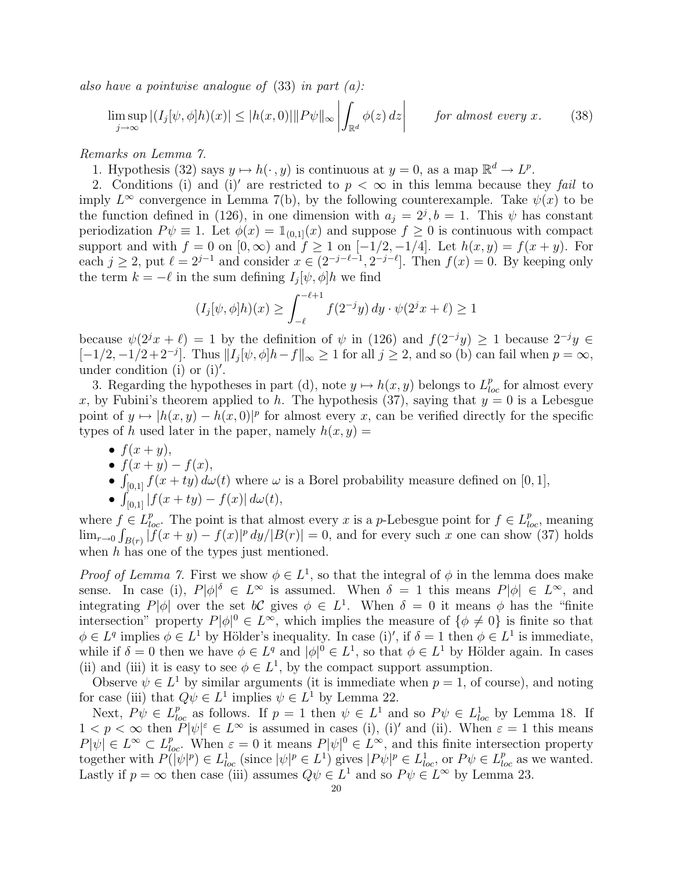also have a pointwise analogue of  $(33)$  in part  $(a)$ : −<br>⊤

$$
\limsup_{j \to \infty} |(I_j[\psi, \phi]h)(x)| \le |h(x, 0)| \|P\psi\|_{\infty} \left| \int_{\mathbb{R}^d} \phi(z) dz \right| \qquad \text{for almost every } x. \tag{38}
$$

Remarks on Lemma 7.

1. Hypothesis (32) says  $y \mapsto h(\cdot, y)$  is continuous at  $y = 0$ , as a map  $\mathbb{R}^d \to L^p$ .

2. Conditions (i) and (i)' are restricted to  $p < \infty$  in this lemma because they fail to imply  $L^{\infty}$  convergence in Lemma 7(b), by the following counterexample. Take  $\psi(x)$  to be the function defined in (126), in one dimension with  $a_j = 2^j, b = 1$ . This  $\psi$  has constant periodization  $P\psi \equiv 1$ . Let  $\phi(x) = \mathbb{1}_{(0,1]}(x)$  and suppose  $f \geq 0$  is continuous with compact support and with  $f = 0$  on  $[0, \infty)$  and  $f \ge 1$  on  $[-1/2, -1/4]$ . Let  $h(x, y) = f(x + y)$ . For each  $j \ge 2$ , put  $\ell = 2^{j-1}$  and consider  $x \in (2^{-j-\ell-1}, 2^{-j-\ell}]$ . Then  $f(x) = 0$ . By keeping only the term  $k = -\ell$  in the sum defining  $I_j[\psi, \phi]h$  we find

$$
(I_j[\psi,\phi]h)(x) \ge \int_{-\ell}^{-\ell+1} f(2^{-j}y) \, dy \cdot \psi(2^{j}x + \ell) \ge 1
$$

because  $\psi(2^jx + \ell) = 1$  by the definition of  $\psi$  in (126) and  $f(2^{-j}y) \ge 1$  because  $2^{-j}y \in$  $[-1/2, -1/2+2^{-j}]$ . Thus  $||I_j[\psi, \phi]h - f||_{\infty} \ge 1$  for all  $j \ge 2$ , and so (b) can fail when  $p = \infty$ , under condition (i) or  $(i)'$ .

3. Regarding the hypotheses in part (d), note  $y \mapsto h(x, y)$  belongs to  $L_{loc}^p$  for almost every x, by Fubini's theorem applied to h. The hypothesis (37), saying that  $y = 0$  is a Lebesgue point of  $y \mapsto |h(x, y) - h(x, 0)|^p$  for almost every x, can be verified directly for the specific types of h used later in the paper, namely  $h(x, y) =$ 

- $f(x+y)$ ,
- $f(x + y) f(x)$ ,
- $\int_{[0,1]} f(x+ty) d\omega(t)$  where  $\omega$  is a Borel probability measure defined on [0, 1],
- $\int_{[0,1]} |f(x+ty)-f(x)| d\omega(t),$

where  $f \in L_{loc}^p$ . The point is that almost every x is a p-Lebesgue point for  $f \in L_{loc}^p$  meaning  $\lim_{r\to 0} \int_{B(r)} |f(x+y) - f(x)|^p dy/|B(r)| = 0$ , and for every such x one can show (37) holds when h has one of the types just mentioned.

*Proof of Lemma 7.* First we show  $\phi \in L^1$ , so that the integral of  $\phi$  in the lemma does make sense. In case (i),  $P|\phi|^{\delta} \in L^{\infty}$  is assumed. When  $\delta = 1$  this means  $P|\phi| \in L^{\infty}$ , and integrating  $P[\phi]$  over the set  $b\mathcal{C}$  gives  $\phi \in L^1$ . When  $\delta = 0$  it means  $\phi$  has the "finite" intersection" property  $P|\phi|^0 \in L^{\infty}$ , which implies the measure of  $\{\phi \neq 0\}$  is finite so that  $\phi \in L^q$  implies  $\phi \in L^1$  by Hölder's inequality. In case (i)', if  $\delta = 1$  then  $\phi \in L^1$  is immediate, while if  $\delta = 0$  then we have  $\phi \in L^q$  and  $|\phi|^0 \in L^1$ , so that  $\phi \in L^1$  by Hölder again. In cases (ii) and (iii) it is easy to see  $\phi \in L^1$ , by the compact support assumption.

Observe  $\psi \in L^1$  by similar arguments (it is immediate when  $p = 1$ , of course), and noting for case (iii) that  $Q\psi \in L^1$  implies  $\psi \in L^1$  by Lemma 22.

Next,  $P\psi \in L_{loc}^p$  as follows. If  $p = 1$  then  $\psi \in L^1$  and so  $P\psi \in L_{loc}^1$  by Lemma 18. If  $1 < p < \infty$  then  $P|\psi|^{\varepsilon} \in L^{\infty}$  is assumed in cases (i), (i)' and (ii). When  $\varepsilon = 1$  this means  $P[\psi] \in L^{\infty} \subset L^{p}_{loc}$ . When  $\varepsilon = 0$  it means  $P[\psi] \in L^{\infty}$ , and this finite intersection property together with  $P(\psi|p) \in L^1_{loc}$  (since  $|\psi|^p \in L^1$ ) gives  $|P\psi|^p \in L^1_{loc}$ , or  $P\psi \in L^p_{loc}$  as we wanted. Lastly if  $p = \infty$  then case (iii) assumes  $Q\psi \in L^1$  and so  $P\psi \in L^{\infty}$  by Lemma 23.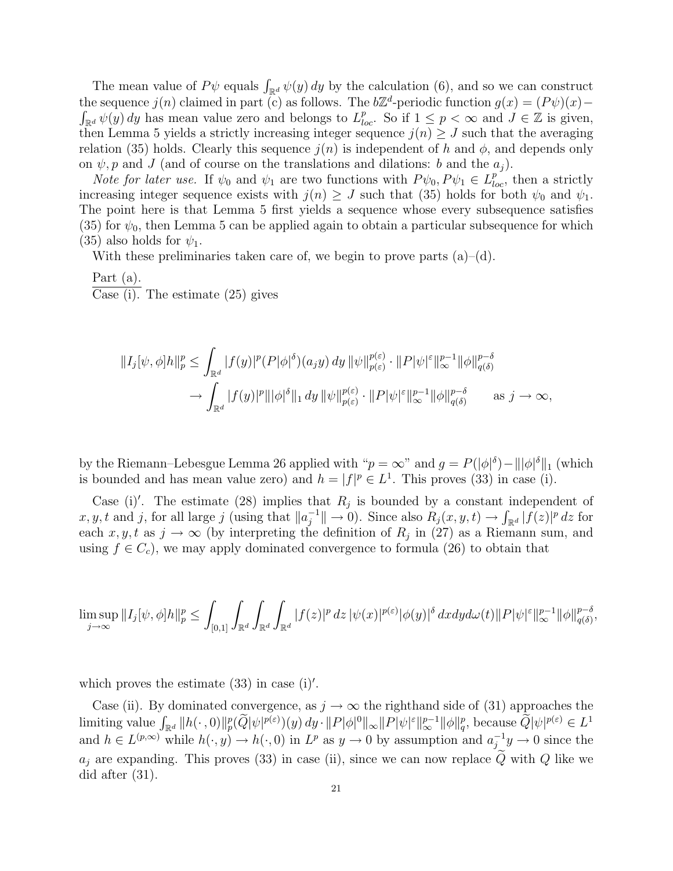The mean value of  $P\psi$  equals  $\int_{\mathbb{R}^d} \psi(y) dy$  by the calculation (6), and so we can construct the sequence  $j(n)$  claimed in part (c) as follows. The  $b\mathbb{Z}^d$ -periodic function  $g(x) = (P\psi)(x) \sum_{\mathbb{R}^d} \psi(y) dy$  has mean value zero and belongs to  $L^p_{loc}$ . So if  $1 \leq p < \infty$  and  $J \in \mathbb{Z}$  is given, then Lemma 5 yields a strictly increasing integer sequence  $j(n) \geq J$  such that the averaging relation (35) holds. Clearly this sequence  $j(n)$  is independent of h and  $\phi$ , and depends only on  $\psi, p$  and J (and of course on the translations and dilations: b and the  $a_i$ ).

*Note for later use.* If  $\psi_0$  and  $\psi_1$  are two functions with  $P\psi_0, P\psi_1 \in L^{p}_{loc}$ , then a strictly increasing integer sequence exists with  $j(n) \geq J$  such that (35) holds for both  $\psi_0$  and  $\psi_1$ . The point here is that Lemma 5 first yields a sequence whose every subsequence satisfies (35) for  $\psi_0$ , then Lemma 5 can be applied again to obtain a particular subsequence for which (35) also holds for  $\psi_1$ .

With these preliminaries taken care of, we begin to prove parts  $(a)$ – $(d)$ .

Part (a). Case (i). The estimate (25) gives

$$
\begin{split} \|I_j[\psi,\phi]h\|_p^p &\leq \int_{\mathbb{R}^d} |f(y)|^p (P|\phi|^\delta)(a_jy)\,dy\, \|\psi\|_{p(\varepsilon)}^{p(\varepsilon)}\cdot \|P|\psi|^\varepsilon\|_\infty^{p-1} \|\phi\|_{q(\delta)}^{p-\delta} \\ &\to \int_{\mathbb{R}^d} |f(y)|^p \|\|\phi|^\delta\|_1\,dy\, \|\psi\|_{p(\varepsilon)}^{p(\varepsilon)}\cdot \|P|\psi|^\varepsilon\|_\infty^{p-1} \|\phi\|_{q(\delta)}^{p-\delta} \qquad \text{as } j\to\infty, \end{split}
$$

by the Riemann–Lebesgue Lemma 26 applied with " $p = \infty$ " and  $g = P(|\phi|^{\delta}) - ||\phi|^{\delta}||_1$  (which is bounded and has mean value zero) and  $h = |f|^p \in L^1$ . This proves (33) in case (i).

Case (i)'. The estimate (28) implies that  $R_j$  is bounded by a constant independent of  $x, y, t$  and j, for all large j (using that  $||a_i^{-1}||$  $\int_{\mathbb{R}^d} f(x, y, t) \to \int_{\mathbb{R}^d} |f(z)|^p dz$  for each  $x, y, t$  as  $j \to \infty$  (by interpreting the definition of  $R_j$  in (27) as a Riemann sum, and using  $f \in C_c$ , we may apply dominated convergence to formula (26) to obtain that

$$
\limsup_{j\to\infty}||I_j[\psi,\phi]h||_p^p\leq \int_{[0,1]}\int_{\mathbb{R}^d}\int_{\mathbb{R}^d} |f(z)|^p\,dz\,|\psi(x)|^{p(\varepsilon)}|\phi(y)|^{\delta}\,dxdyd\omega(t)||P|\psi|^{\varepsilon}\|_{\infty}^{p-1}||\phi||_{q(\delta)}^{p-\delta},
$$

which proves the estimate  $(33)$  in case  $(i)$ .

Case (ii). By dominated convergence, as  $j \to \infty$  the righthand side of (31) approaches the Case (ii). By dominated convergence, as  $\mathcal{I} \to \infty$  the rightmand side of (31) approaches the<br>limiting value  $\int_{\mathbb{R}^d} ||h(\cdot, 0)||_p^p(\widetilde{Q}|\psi|^{p(\varepsilon)})(y) dy \cdot ||P|\phi|^0 ||_{\infty} ||P|\psi|^{\varepsilon} ||_p^{p-1} ||\phi||_q^p$ , because  $\widetilde{Q}|\psi|^{p$ and  $h \in L^{(p,\infty)}$  while  $h(\cdot,y) \to h(\cdot,0)$  in  $L^p$  as  $y \to 0$  by assumption and  $a_i^{-1}$  $j^{-1}y \to 0$  since the  $a_i$  are expanding. This proves (33) in case (ii), since we can now replace Q with Q like we did after (31).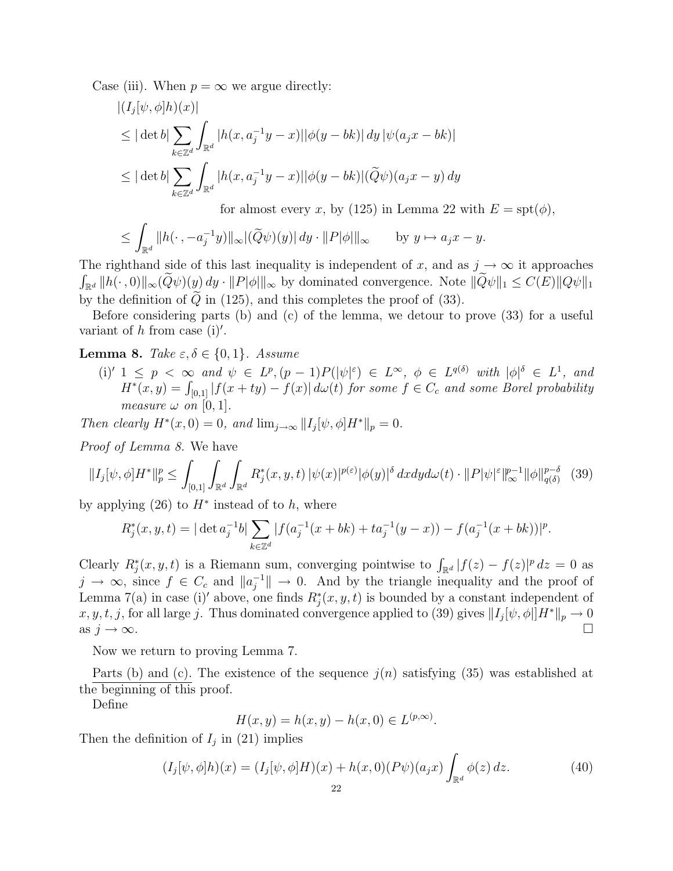Case (iii). When  $p = \infty$  we argue directly:

$$
\begin{aligned} |(I_j[\psi,\phi]h)(x)| \\ &\leq |\det b| \sum_{k \in \mathbb{Z}^d} \int_{\mathbb{R}^d} |h(x, a_j^{-1}y - x)| |\phi(y - bk)| \, dy \, |\psi(a_j x - bk)| \\ &\leq |\det b| \sum_{k \in \mathbb{Z}^d} \int_{\mathbb{R}^d} |h(x, a_j^{-1}y - x)| |\phi(y - bk)| (\widetilde{Q}\psi)(a_j x - y) \, dy \\ &\text{for almost every } x, \text{ by (125) in Lemma 22 with } E = \text{spt}(\phi), \end{aligned}
$$

$$
\leq \int_{\mathbb{R}^d} \|h(\cdot\,,-a_j^{-1}y)\|_\infty |(\widetilde{Q}\psi)(y)|\,dy\cdot\|P|\phi|\|_\infty \qquad \text{by } y\mapsto a_jx-y.
$$

The righthand side of this last inequality is independent of x, and as  $j \to \infty$  it approaches  $\int_{\mathbb{R}^d} ||h(\cdot, 0)||_{\infty}(\widetilde{Q}\psi)(y) dy \cdot ||P|\phi||_{\infty}$  by dominated convergence. Note  $\|\widetilde{Q}\psi\|_1 \leq C(E)\|Q\psi\|_1$ by the definition of  $\tilde{Q}$  in (125), and this completes the proof of (33).

Before considering parts (b) and (c) of the lemma, we detour to prove (33) for a useful variant of h from case (i)'.

Lemma 8. Take  $\varepsilon, \delta \in \{0, 1\}$ . Assume

(i)'  $1 \leq p \leq \infty$  and  $\psi \in L^p, (p-1)P(|\psi|^{\varepsilon}) \in L^{\infty}, \ \phi \in L^{q(\delta)}$  with  $|\phi|^{\delta} \in L^1$ , and  $H^*(x,y) = \int_{[0,1]} |f(x+ty) - f(x)| d\omega(t)$  for some  $f \in C_c$  and some Borel probability measure  $\omega$  on [0, 1].

Then clearly  $H^*(x,0) = 0$ , and  $\lim_{j\to\infty} ||I_j[\psi,\phi]H^*||_p = 0$ .

Proof of Lemma 8. We have

$$
||I_j[\psi,\phi]H^*||_p^p \le \int_{[0,1]} \int_{\mathbb{R}^d} \int_{\mathbb{R}^d} R_j^*(x,y,t) \, |\psi(x)|^{p(\varepsilon)} |\phi(y)|^\delta \, dxdy d\omega(t) \cdot ||P|\psi|^{\varepsilon}||_\infty^{p-1} ||\phi||_{q(\delta)}^{p-\delta} \tag{39}
$$

by applying  $(26)$  to  $H^*$  instead of to h, where

$$
R_j^*(x, y, t) = |\det a_j^{-1}b| \sum_{k \in \mathbb{Z}^d} |f(a_j^{-1}(x + bk) + ta_j^{-1}(y - x)) - f(a_j^{-1}(x + bk))|^p.
$$

Clearly  $R_j^*(x, y, t)$  is a Riemann sum, converging pointwise to  $\int_{\mathbb{R}^d} |f(z) - f(z)|^p dz = 0$  as  $j \to \infty$ , since  $f \in C_c$  and  $||a_i^{-1}||$  $\int_{i}^{-1}$   $\parallel \rightarrow 0$ . And by the triangle inequality and the proof of Lemma 7(a) in case (i)' above, one finds  $R_j^*(x, y, t)$  is bounded by a constant independent of  $x, y, t, j$ , for all large j. Thus dominated convergence applied to (39) gives  $||I_j[\psi, \phi||H^*||_p \to 0$ as  $j \to \infty$ .

Now we return to proving Lemma 7.

Parts (b) and (c). The existence of the sequence  $j(n)$  satisfying (35) was established at the beginning of this proof.

Define

$$
H(x, y) = h(x, y) - h(x, 0) \in L^{(p, \infty)}.
$$

Then the definition of  $I_j$  in (21) implies

$$
(I_j[\psi, \phi]h)(x) = (I_j[\psi, \phi]H)(x) + h(x, 0)(P\psi)(a_j x) \int_{\mathbb{R}^d} \phi(z) dz.
$$
 (40)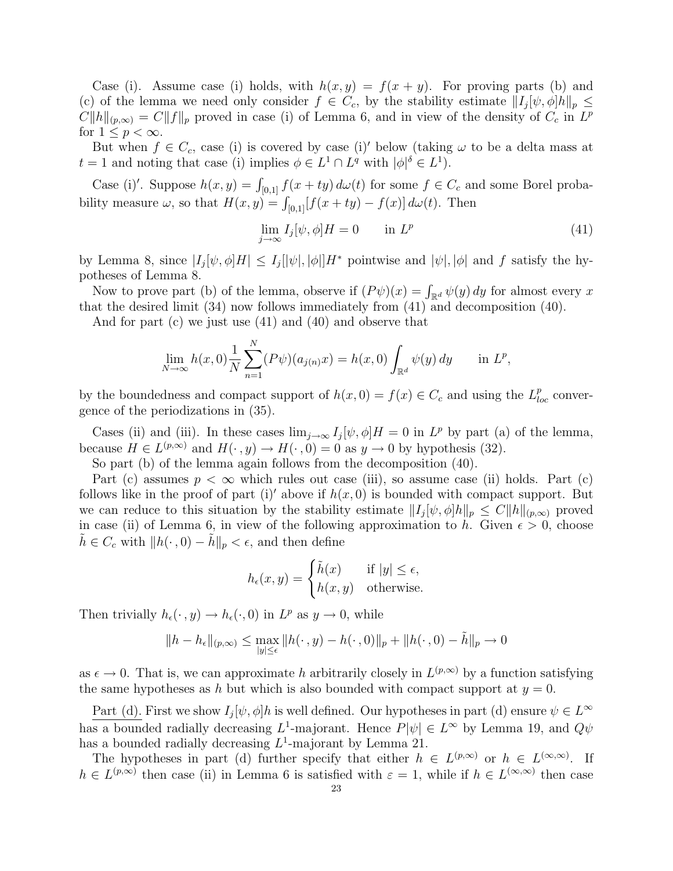Case (i). Assume case (i) holds, with  $h(x, y) = f(x + y)$ . For proving parts (b) and (c) of the lemma we need only consider  $f \in C_c$ , by the stability estimate  $||I_j[\psi, \phi]h||_p \le$  $C||h||_{(p,\infty)} = C||f||_p$  proved in case (i) of Lemma 6, and in view of the density of  $C_c$  in  $L^p$ for  $1 \leq p < \infty$ .

But when  $f \in C_c$ , case (i) is covered by case (i)' below (taking  $\omega$  to be a delta mass at  $t = 1$  and noting that case (i) implies  $\phi \in L^1 \cap L^q$  with  $|\phi|^{\delta} \in L^1$ .

Case (i)'. Suppose  $h(x, y) = \int_{[0,1]} f(x + ty) d\omega(t)$  for some  $f \in C_c$  and some Borel probability measure  $\omega$ , so that  $H(x, y) = \int_{[0,1]} [f(x + ty) - f(x)] d\omega(t)$ . Then

$$
\lim_{j \to \infty} I_j[\psi, \phi]H = 0 \qquad \text{in } L^p \tag{41}
$$

by Lemma 8, since  $|I_j[\psi,\phi]H| \leq I_j[|\psi|,|\phi|]H^*$  pointwise and  $|\psi|, |\phi|$  and f satisfy the hypotheses of Lemma 8.

Now to prove part (b) of the lemma, observe if  $(P\psi)(x) = \int_{\mathbb{R}^d} \psi(y) dy$  for almost every x that the desired limit (34) now follows immediately from (41) and decomposition (40).

And for part (c) we just use (41) and (40) and observe that

$$
\lim_{N \to \infty} h(x,0) \frac{1}{N} \sum_{n=1}^{N} (P\psi)(a_{j(n)}x) = h(x,0) \int_{\mathbb{R}^d} \psi(y) \, dy \quad \text{in } L^p,
$$

by the boundedness and compact support of  $h(x, 0) = f(x) \in C_c$  and using the  $L_{loc}^p$  convergence of the periodizations in (35).

Cases (ii) and (iii). In these cases  $\lim_{j\to\infty} I_j[\psi,\phi]H = 0$  in  $L^p$  by part (a) of the lemma, because  $H \in L^{(p,\infty)}$  and  $H(\cdot, y) \to H(\cdot, 0) = 0$  as  $y \to 0$  by hypothesis (32).

So part (b) of the lemma again follows from the decomposition (40).

Part (c) assumes  $p < \infty$  which rules out case (iii), so assume case (ii) holds. Part (c) follows like in the proof of part (i)' above if  $h(x, 0)$  is bounded with compact support. But we can reduce to this situation by the stability estimate  $||I_j[\psi,\phi]h||_p \leq C||h||_{(p,\infty)}$  proved in case (ii) of Lemma 6, in view of the following approximation to h. Given  $\epsilon > 0$ , choose  $\tilde{h} \in C_c$  with  $||h(\cdot, 0) - \tilde{h}||_p < \epsilon$ , and then define

$$
h_{\epsilon}(x, y) = \begin{cases} \tilde{h}(x) & \text{if } |y| \le \epsilon, \\ h(x, y) & \text{otherwise.} \end{cases}
$$

Then trivially  $h_{\epsilon}(\cdot, y) \to h_{\epsilon}(\cdot, 0)$  in  $L^p$  as  $y \to 0$ , while

$$
||h - h_{\epsilon}||_{(p,\infty)} \le \max_{|y| \le \epsilon} ||h(\cdot,y) - h(\cdot,0)||_{p} + ||h(\cdot,0) - \tilde{h}||_{p} \to 0
$$

as  $\epsilon \to 0$ . That is, we can approximate h arbitrarily closely in  $L^{(p,\infty)}$  by a function satisfying the same hypotheses as h but which is also bounded with compact support at  $y = 0$ .

Part (d). First we show  $I_j[\psi, \phi]h$  is well defined. Our hypotheses in part (d) ensure  $\psi \in L^{\infty}$ has a bounded radially decreasing  $L^1$ -majorant. Hence  $P[\psi] \in L^{\infty}$  by Lemma 19, and  $Q\psi$ has a bounded radially decreasing  $L^1$ -majorant by Lemma 21.

The hypotheses in part (d) further specify that either  $h \in L^{(p,\infty)}$  or  $h \in L^{(\infty,\infty)}$ . If  $h \in L^{(p,\infty)}$  then case (ii) in Lemma 6 is satisfied with  $\varepsilon = 1$ , while if  $h \in L^{(\infty,\infty)}$  then case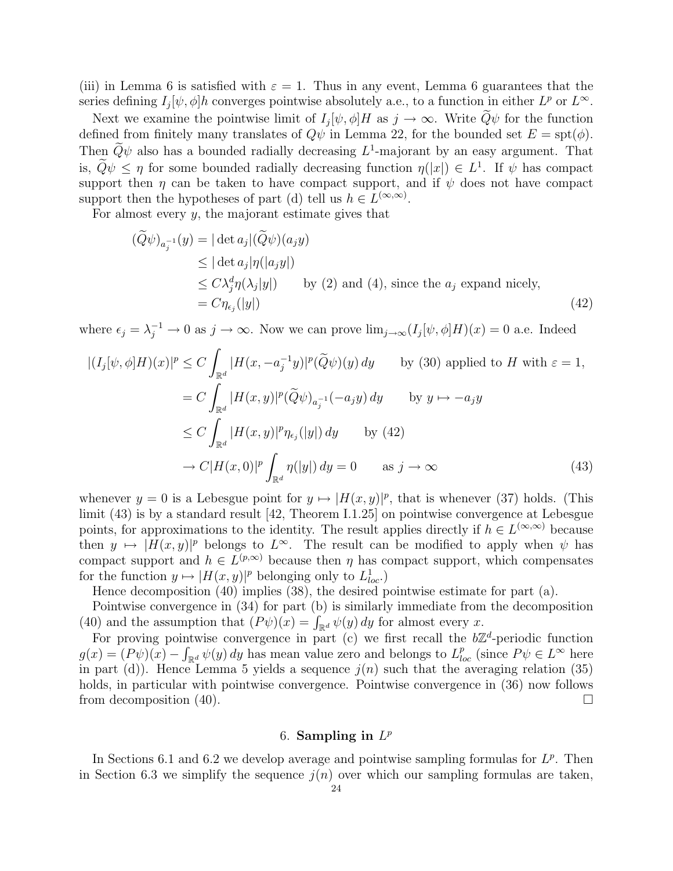(iii) in Lemma 6 is satisfied with  $\varepsilon = 1$ . Thus in any event, Lemma 6 guarantees that the series defining  $I_j[\psi, \phi]h$  converges pointwise absolutely a.e., to a function in either  $L^p$  or  $L^\infty$ .

Next we examine the pointwise limit of  $I_j[\psi, \phi]H$  as  $j \to \infty$ . Write  $\tilde{Q}\psi$  for the function defined from finitely many translates of  $Q\psi$  in Lemma 22, for the bounded set  $E = \text{spt}(\phi)$ . Then  $\widetilde{Q}\psi$  also has a bounded radially decreasing  $L^1$ -majorant by an easy argument. That is,  $\widetilde{Q}\psi \leq \eta$  for some bounded radially decreasing function  $\eta(|x|) \in L^1$ . If  $\psi$  has compact support then  $\eta$  can be taken to have compact support, and if  $\psi$  does not have compact support then the hypotheses of part (d) tell us  $h \in L^{(\infty,\infty)}$ .

For almost every  $y$ , the majorant estimate gives that

$$
(\widetilde{Q}\psi)_{a_j^{-1}}(y) = |\det a_j|(\widetilde{Q}\psi)(a_j y)
$$
  
\n
$$
\leq |\det a_j|\eta(|a_j y|)
$$
  
\n
$$
\leq C\lambda_j^d \eta(\lambda_j|y|) \qquad \text{by (2) and (4), since the } a_j \text{ expand nicely,}
$$
  
\n
$$
= C\eta_{\epsilon_j}(|y|) \tag{42}
$$

where  $\epsilon_j = \lambda_j^{-1} \to 0$  as  $j \to \infty$ . Now we can prove  $\lim_{j \to \infty} (I_j[\psi, \phi]H)(x) = 0$  a.e. Indeed

$$
|(I_j[\psi,\phi]H)(x)|^p \le C \int_{\mathbb{R}^d} |H(x, -a_j^{-1}y)|^p (\widetilde{Q}\psi)(y) dy \quad \text{by (30) applied to } H \text{ with } \varepsilon = 1,
$$
  

$$
= C \int_{\mathbb{R}^d} |H(x,y)|^p (\widetilde{Q}\psi)_{a_j^{-1}}(-a_jy) dy \quad \text{by } y \mapsto -a_jy
$$
  

$$
\le C \int_{\mathbb{R}^d} |H(x,y)|^p \eta_{\varepsilon_j}(|y|) dy \quad \text{by (42)}
$$
  

$$
\to C |H(x,0)|^p \int_{\mathbb{R}^d} \eta(|y|) dy = 0 \quad \text{as } j \to \infty
$$
 (43)

whenever  $y = 0$  is a Lebesgue point for  $y \mapsto |H(x, y)|^p$ , that is whenever (37) holds. (This limit (43) is by a standard result [42, Theorem I.1.25] on pointwise convergence at Lebesgue points, for approximations to the identity. The result applies directly if  $h \in L^{(\infty,\infty)}$  because then  $y \mapsto |H(x, y)|^p$  belongs to  $L^{\infty}$ . The result can be modified to apply when  $\psi$  has compact support and  $h \in L^{(p,\infty)}$  because then  $\eta$  has compact support, which compensates for the function  $y \mapsto |H(x, y)|^p$  belonging only to  $L^1_{loc}$ .

Hence decomposition (40) implies (38), the desired pointwise estimate for part (a).

Pointwise convergence in (34) for part (b) is similarly immediate from the decomposition Pointwise convergence in (34) for part (b) is similarly immediate from<br>
(40) and the assumption that  $(P\psi)(x) = \int_{\mathbb{R}^d} \psi(y) dy$  for almost every x.

For proving pointwise convergence in part (c) we first recall the  $b\mathbb{Z}^d$ -periodic function  $g(x) = (P\psi)(x) - \int_{\mathbb{R}^d} \psi(y) dy$  has mean value zero and belongs to  $L^p_{loc}$  (since  $P\psi \in L^\infty$  here in part (d)). Hence Lemma 5 yields a sequence  $j(n)$  such that the averaging relation (35) holds, in particular with pointwise convergence. Pointwise convergence in  $(36)$  now follows from decomposition (40).  $\Box$ 

# 6. Sampling in  $L^p$

In Sections 6.1 and 6.2 we develop average and pointwise sampling formulas for  $L^p$ . Then in Section 6.3 we simplify the sequence  $j(n)$  over which our sampling formulas are taken,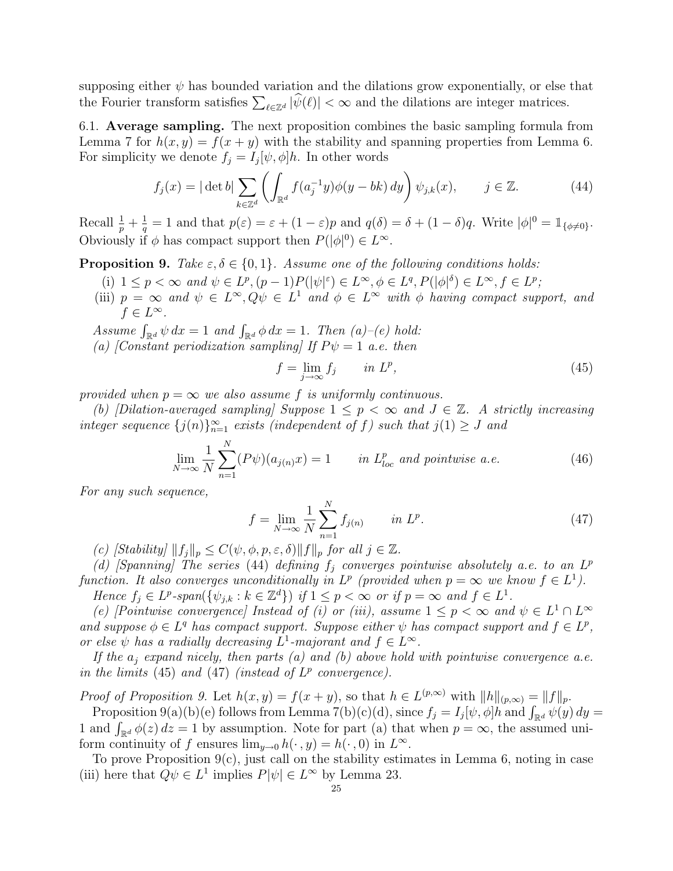supposing either  $\psi$  has bounded variation and the dilations grow exponentially, or else that supposing entire  $\psi$  has bounded variation and the dilations grow exponentially, or else<br>the Fourier transform satisfies  $\sum_{\ell \in \mathbb{Z}^d} |\hat{\psi}(\ell)| < \infty$  and the dilations are integer matrices.

6.1. Average sampling. The next proposition combines the basic sampling formula from Lemma 7 for  $h(x, y) = f(x + y)$  with the stability and spanning properties from Lemma 6. For simplicity we denote  $f_j = I_j[\psi, \phi]h$ . In other words

$$
f_j(x) = |\det b| \sum_{k \in \mathbb{Z}^d} \left( \int_{\mathbb{R}^d} f(a_j^{-1}y) \phi(y - bk) dy \right) \psi_{j,k}(x), \qquad j \in \mathbb{Z}.
$$
 (44)

Recall  $\frac{1}{p} + \frac{1}{q}$  $\frac{1}{q} = 1$  and that  $p(\varepsilon) = \varepsilon + (1 - \varepsilon)p$  and  $q(\delta) = \delta + (1 - \delta)q$ . Write  $|\phi|^0 = \mathbb{1}_{\{\phi \neq 0\}}$ . Obviously if  $\phi$  has compact support then  $P(|\phi|^0) \in L^{\infty}$ .

**Proposition 9.** Take  $\varepsilon, \delta \in \{0, 1\}$ . Assume one of the following conditions holds:

- (i)  $1 \leq p < \infty$  and  $\psi \in L^p$ ,  $(p-1)P(|\psi|^{\varepsilon}) \in L^{\infty}$ ,  $\phi \in L^q$ ,  $P(|\phi|^{\delta}) \in L^{\infty}$ ,  $f \in L^p$ ;
- (iii)  $p = \infty$  and  $\psi \in L^{\infty}, Q\psi \in L^{1}$  and  $\phi \in L^{\infty}$  with  $\phi$  having compact support, and  $f \in L^{\infty}$ .
- Assume  $\int_{\mathbb{R}^d} \psi \, dx = 1$  and  $\int_{\mathbb{R}^d} \phi \, dx = 1$ . Then  $(a)$ –(e) hold:
- (a) [Constant periodization sampling] If  $P\psi = 1$  a.e. then

$$
f = \lim_{j \to \infty} f_j \qquad in \ L^p,
$$
\n(45)

provided when  $p = \infty$  we also assume f is uniformly continuous.

(b) [Dilation-averaged sampling] Suppose  $1 \leq p < \infty$  and  $J \in \mathbb{Z}$ . A strictly increasing integer sequence  $\{j(n)\}_{n=1}^{\infty}$  exists (independent of f) such that  $j(1) \geq J$  and

$$
\lim_{N \to \infty} \frac{1}{N} \sum_{n=1}^{N} (P\psi)(a_{j(n)}x) = 1 \qquad \text{in } L_{loc}^p \text{ and pointwise a.e.}
$$
 (46)

For any such sequence,

$$
f = \lim_{N \to \infty} \frac{1}{N} \sum_{n=1}^{N} f_{j(n)} \qquad in \ L^{p}.
$$
 (47)

(c) [Stability]  $||f_j||_p \leq C(\psi, \phi, p, \varepsilon, \delta) ||f||_p$  for all  $j \in \mathbb{Z}$ .

(d) [Spanning] The series (44) defining  $f_j$  converges pointwise absolutely a.e. to an  $L^p$ function. It also converges unconditionally in  $L^p$  (provided when  $p = \infty$  we know  $f \in L^1$ ). Hence  $f_j \in L^p\text{-span}(\{\psi_{j,k} : k \in \mathbb{Z}^d\})$  if  $1 \leq p < \infty$  or if  $p = \infty$  and  $f \in L^1$ .

(e) [Pointwise convergence] Instead of (i) or (iii), assume  $1 \leq p < \infty$  and  $\psi \in L^1 \cap L^{\infty}$ and suppose  $\phi \in L^q$  has compact support. Suppose either  $\psi$  has compact support and  $f \in L^p$ , or else  $\psi$  has a radially decreasing  $L^1$ -majorant and  $f \in L^{\infty}$ .

If the  $a_i$  expand nicely, then parts (a) and (b) above hold with pointwise convergence a.e. in the limits (45) and (47) (instead of  $L^p$  convergence).

*Proof of Proposition 9.* Let  $h(x, y) = f(x + y)$ , so that  $h \in L^{(p,\infty)}$  with  $||h||_{(p,\infty)} = ||f||_p$ .

bot of Proposition 9. Let  $n(x, y) = f(x + y)$ , so that  $n \in L^{(x+1)}$  with  $||n||_{(p,\infty)} = ||f||_p$ .<br>Proposition 9(a)(b)(e) follows from Lemma 7(b)(c)(d), since  $f_j = I_j[\psi, \phi]h$  and  $\int_{\mathbb{R}^d} \psi(y) dy =$ Proposition  $\mathcal{F}(a)(b)(e)$  follows from Lemma  $\mathcal{F}(b)(c)(a)$ , since  $J_j = I_j(\psi, \phi)n$  and  $J_{\mathbb{R}^d} \psi(y)$  ay 1 and  $\int_{\mathbb{R}^d} \phi(z) dz = 1$  by assumption. Note for part (a) that when  $p = \infty$ , the assumed uniform continuity of f ensures  $\lim_{y\to 0} h(\cdot, y) = h(\cdot, 0)$  in  $L^{\infty}$ .

To prove Proposition  $9(c)$ , just call on the stability estimates in Lemma 6, noting in case (iii) here that  $Q\psi \in L^1$  implies  $P[\psi] \in L^{\infty}$  by Lemma 23.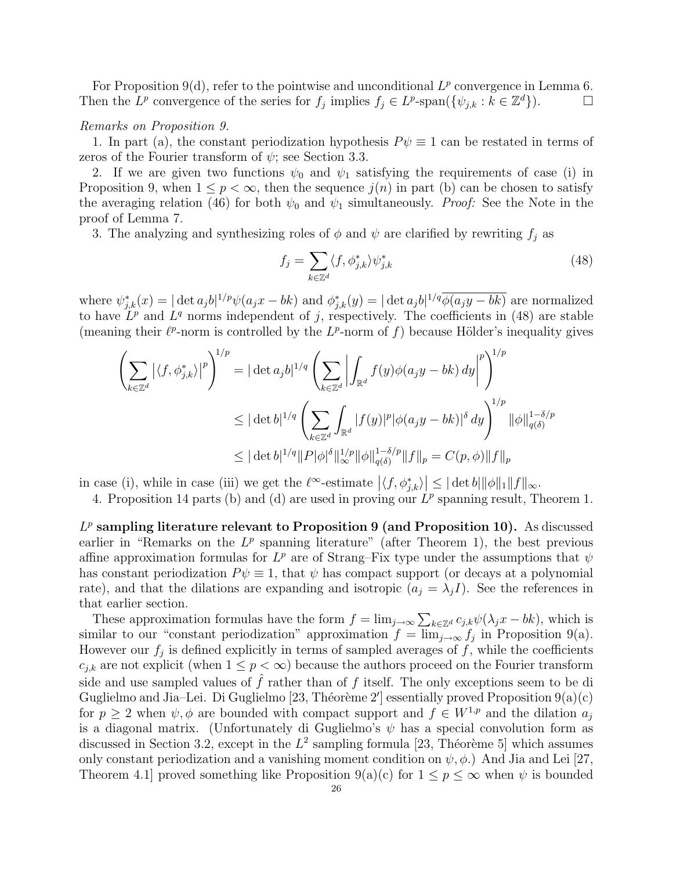For Proposition 9(d), refer to the pointwise and unconditional  $L^p$  convergence in Lemma 6. Then the  $L^p$  convergence of the series for  $f_j$  implies  $f_j \in L^p$ -span $(\{\psi_{j,k} : k \in \mathbb{Z}^d\})$ .

#### Remarks on Proposition 9.

1. In part (a), the constant periodization hypothesis  $P\psi \equiv 1$  can be restated in terms of zeros of the Fourier transform of  $\psi$ ; see Section 3.3.

2. If we are given two functions  $\psi_0$  and  $\psi_1$  satisfying the requirements of case (i) in Proposition 9, when  $1 \leq p < \infty$ , then the sequence  $j(n)$  in part (b) can be chosen to satisfy the averaging relation (46) for both  $\psi_0$  and  $\psi_1$  simultaneously. Proof: See the Note in the proof of Lemma 7.

3. The analyzing and synthesizing roles of  $\phi$  and  $\psi$  are clarified by rewriting  $f_j$  as

$$
f_j = \sum_{k \in \mathbb{Z}^d} \langle f, \phi_{j,k}^* \rangle \psi_{j,k}^* \tag{48}
$$

where  $\psi_{j,k}^*(x) = |\det a_j b|^{1/p} \psi(a_j x - bk)$  and  $\phi_{j,k}^*(y) = |\det a_j b|^{1/q} \overline{\phi(a_j y - bk)}$  are normalized to have  $L^p$  and  $L^q$  norms independent of j, respectively. The coefficients in (48) are stable (meaning their  $\ell^p$ -norm is controlled by the  $L^p$ -norm of f) because Hölder's inequality gives

$$
\left(\sum_{k \in \mathbb{Z}^d} |\langle f, \phi_{j,k}^* \rangle|^p \right)^{1/p} = |\det a_j b|^{1/q} \left( \sum_{k \in \mathbb{Z}^d} \left| \int_{\mathbb{R}^d} f(y) \phi(a_j y - bk) dy \right|^p \right)^{1/p}
$$
  

$$
\leq |\det b|^{1/q} \left( \sum_{k \in \mathbb{Z}^d} \int_{\mathbb{R}^d} |f(y)|^p |\phi(a_j y - bk)|^{\delta} dy \right)^{1/p} ||\phi||_{q(\delta)}^{1-\delta/p}
$$
  

$$
\leq |\det b|^{1/q} ||P|\phi|^{\delta} ||_{\infty}^{1/p} ||\phi||_{q(\delta)}^{1-\delta/p} ||f||_p = C(p, \phi) ||f||_p
$$

in case (i), while in case (iii) we get the  $\ell^{\infty}$ -estimate  $\ket{\langle f, \phi^*_{j,k} \rangle}$  $\vert \leq \vert \det b \vert \Vert \phi \Vert_1 \Vert f \Vert_{\infty}.$ 

4. Proposition 14 parts (b) and (d) are used in proving our  $L^p$  spanning result, Theorem 1.

 $L^p$  sampling literature relevant to Proposition 9 (and Proposition 10). As discussed earlier in "Remarks on the  $L^p$  spanning literature" (after Theorem 1), the best previous affine approximation formulas for  $L^p$  are of Strang–Fix type under the assumptions that  $\psi$ has constant periodization  $P\psi \equiv 1$ , that  $\psi$  has compact support (or decays at a polynomial rate), and that the dilations are expanding and isotropic  $(a_i = \lambda_i I)$ . See the references in that earlier section.

at earlier section.<br>These approximation formulas have the form  $f = \lim_{j \to \infty} \sum_{k \in \mathbb{Z}^d} c_{j,k} \psi(\lambda_j x - bk)$ , which is similar to our "constant periodization" approximation  $f = \lim_{j \to \infty} f_j$  in Proposition 9(a). However our  $f_j$  is defined explicitly in terms of sampled averages of  $f$ , while the coefficients  $c_{j,k}$  are not explicit (when  $1 \leq p < \infty$ ) because the authors proceed on the Fourier transform side and use sampled values of  $\hat{f}$  rather than of f itself. The only exceptions seem to be di Guglielmo and Jia-Lei. Di Guglielmo [23, Théorème 2'] essentially proved Proposition  $9(a)(c)$ for  $p \ge 2$  when  $\psi$ ,  $\phi$  are bounded with compact support and  $f \in W^{1,p}$  and the dilation  $a_j$ is a diagonal matrix. (Unfortunately di Guglielmo's  $\psi$  has a special convolution form as discussed in Section 3.2, except in the  $L^2$  sampling formula [23, Théorème 5] which assumes only constant periodization and a vanishing moment condition on  $\psi$ ,  $\phi$ .) And Jia and Lei [27, Theorem 4.1 proved something like Proposition 9(a)(c) for  $1 \le p \le \infty$  when  $\psi$  is bounded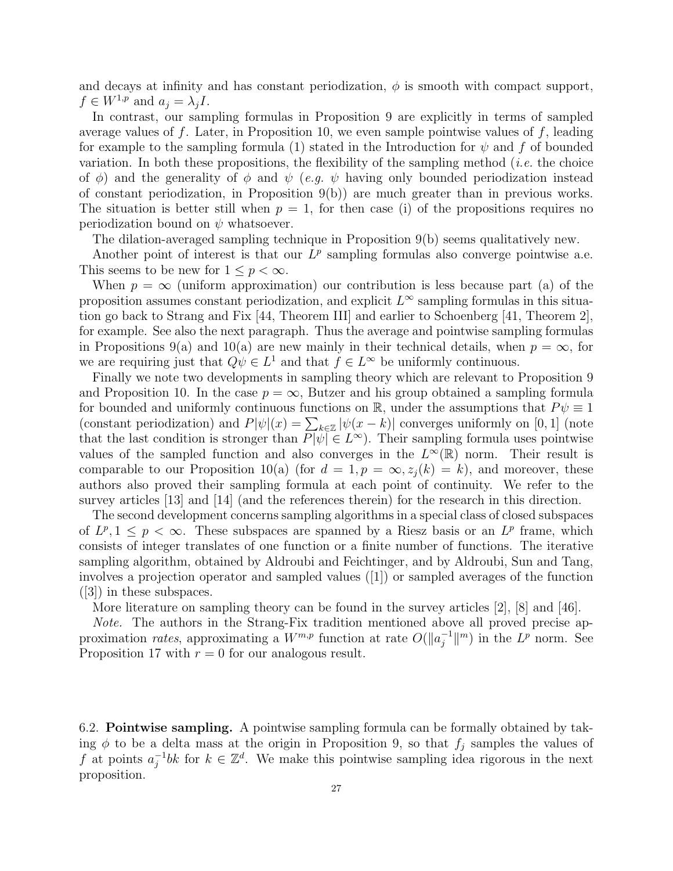and decays at infinity and has constant periodization,  $\phi$  is smooth with compact support,  $f \in W^{1,p}$  and  $a_i = \lambda_i I$ .

In contrast, our sampling formulas in Proposition 9 are explicitly in terms of sampled average values of f. Later, in Proposition 10, we even sample pointwise values of f, leading for example to the sampling formula (1) stated in the Introduction for  $\psi$  and f of bounded variation. In both these propositions, the flexibility of the sampling method (*i.e.* the choice of  $\phi$ ) and the generality of  $\phi$  and  $\psi$  (e.g.  $\psi$  having only bounded periodization instead of constant periodization, in Proposition 9(b)) are much greater than in previous works. The situation is better still when  $p = 1$ , for then case (i) of the propositions requires no periodization bound on  $\psi$  whatsoever.

The dilation-averaged sampling technique in Proposition 9(b) seems qualitatively new.

Another point of interest is that our  $L^p$  sampling formulas also converge pointwise a.e. This seems to be new for  $1 \leq p \leq \infty$ .

When  $p = \infty$  (uniform approximation) our contribution is less because part (a) of the proposition assumes constant periodization, and explicit  $L^{\infty}$  sampling formulas in this situation go back to Strang and Fix [44, Theorem III] and earlier to Schoenberg [41, Theorem 2], for example. See also the next paragraph. Thus the average and pointwise sampling formulas in Propositions 9(a) and 10(a) are new mainly in their technical details, when  $p = \infty$ , for we are requiring just that  $Q\psi \in L^1$  and that  $f \in L^{\infty}$  be uniformly continuous.

Finally we note two developments in sampling theory which are relevant to Proposition 9 and Proposition 10. In the case  $p = \infty$ , Butzer and his group obtained a sampling formula for bounded and uniformly continuous functions on  $\mathbb{R}$ , under the assumptions that  $P\psi \equiv 1$ for bounded and unformly continuous functions on  $\mathbb{R}$ , under the assumptions that  $P\psi = 1$  (constant periodization) and  $P|\psi|(x) = \sum_{k \in \mathbb{Z}} |\psi(x - k)|$  converges uniformly on [0, 1] (note that the last condition is stronger than  $P[\psi] \in L^{\infty}$ ). Their sampling formula uses pointwise values of the sampled function and also converges in the  $L^{\infty}(\mathbb{R})$  norm. Their result is comparable to our Proposition 10(a) (for  $d = 1, p = \infty, z_j(k) = k$ ), and moreover, these authors also proved their sampling formula at each point of continuity. We refer to the survey articles [13] and [14] (and the references therein) for the research in this direction.

The second development concerns sampling algorithms in a special class of closed subspaces of  $L^p, 1 \leq p < \infty$ . These subspaces are spanned by a Riesz basis or an  $L^p$  frame, which consists of integer translates of one function or a finite number of functions. The iterative sampling algorithm, obtained by Aldroubi and Feichtinger, and by Aldroubi, Sun and Tang, involves a projection operator and sampled values ([1]) or sampled averages of the function ([3]) in these subspaces.

More literature on sampling theory can be found in the survey articles [2], [8] and [46].

Note. The authors in the Strang-Fix tradition mentioned above all proved precise approximation *rates*, approximating a  $W^{m,p}$  function at rate  $O(\Vert a_i^{-1})$  $\binom{-1}{j}$  in the  $L^p$  norm. See Proposition 17 with  $r = 0$  for our analogous result.

6.2. Pointwise sampling. A pointwise sampling formula can be formally obtained by taking  $\phi$  to be a delta mass at the origin in Proposition 9, so that  $f_j$  samples the values of f at points  $a_i^{-1}$  $j^{-1}$ bk for  $k \in \mathbb{Z}^d$ . We make this pointwise sampling idea rigorous in the next proposition.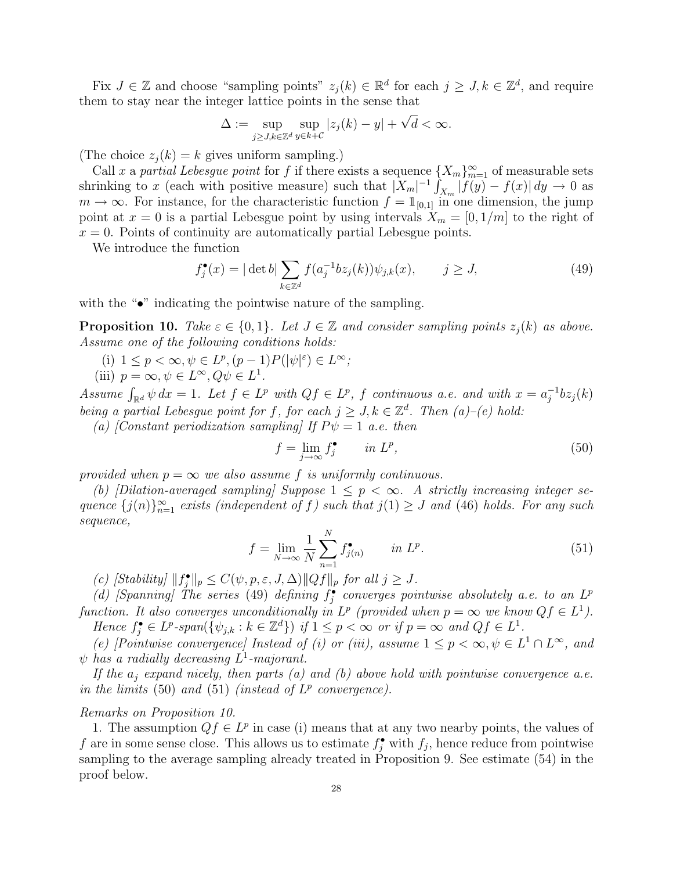Fix  $J \in \mathbb{Z}$  and choose "sampling points"  $z_j(k) \in \mathbb{R}^d$  for each  $j \geq J, k \in \mathbb{Z}^d$ , and require them to stay near the integer lattice points in the sense that √

$$
\Delta := \sup_{j \ge J, k \in \mathbb{Z}^d} \sup_{y \in k + C} |z_j(k) - y| + \sqrt{d} < \infty.
$$

(The choice  $z_i(k) = k$  gives uniform sampling.)

Call x a partial Lebesgue point for f if there exists a sequence  $\{X_m\}_{m=1}^{\infty}$  of measurable sets shrinking to x (each with positive measure) such that  $|X_m|^{-1}$  $\int_{X_m} |f(y) - f(x)| dy \to 0$  as  $m \to \infty$ . For instance, for the characteristic function  $f = \mathbb{1}_{[0,1]}$  in one dimension, the jump point at  $x = 0$  is a partial Lebesgue point by using intervals  $X_m = [0, 1/m]$  to the right of  $x = 0$ . Points of continuity are automatically partial Lebesgue points.

We introduce the function

$$
f_j^{\bullet}(x) = |\det b| \sum_{k \in \mathbb{Z}^d} f(a_j^{-1} b z_j(k)) \psi_{j,k}(x), \qquad j \ge J,
$$
 (49)

with the "•" indicating the pointwise nature of the sampling.

**Proposition 10.** Take  $\varepsilon \in \{0,1\}$ . Let  $J \in \mathbb{Z}$  and consider sampling points  $z_j(k)$  as above. Assume one of the following conditions holds:

- (i)  $1 \leq p < \infty, \psi \in L^p, (p-1)P(|\psi|^{\varepsilon}) \in L^{\infty};$
- (iii)  $p = \infty, \psi \in L^{\infty}, Q\psi \in L^{1}.$

Assume  $\int_{\mathbb{R}^d} \psi \, dx = 1$ . Let  $f \in L^p$  with  $Qf \in L^p$ , f continuous a.e. and with  $x = a_j^{-1}$ .  $j^{-1}bz_j(k)$ being a partial Lebesgue point for f, for each  $j \geq J, k \in \mathbb{Z}^d$ . Then  $(a)$ -(e) hold:

(a) [Constant periodization sampling] If  $P\psi = 1$  a.e. then

$$
f = \lim_{j \to \infty} f_j^{\bullet} \qquad in \ L^p,
$$
\n(50)

provided when  $p = \infty$  we also assume f is uniformly continuous.

(b) [Dilation-averaged sampling] Suppose  $1 \leq p < \infty$ . A strictly increasing integer sequence  $\{j(n)\}_{n=1}^{\infty}$  exists (independent of f) such that  $j(1) \geq J$  and (46) holds. For any such sequence,

$$
f = \lim_{N \to \infty} \frac{1}{N} \sum_{n=1}^{N} f_{j(n)}^{\bullet} \qquad in \ L^p. \tag{51}
$$

(c) [Stability]  $||f_j^{\bullet}||_p \leq C(\psi, p, \varepsilon, J, \Delta) ||Qf||_p$  for all  $j \geq J$ .

(d) [Spanning] The series (49) defining  $f_j^{\bullet}$  converges pointwise absolutely a.e. to an  $L^p$ function. It also converges unconditionally in  $L^p$  (provided when  $p = \infty$  we know  $Qf \in L^1$ ). Hence  $f_j^{\bullet} \in L^p\text{-}\mathit{span}(\{\psi_{j,k}: k \in \mathbb{Z}^d\}) \text{ if } 1 \leq p < \infty \text{ or if } p = \infty \text{ and } Qf \in L^1.$ 

(e) [Pointwise convergence] Instead of (i) or (iii), assume  $1 \leq p < \infty, \psi \in L^1 \cap L^{\infty}$ , and  $\psi$  has a radially decreasing  $L^1$ -majorant.

If the  $a_i$  expand nicely, then parts (a) and (b) above hold with pointwise convergence a.e. in the limits (50) and (51) (instead of  $L^p$  convergence).

#### Remarks on Proposition 10.

1. The assumption  $Qf \in L^p$  in case (i) means that at any two nearby points, the values of f are in some sense close. This allows us to estimate  $f_j^{\bullet}$  with  $f_j$ , hence reduce from pointwise sampling to the average sampling already treated in Proposition 9. See estimate (54) in the proof below.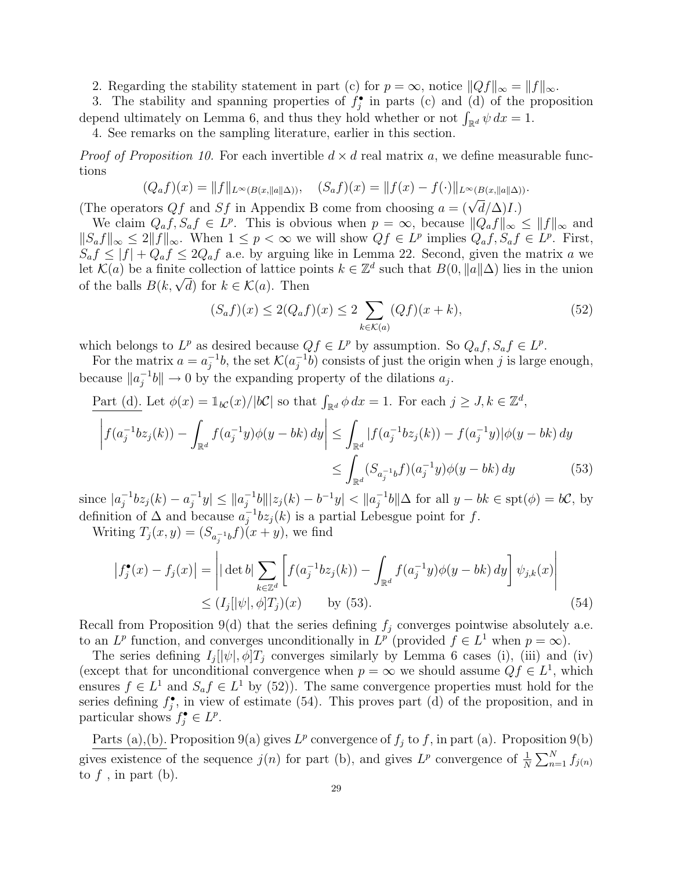2. Regarding the stability statement in part (c) for  $p = \infty$ , notice  $||Qf||_{\infty} = ||f||_{\infty}$ .

3. The stability and spanning properties of  $f_j^{\bullet}$  in parts (c) and (d) of the proposition 3. The stability and spanning properties of  $f_j$  in parts (c) and (d) of the p depend ultimately on Lemma 6, and thus they hold whether or not  $\int_{\mathbb{R}^d} \psi \, dx = 1$ .

4. See remarks on the sampling literature, earlier in this section.

*Proof of Proposition 10.* For each invertible  $d \times d$  real matrix a, we define measurable functions

$$
(Q_a f)(x) = ||f||_{L^{\infty}(B(x, ||a||\Delta))}, \quad (S_a f)(x) = ||f(x) - f(\cdot)||_{L^{\infty}(B(x, ||a||\Delta))}.
$$

( $\mathcal{L}_{a,j}(\mathcal{L}) = \mathcal{L}_{a,j}(\mathcal{L})$ ),  $\mathcal{L}_{a,j}(\mathcal{L}) = \mathcal{L}_{a,j}(\mathcal{L})$ .<br>(The operators  $Qf$  and  $Sf$  in Appendix B come from choosing  $a = (\sqrt{d}/\Delta)I$ .)

We claim  $Q_a f, S_a f \in L^p$ . This is obvious when  $p = \infty$ , because  $||Q_a f||_{\infty} \le ||f||_{\infty}$  and  $||S_a f||_{\infty} \leq 2||f||_{\infty}$ . When  $1 \leq p < \infty$  we will show  $Qf \in L^p$  implies  $Q_a f, S_a f \in L^p$ . First,  $S_a f \leq |f| + Q_a f \leq 2Q_a f$  a.e. by arguing like in Lemma 22. Second, given the matrix a we let  $\mathcal{K}(a)$  be a finite collection of lattice points  $k \in \mathbb{Z}^d$  such that  $B(0, \|a\|\Delta)$  lies in the union et  $\mathcal{K}(a)$  be a finite conection of lattice po<br>of the balls  $B(k, \sqrt{d})$  for  $k \in \mathcal{K}(a)$ . Then

$$
(S_a f)(x) \le 2(Q_a f)(x) \le 2 \sum_{k \in \mathcal{K}(a)} (Qf)(x+k),
$$
\n(52)

which belongs to  $L^p$  as desired because  $Qf \in L^p$  by assumption. So  $Q_a f, S_a f \in L^p$ .

For the matrix  $a = a_i^{-1}$  $j^{-1}b$ , the set  $\mathcal{K}(a_j^{-1})$  $j^{-1}b$  consists of just the origin when j is large enough, because  $||a_i^{-1}$  $j^{-1}b\| \to 0$  by the expanding property of the dilations  $a_j$ .

Part (d). Let 
$$
\phi(x) = \mathbb{1}_{bC}(x)/|bC|
$$
 so that  $\int_{\mathbb{R}^d} \phi \, dx = 1$ . For each  $j \ge J, k \in \mathbb{Z}^d$ ,  
\n
$$
\left| f(a_j^{-1}b z_j(k)) - \int_{\mathbb{R}^d} f(a_j^{-1}y) \phi(y - bk) \, dy \right| \le \int_{\mathbb{R}^d} |f(a_j^{-1}b z_j(k)) - f(a_j^{-1}y)| \phi(y - bk) \, dy
$$
\n
$$
\le \int_{\mathbb{R}^d} (S_{a_j^{-1}b}f)(a_j^{-1}y) \phi(y - bk) \, dy \tag{53}
$$

since  $|a_i^{-1}|$  $a_j^{-1}bz_j(k) - a_j^{-1}$  $|a_j^{-1}y| \leq ||a_j^{-1}||$  $\frac{1}{j}$ <sup>-1</sup>b|||z<sub>j</sub>(k) – b<sup>-1</sup>y| < ||a<sup>-1</sup>  $j^{-1}b\|\Delta$  for all  $y - bk \in \text{spt}(\phi) = b\mathcal{C}$ , by definition of  $\Delta$  and because  $a_i^{-1}$  $j^{-1}b z_j(k)$  is a partial Lebesgue point for f.

Writing  $T_j(x, y) = (S_{a_j^{-1}b}f)(x + y)$ , we find

$$
\left| f_j^{\bullet}(x) - f_j(x) \right| = \left| |\det b| \sum_{k \in \mathbb{Z}^d} \left[ f(a_j^{-1} b z_j(k)) - \int_{\mathbb{R}^d} f(a_j^{-1} y) \phi(y - bk) dy \right] \psi_{j,k}(x) \right|
$$
  
 
$$
\leq (I_j[\psi], \phi] T_j)(x) \qquad \text{by (53).} \tag{54}
$$

Recall from Proposition 9(d) that the series defining  $f_i$  converges pointwise absolutely a.e. to an  $L^p$  function, and converges unconditionally in  $L^p$  (provided  $f \in L^1$  when  $p = \infty$ ).

The series defining  $I_j[|\psi|, \phi]T_j$  converges similarly by Lemma 6 cases (i), (iii) and (iv) (except that for unconditional convergence when  $p = \infty$  we should assume  $Qf \in L^1$ , which ensures  $f \in L^1$  and  $S_a f \in L^1$  by (52)). The same convergence properties must hold for the series defining  $f_j^{\bullet}$ , in view of estimate (54). This proves part (d) of the proposition, and in particular shows  $f_j^{\bullet} \in L^p$ .

Parts (a),(b). Proposition 9(a) gives  $L^p$  convergence of  $f_j$  to f, in part (a). Proposition 9(b) gives existence of the sequence  $j(n)$  for part (b), and gives  $L^p$  convergence of  $\frac{1}{N}$  $\sum_{N}$  $\sum_{n=1}^{N} f_{j(n)}$ to  $f$ , in part (b).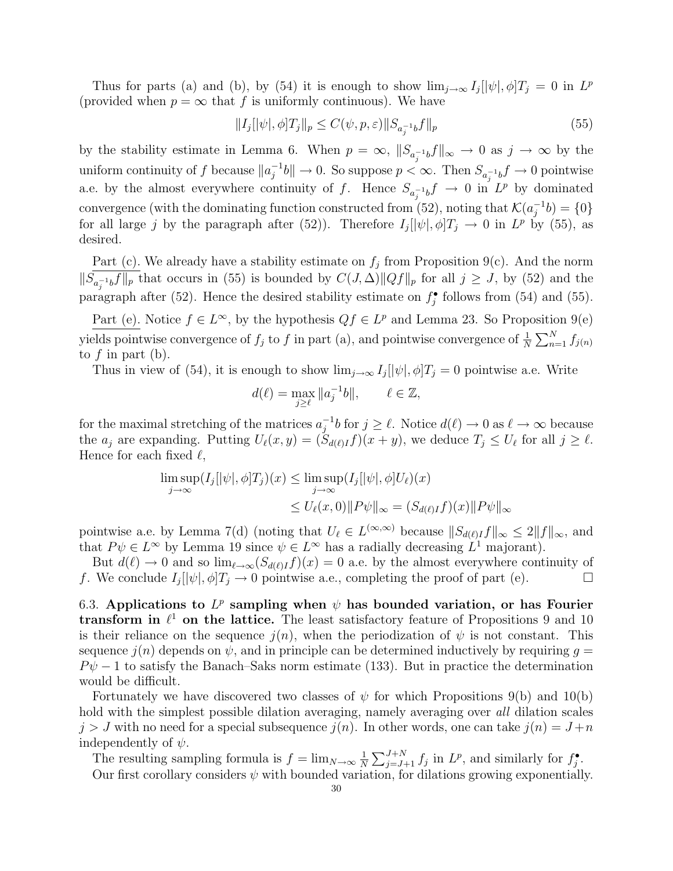Thus for parts (a) and (b), by (54) it is enough to show  $\lim_{j\to\infty} I_j[|\psi|, \phi]T_j = 0$  in  $L^p$ (provided when  $p = \infty$  that f is uniformly continuous). We have

$$
||I_j[|\psi|, \phi]T_j||_p \le C(\psi, p, \varepsilon) ||S_{a_j^{-1}b}f||_p
$$
\n(55)

by the stability estimate in Lemma 6. When  $p = \infty$ ,  $||S_{a_i^{-1}b}f||_{\infty} \to 0$  as  $j \to \infty$  by the uniform continuity of f because  $||a_i^{-1}||$  $\int_{0}^{-1}b\|\rightarrow 0.$  So suppose  $p < \infty$ . Then  $S_{a_j^{-1}b}f \rightarrow 0$  pointwise a.e. by the almost everywhere continuity of f. Hence  $S_{a_j^{-1}b}f \to 0$  in  $L^p$  by dominated convergence (with the dominating function constructed from (52), noting that  $\mathcal{K}(a_i^{-1})$  $j^{-1}b) = \{0\}$ for all large j by the paragraph after (52)). Therefore  $I_j[|\psi|, \phi]T_j \to 0$  in  $L^p$  by (55), as desired.

Part (c). We already have a stability estimate on  $f_j$  from Proposition 9(c). And the norm  $||S_{a_j^{-1}b}f||_p$  that occurs in (55) is bounded by  $C(J,\Delta)||Qf||_p$  for all  $j \geq J$ , by (52) and the paragraph after (52). Hence the desired stability estimate on  $f_j^{\bullet}$  follows from (54) and (55).

Part (e). Notice  $f \in L^{\infty}$ , by the hypothesis  $Qf \in L^{p}$  and Lemma 23. So Proposition 9(e) yields pointwise convergence of  $f_j$  to  $f$  in part (a), and pointwise convergence of  $\frac{1}{N}$  $\sum_{N}^{N}$  $\sum_{n=1}^{N} f_{j(n)}$ to  $f$  in part (b).

Thus in view of (54), it is enough to show  $\lim_{j\to\infty} I_j[|\psi|, \phi]T_j = 0$  pointwise a.e. Write

$$
d(\ell) = \max_{j \ge \ell} \|a_j^{-1}b\|, \qquad \ell \in \mathbb{Z},
$$

for the maximal stretching of the matrices  $a_i^{-1}$  $j^{-1}b$  for  $j \geq \ell$ . Notice  $d(\ell) \to 0$  as  $\ell \to \infty$  because the  $a_j$  are expanding. Putting  $U_\ell(x, y) = (S_{d(\ell)I}f)(x + y)$ , we deduce  $T_j \leq U_\ell$  for all  $j \geq \ell$ . Hence for each fixed  $\ell$ ,

$$
\limsup_{j \to \infty} (I_j[|\psi|, \phi]T_j)(x) \le \limsup_{j \to \infty} (I_j[|\psi|, \phi]U_{\ell})(x)
$$
  

$$
\le U_{\ell}(x, 0) \|P\psi\|_{\infty} = (S_{d(\ell)I}f)(x) \|P\psi\|_{\infty}
$$

pointwise a.e. by Lemma 7(d) (noting that  $U_{\ell} \in L^{(\infty,\infty)}$  because  $||S_{d(\ell)I}f||_{\infty} \leq 2||f||_{\infty}$ , and that  $P\psi \in L^{\infty}$  by Lemma 19 since  $\psi \in L^{\infty}$  has a radially decreasing  $L^{1}$  majorant).

But  $d(\ell) \to 0$  and so  $\lim_{\ell \to \infty} (S_{d(\ell)I}f)(x) = 0$  a.e. by the almost everywhere continuity of f. We conclude  $I_j[|\psi|, \phi]T_j \to 0$  pointwise a.e., completing the proof of part (e).

6.3. Applications to  $L^p$  sampling when  $\psi$  has bounded variation, or has Fourier transform in  $\ell^1$  on the lattice. The least satisfactory feature of Propositions 9 and 10 is their reliance on the sequence  $j(n)$ , when the periodization of  $\psi$  is not constant. This sequence  $j(n)$  depends on  $\psi$ , and in principle can be determined inductively by requiring  $g =$  $P\psi - 1$  to satisfy the Banach–Saks norm estimate (133). But in practice the determination would be difficult.

Fortunately we have discovered two classes of  $\psi$  for which Propositions 9(b) and 10(b) hold with the simplest possible dilation averaging, namely averaging over all dilation scales  $j > J$  with no need for a special subsequence  $j(n)$ . In other words, one can take  $j(n) = J + n$ independently of  $\psi$ .

The resulting sampling formula is  $f = \lim_{N \to \infty} \frac{1}{N}$ N  $\nabla^{J+N}$  $\lim_{j=J+1}^{J+N} f_j$  in  $L^p$ , and similarly for  $f_j^{\bullet}$ . Our first corollary considers  $\psi$  with bounded variation, for dilations growing exponentially.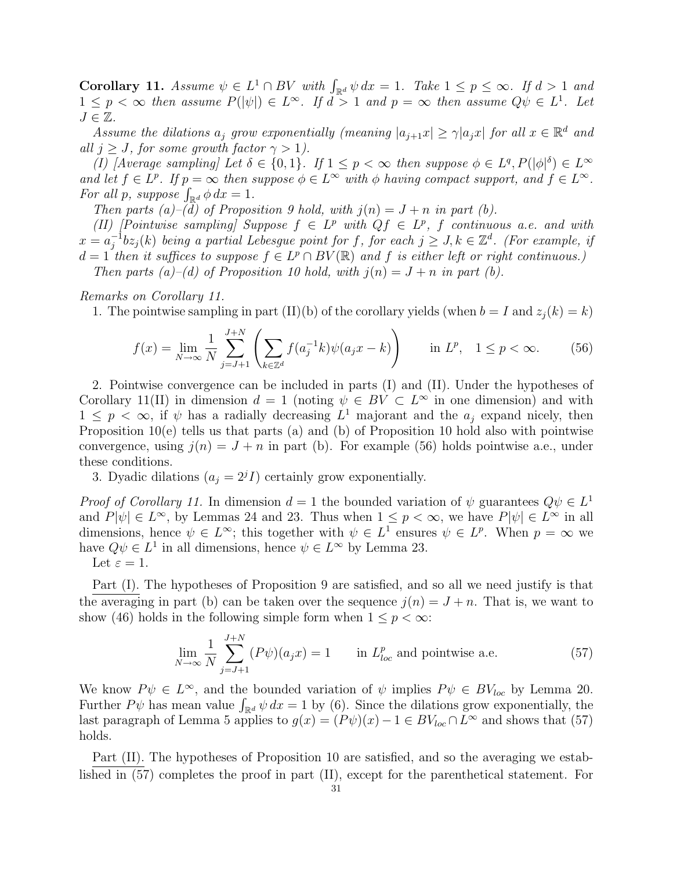Corollary 11. Assume  $\psi \in L^1 \cap BV$  with  $\int_{\mathbb{R}^d} \psi \, dx = 1$ . Take  $1 \le p \le \infty$ . If  $d > 1$  and  $1 \leq p < \infty$  then assume  $P(|\psi|) \in L^{\infty}$ . If  $d > 1$  and  $p = \infty$  then assume  $Q\psi \in L^{1}$ . Let  $J \in \mathbb{Z}$ .

Assume the dilations  $a_j$  grow exponentially (meaning  $|a_{j+1}x| \geq \gamma |a_jx|$  for all  $x \in \mathbb{R}^d$  and all  $j \geq J$ , for some growth factor  $\gamma > 1$ ).

(I) [Average sampling] Let  $\delta \in \{0,1\}$ . If  $1 \leq p < \infty$  then suppose  $\phi \in L^q$ ,  $P(|\phi|^{\delta}) \in L^{\infty}$ and let  $f \in L^p$ . If  $p = \infty$  then suppose  $\phi \in L^{\infty}$  with  $\phi$  having compact support, and  $f \in L^{\infty}$ . and let  $f \in L^{\rho}$ . If  $p = \infty$  then s<br>For all p, suppose  $\int_{\mathbb{R}^d} \phi \, dx = 1$ .

Then parts (a)–(d) of Proposition 9 hold, with  $j(n) = J + n$  in part (b).

(II) [Pointwise sampling] Suppose  $f \in L^p$  with  $Qf \in L^p$ , f continuous a.e. and with  $x = a_i^{-1}$  $j^{-1}bz_j(k)$  being a partial Lebesgue point for f, for each  $j \geq J, k \in \mathbb{Z}^d$ . (For example, if  $d=1$  then it suffices to suppose  $f \in L^p \cap BV(\mathbb{R})$  and f is either left or right continuous.)

Then parts (a)–(d) of Proposition 10 hold, with  $j(n) = J + n$  in part (b).

Remarks on Corollary 11.

1. The pointwise sampling in part (II)(b) of the corollary yields (when  $b = I$  and  $z<sub>i</sub>(k) = k$ )

$$
f(x) = \lim_{N \to \infty} \frac{1}{N} \sum_{j=J+1}^{J+N} \left( \sum_{k \in \mathbb{Z}^d} f(a_j^{-1}k) \psi(a_j x - k) \right) \quad \text{in } L^p, \quad 1 \le p < \infty. \tag{56}
$$

2. Pointwise convergence can be included in parts (I) and (II). Under the hypotheses of Corollary 11(II) in dimension  $d = 1$  (noting  $\psi \in BV \subset L^{\infty}$  in one dimension) and with  $1 \leq p \leq \infty$ , if  $\psi$  has a radially decreasing  $L^1$  majorant and the  $a_j$  expand nicely, then Proposition 10(e) tells us that parts (a) and (b) of Proposition 10 hold also with pointwise convergence, using  $j(n) = J + n$  in part (b). For example (56) holds pointwise a.e., under these conditions.

3. Dyadic dilations  $(a_j = 2^{j} I)$  certainly grow exponentially.

*Proof of Corollary 11.* In dimension  $d = 1$  the bounded variation of  $\psi$  guarantees  $Q\psi \in L^1$ and  $P[\psi] \in L^{\infty}$ , by Lemmas 24 and 23. Thus when  $1 \leq p < \infty$ , we have  $P[\psi] \in L^{\infty}$  in all dimensions, hence  $\psi \in L^{\infty}$ ; this together with  $\psi \in L^{1}$  ensures  $\psi \in L^{p}$ . When  $p = \infty$  we have  $Q\psi \in L^1$  in all dimensions, hence  $\psi \in L^{\infty}$  by Lemma 23.

Part (I). The hypotheses of Proposition 9 are satisfied, and so all we need justify is that the averaging in part (b) can be taken over the sequence  $j(n) = J + n$ . That is, we want to show (46) holds in the following simple form when  $1 \leq p \leq \infty$ :

$$
\lim_{N \to \infty} \frac{1}{N} \sum_{j=J+1}^{J+N} (P\psi)(a_j x) = 1 \qquad \text{in } L^p_{loc} \text{ and pointwise a.e.}
$$
 (57)

We know  $P\psi \in L^{\infty}$ , and the bounded variation of  $\psi$  implies  $P\psi \in BV_{loc}$  by Lemma 20. We know  $P\psi \in L^{\infty}$ , and the bounded variation of  $\psi$  implies  $P\psi \in BV_{loc}$  by Lemma 20.<br>Further  $P\psi$  has mean value  $\int_{\mathbb{R}^d} \psi \, dx = 1$  by (6). Since the dilations grow exponentially, the last paragraph of Lemma 5 applies to  $g(x) = (P\psi)(x) - 1 \in BV_{loc} \cap L^{\infty}$  and shows that (57) holds.

Part (II). The hypotheses of Proposition 10 are satisfied, and so the averaging we established in (57) completes the proof in part (II), except for the parenthetical statement. For

Let  $\varepsilon = 1$ .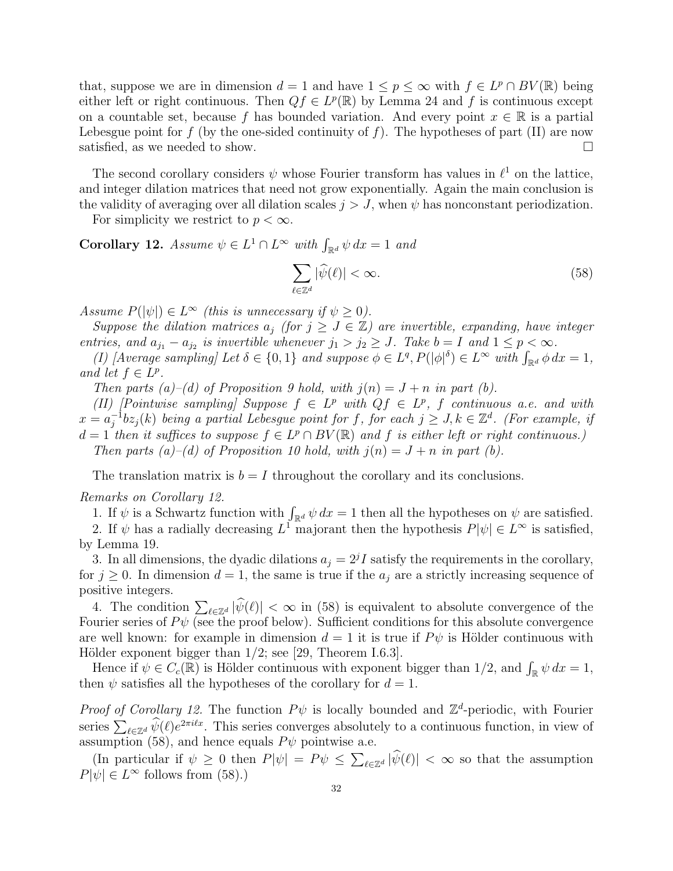that, suppose we are in dimension  $d = 1$  and have  $1 \leq p \leq \infty$  with  $f \in L^p \cap BV(\mathbb{R})$  being either left or right continuous. Then  $Qf \in L^p(\mathbb{R})$  by Lemma 24 and f is continuous except on a countable set, because f has bounded variation. And every point  $x \in \mathbb{R}$  is a partial Lebesgue point for f (by the one-sided continuity of f). The hypotheses of part (II) are now satisfied, as we needed to show.  $\Box$ 

The second corollary considers  $\psi$  whose Fourier transform has values in  $\ell^1$  on the lattice, and integer dilation matrices that need not grow exponentially. Again the main conclusion is the validity of averaging over all dilation scales  $j > J$ , when  $\psi$  has nonconstant periodization.

For simplicity we restrict to  $p < \infty$ .

**Corollary 12.** Assume  $\psi \in L^1 \cap L^{\infty}$  with  $\int_{\mathbb{R}^d} \psi \, dx = 1$  and

$$
\sum_{\ell \in \mathbb{Z}^d} |\widehat{\psi}(\ell)| < \infty. \tag{58}
$$

Assume  $P(|\psi|) \in L^{\infty}$  (this is unnecessary if  $\psi \geq 0$ ).

Suppose the dilation matrices  $a_j$  (for  $j \geq J \in \mathbb{Z}$ ) are invertible, expanding, have integer entries, and  $a_{j_1} - a_{j_2}$  is invertible whenever  $j_1 > j_2 \geq J$ . Take  $b = I$  and  $1 \leq p < \infty$ .

tries, and  $a_{j_1} - a_{j_2}$  is invertible whenever  $j_1 > j_2 \geq J$ . Take  $b = I$  and  $1 \leq p < \infty$ .<br>(I) [Average sampling] Let  $\delta \in \{0,1\}$  and suppose  $\phi \in L^q$ ,  $P(|\phi|^{\delta}) \in L^{\infty}$  with  $\int_{\mathbb{R}^d} \phi \, dx = 1$ , and let  $f \in L^p$ .

Then parts (a)–(d) of Proposition 9 hold, with  $j(n) = J + n$  in part (b).

(II) [Pointwise sampling] Suppose  $f \in L^p$  with  $Qf \in L^p$ , f continuous a.e. and with  $x = a_i^{-1}$  $j^{-1}bz_j(k)$  being a partial Lebesgue point for f, for each  $j \geq J, k \in \mathbb{Z}^d$ . (For example, if  $d=1$  then it suffices to suppose  $f \in L^p \cap BV(\mathbb{R})$  and f is either left or right continuous.) Then parts (a)–(d) of Proposition 10 hold, with  $j(n) = J + n$  in part (b).

The translation matrix is  $b = I$  throughout the corollary and its conclusions.

#### Remarks on Corollary 12.

the emarks on Corollary 12.<br>
1. If  $\psi$  is a Schwartz function with  $\int_{\mathbb{R}^d} \psi \, dx = 1$  then all the hypotheses on  $\psi$  are satisfied.

2. If  $\psi$  has a radially decreasing  $L^1$  majorant then the hypothesis  $P[\psi] \in L^{\infty}$  is satisfied, by Lemma 19.

3. In all dimensions, the dyadic dilations  $a_j = 2^j I$  satisfy the requirements in the corollary, for  $j \geq 0$ . In dimension  $d = 1$ , the same is true if the  $a_j$  are a strictly increasing sequence of positive integers.

4. The condition  $\sum_{\ell \in \mathbb{Z}^d} |\widehat{\psi}(\ell)| < \infty$  in (58) is equivalent to absolute convergence of the Fourier series of  $P\psi$  (see the proof below). Sufficient conditions for this absolute convergence are well known: for example in dimension  $d = 1$  it is true if  $P\psi$  is Hölder continuous with Hölder exponent bigger than  $1/2$ ; see [29, Theorem I.6.3].

blue exponent bigger than 1/2; see [29, Theorem 1.0.3].<br>Hence if  $\psi \in C_c(\mathbb{R})$  is Hölder continuous with exponent bigger than 1/2, and  $\int_{\mathbb{R}} \psi \, dx = 1$ , then  $\psi$  satisfies all the hypotheses of the corollary for  $d = 1$ .

*Proof of Corollary 12.* The function  $P\psi$  is locally bounded and  $\mathbb{Z}^d$ -periodic, with Fourier *Troof of Corollary 12.* The function  $T \psi$  is focally bounded and  $\mathbb{Z}$ -perfodic, with Fourier series  $\sum_{\ell \in \mathbb{Z}^d} \hat{\psi}(\ell) e^{2\pi i \ell x}$ . This series converges absolutely to a continuous function, in view of assumption (58), and hence equals  $P\psi$  pointwise a.e.

(In particular if  $\psi \geq 0$  then  $P[\psi] = P\psi \leq$  $\sum_{\ell \in \mathbb{Z}^d} |\widehat{\psi}(\ell)| < \infty$  so that the assumption  $P[\psi] \in L^{\infty}$  follows from (58).)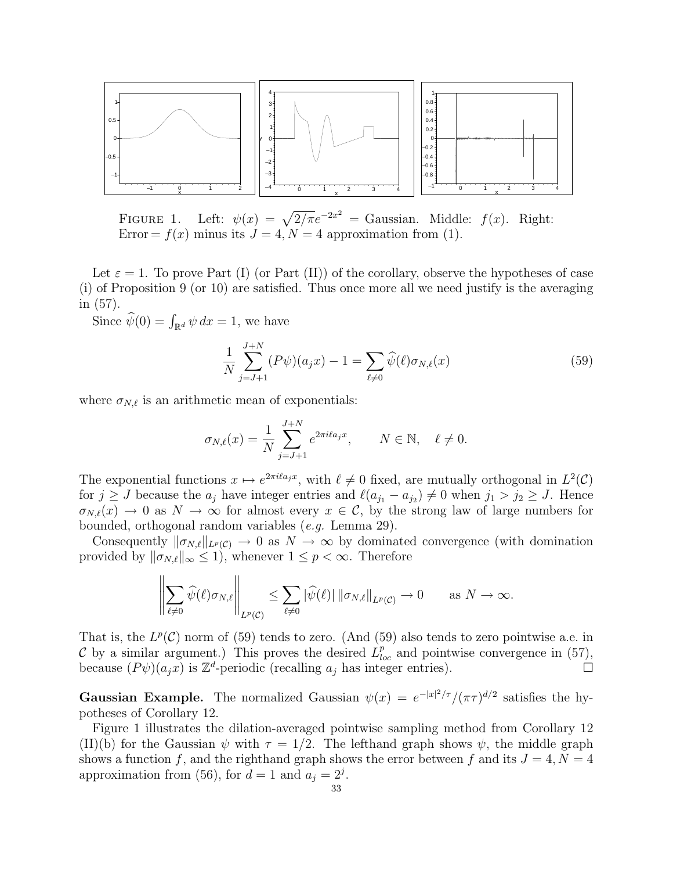

FIGURE 1. Left:  $\psi(x) = \sqrt{2/\pi}e^{-2x^2} = \text{Gaussian}$ . Middle:  $f(x)$ . Right: Error =  $f(x)$  minus its  $J = 4, N = 4$  approximation from (1).

Let  $\varepsilon = 1$ . To prove Part (I) (or Part (II)) of the corollary, observe the hypotheses of case (i) of Proposition 9 (or 10) are satisfied. Thus once more all we need justify is the averaging in (57).

Since  $\hat{\psi}(0) = \int_{\mathbb{R}^d} \psi \, dx = 1$ , we have

$$
\frac{1}{N} \sum_{j=J+1}^{J+N} (P\psi)(a_j x) - 1 = \sum_{\ell \neq 0} \widehat{\psi}(\ell) \sigma_{N,\ell}(x) \tag{59}
$$

where  $\sigma_{N,\ell}$  is an arithmetic mean of exponentials:

$$
\sigma_{N,\ell}(x) = \frac{1}{N} \sum_{j=J+1}^{J+N} e^{2\pi i \ell a_j x}, \qquad N \in \mathbb{N}, \quad \ell \neq 0.
$$

The exponential functions  $x \mapsto e^{2\pi i \ell a_j x}$ , with  $\ell \neq 0$  fixed, are mutually orthogonal in  $L^2(\mathcal{C})$ for  $j \geq J$  because the  $a_j$  have integer entries and  $\ell(a_{j_1} - a_{j_2}) \neq 0$  when  $j_1 > j_2 \geq J$ . Hence  $\sigma_{N,\ell}(x) \to 0$  as  $N \to \infty$  for almost every  $x \in \mathcal{C}$ , by the strong law of large numbers for bounded, orthogonal random variables (e.g. Lemma 29).

Consequently  $\|\sigma_{N,\ell}\|_{L^p(\mathcal{C})} \to 0$  as  $N \to \infty$  by dominated convergence (with domination provided by  $\|\sigma_{N,\ell}\|_{\infty} \leq 1$ , whenever  $1 \leq p < \infty$ . Therefore

$$
\left\|\sum_{\ell\neq 0}\widehat{\psi}(\ell)\sigma_{N,\ell}\right\|_{L^p(\mathcal{C})}\leq \sum_{\ell\neq 0}|\widehat{\psi}(\ell)|\left\|\sigma_{N,\ell}\right\|_{L^p(\mathcal{C})}\to 0\qquad\text{as $N\to\infty$}.
$$

That is, the  $L^p(\mathcal{C})$  norm of (59) tends to zero. (And (59) also tends to zero pointwise a.e. in C by a similar argument.) This proves the desired  $\hat{L}_{loc}^p$  and pointwise convergence in (57), because  $(P\psi)(a_jx)$  is  $\mathbb{Z}^d$ -periodic (recalling  $a_j$  has integer entries).

**Gaussian Example.** The normalized Gaussian  $\psi(x) = e^{-|x|^2/\tau}/(\pi \tau)^{d/2}$  satisfies the hypotheses of Corollary 12.

Figure 1 illustrates the dilation-averaged pointwise sampling method from Corollary 12 (II)(b) for the Gaussian  $\psi$  with  $\tau = 1/2$ . The lefthand graph shows  $\psi$ , the middle graph shows a function f, and the righthand graph shows the error between f and its  $J = 4, N = 4$ approximation from (56), for  $d = 1$  and  $a_j = 2^j$ .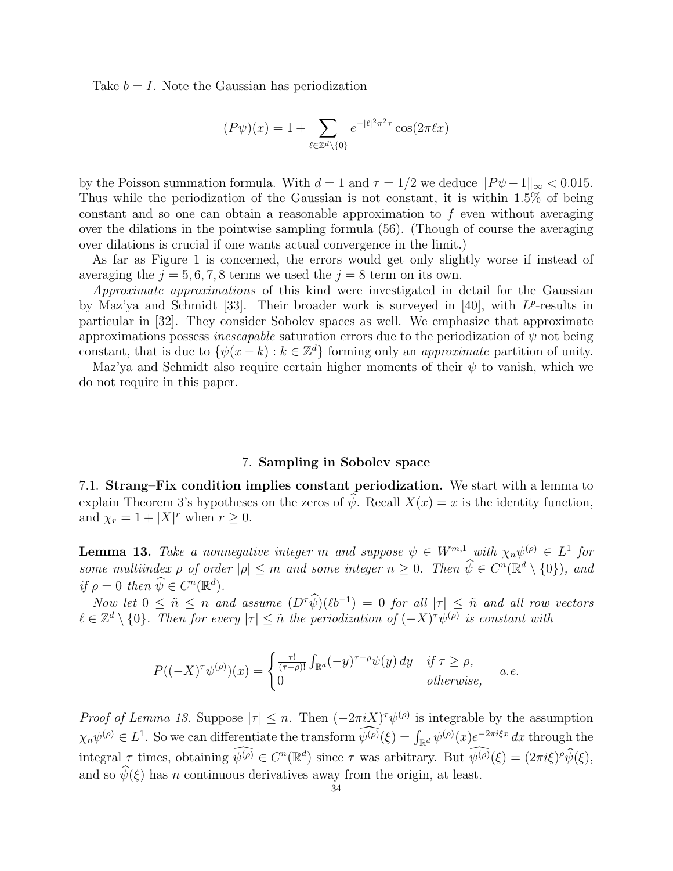Take  $b = I$ . Note the Gaussian has periodization

$$
(P\psi)(x) = 1 + \sum_{\ell \in \mathbb{Z}^d \setminus \{0\}} e^{-|\ell|^2 \pi^2 \tau} \cos(2\pi \ell x)
$$

by the Poisson summation formula. With  $d = 1$  and  $\tau = 1/2$  we deduce  $||P\psi - 1||_{\infty} < 0.015$ . Thus while the periodization of the Gaussian is not constant, it is within 1.5% of being constant and so one can obtain a reasonable approximation to  $f$  even without averaging over the dilations in the pointwise sampling formula (56). (Though of course the averaging over dilations is crucial if one wants actual convergence in the limit.)

As far as Figure 1 is concerned, the errors would get only slightly worse if instead of averaging the  $j = 5, 6, 7, 8$  terms we used the  $j = 8$  term on its own.

Approximate approximations of this kind were investigated in detail for the Gaussian by Maz'ya and Schmidt [33]. Their broader work is surveyed in [40], with  $L^p$ -results in particular in [32]. They consider Sobolev spaces as well. We emphasize that approximate approximations possess *inescapable* saturation errors due to the periodization of  $\psi$  not being constant, that is due to  $\{\psi(x-k): k \in \mathbb{Z}^d\}$  forming only an *approximate* partition of unity.

Maz'ya and Schmidt also require certain higher moments of their  $\psi$  to vanish, which we do not require in this paper.

#### 7. Sampling in Sobolev space

7.1. Strang–Fix condition implies constant periodization. We start with a lemma to explain Theorem 3's hypotheses on the zeros of  $\psi$ . Recall  $X(x) = x$  is the identity function, and  $\chi_r = 1 + |X|^r$  when  $r \ge 0$ .

**Lemma 13.** Take a nonnegative integer m and suppose  $\psi \in W^{m,1}$  with  $\chi_n \psi^{(\rho)} \in L^1$  for some multiindex  $\rho$  of order  $|\rho| \leq m$  and some integer  $n \geq 0$ . Then  $\widehat{\psi} \in C^n(\mathbb{R}^d \setminus \{0\})$ , and if  $\rho = 0$  then  $\widehat{\psi} \in C^n(\mathbb{R}^d)$ .

Now let  $0 \leq \tilde{n} \leq n$  and assume  $(D^{\tau}\widehat{\psi})(\ell b^{-1}) = 0$  for all  $|\tau| \leq \tilde{n}$  and all row vectors  $\ell \in \mathbb{Z}^d \setminus \{0\}$ . Then for every  $|\tau| \leq \tilde{n}$  the periodization of  $(-X)^\tau \psi^{(\rho)}$  is constant with

$$
P((-X)^{\tau}\psi^{(\rho)})(x) = \begin{cases} \frac{\tau!}{(\tau-\rho)!} \int_{\mathbb{R}^d} (-y)^{\tau-\rho} \psi(y) \, dy & \text{if } \tau \ge \rho, \\ 0 & \text{otherwise,} \end{cases} \quad a.e.
$$

*Proof of Lemma 13.* Suppose  $|\tau| \leq n$ . Then  $(-2\pi i X)^{\tau} \psi^{(\rho)}$  is integrable by the assumption  $\chi_n \psi^{(\rho)} \in L^1$ . So we can differentiate the transform  $\widehat{\psi}^{(\rho)}(\xi) = \int_{\mathbb{R}^d} \psi^{(\rho)}(x) e^{-2\pi i \xi x} dx$  through the integral  $\tau$  times, obtaining  $\widehat{\psi^{(\rho)}} \in C^{n}(\mathbb{R}^{d})$  since  $\tau$  was arbitrary. But  $\widehat{\psi^{(\rho)}}(\xi) = (2\pi i \xi)^{\rho} \widehat{\psi}(\xi)$ , and so  $\hat{\psi}(\xi)$  has n continuous derivatives away from the origin, at least.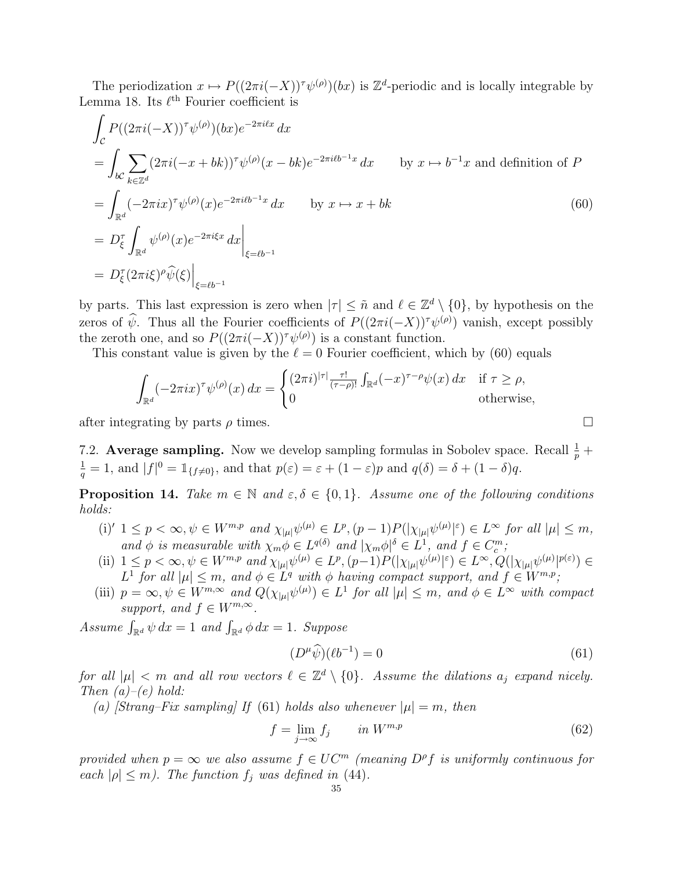The periodization  $x \mapsto P((2\pi i(-X))^{\tau} \psi^{(\rho)})(bx)$  is  $\mathbb{Z}^{d}$ -periodic and is locally integrable by Lemma 18. Its  $\ell^{\text{th}}$  Fourier coefficient is

$$
\int_{\mathcal{C}} P((2\pi i(-X))^{\tau} \psi^{(\rho)})(bx) e^{-2\pi i \ell x} dx
$$
\n
$$
= \int_{b\mathcal{C}} \sum_{k \in \mathbb{Z}^d} (2\pi i(-x + bk))^{\tau} \psi^{(\rho)}(x - bk) e^{-2\pi i \ell b^{-1}x} dx \qquad \text{by } x \mapsto b^{-1}x \text{ and definition of } P
$$
\n
$$
= \int_{\mathbb{R}^d} (-2\pi i x)^{\tau} \psi^{(\rho)}(x) e^{-2\pi i \ell b^{-1}x} dx \qquad \text{by } x \mapsto x + bk
$$
\n
$$
= D_{\xi}^{\tau} \int_{\mathbb{R}^d} \psi^{(\rho)}(x) e^{-2\pi i \xi x} dx \Big|_{\xi = \ell b^{-1}}
$$
\n
$$
= D_{\xi}^{\tau} (2\pi i \xi)^{\rho} \widehat{\psi}(\xi) \Big|_{\xi = \ell b^{-1}}
$$
\n(60)

by parts. This last expression is zero when  $|\tau| \leq \tilde{n}$  and  $\ell \in \mathbb{Z}^d \setminus \{0\}$ , by hypothesis on the zeros of  $\hat{\psi}$ . Thus all the Fourier coefficients of  $P((2\pi i(-X))^{\tau}\psi^{(\rho)})$  vanish, except possibly the zeroth one, and so  $P((2\pi i(-X))^{\tau}\psi^{(\rho)})$  is a constant function.

This constant value is given by the  $\ell = 0$  Fourier coefficient, which by (60) equals

$$
\int_{\mathbb{R}^d} (-2\pi ix)^{\tau} \psi^{(\rho)}(x) dx = \begin{cases} (2\pi i)^{|\tau|} \frac{\tau!}{(\tau-\rho)!} \int_{\mathbb{R}^d} (-x)^{\tau-\rho} \psi(x) dx & \text{if } \tau \ge \rho, \\ 0 & \text{otherwise,} \end{cases}
$$

after integrating by parts  $\rho$  times.

7.2. Average sampling. Now we develop sampling formulas in Sobolev space. Recall  $\frac{1}{p}$  +  $\frac{1}{q} = 1$ , and  $|f|^0 = \mathbb{1}_{\{f \neq 0\}}$ , and that  $p(\varepsilon) = \varepsilon + (1 - \varepsilon)p$  and  $q(\delta) = \delta + (1 - \delta)q$ .

**Proposition 14.** Take  $m \in \mathbb{N}$  and  $\varepsilon, \delta \in \{0, 1\}$ . Assume one of the following conditions holds:

- (i)'  $1 \leq p < \infty, \psi \in W^{m,p}$  and  $\chi_{|\mu|} \psi^{(\mu)} \in L^p, (p-1)P(|\chi_{|\mu|} \psi^{(\mu)}|^\varepsilon) \in L^\infty$  for all  $|\mu| \leq m$ , and  $\phi$  is measurable with  $\chi_m \phi \in L^{q(\delta)}$  and  $|\chi_m \phi|^\delta \in L^1$ , and  $f \in C_c^m$ ;
- (ii)  $1 \leq p < \infty, \psi \in W^{m,p}$  and  $\chi_{|\mu|} \psi^{(\mu)} \in L^p$ ,  $(p-1)P(|\chi_{|\mu|} \psi^{(\mu)}|^{\varepsilon}) \in L^{\infty}$ ,  $Q(|\chi_{|\mu|} \psi^{(\mu)}|^{p(\varepsilon)}) \in L^{\infty}$  $L^1$  for all  $|\mu| \leq m$ , and  $\phi \in L^q$  with  $\phi$  having compact support, and  $f \in W^{m,p}$ ;
- (iii)  $p = \infty, \psi \in W^{m, \infty}$  and  $Q(\chi_{|\mu|} \psi^{(\mu)}) \in L^1$  for all  $|\mu| \leq m$ , and  $\phi \in L^{\infty}$  with compact support, and  $f \in W^{m,\infty}$ .

Assume  $\int_{\mathbb{R}^d} \psi \, dx = 1$  and  $\int_{\mathbb{R}^d} \phi \, dx = 1$ . Suppose

$$
(D^{\mu}\widehat{\psi})(\ell b^{-1}) = 0 \tag{61}
$$

for all  $|\mu| < m$  and all row vectors  $\ell \in \mathbb{Z}^d \setminus \{0\}$ . Assume the dilations  $a_j$  expand nicely. Then  $(a)-(e)$  hold:

(a) [Strang–Fix sampling] If (61) holds also whenever  $|\mu|=m$ , then

$$
f = \lim_{j \to \infty} f_j \qquad in \ W^{m,p} \tag{62}
$$

provided when  $p = \infty$  we also assume  $f \in UC^m$  (meaning  $D^{\rho}f$  is uniformly continuous for each  $|\rho| \leq m$ ). The function  $f_i$  was defined in (44).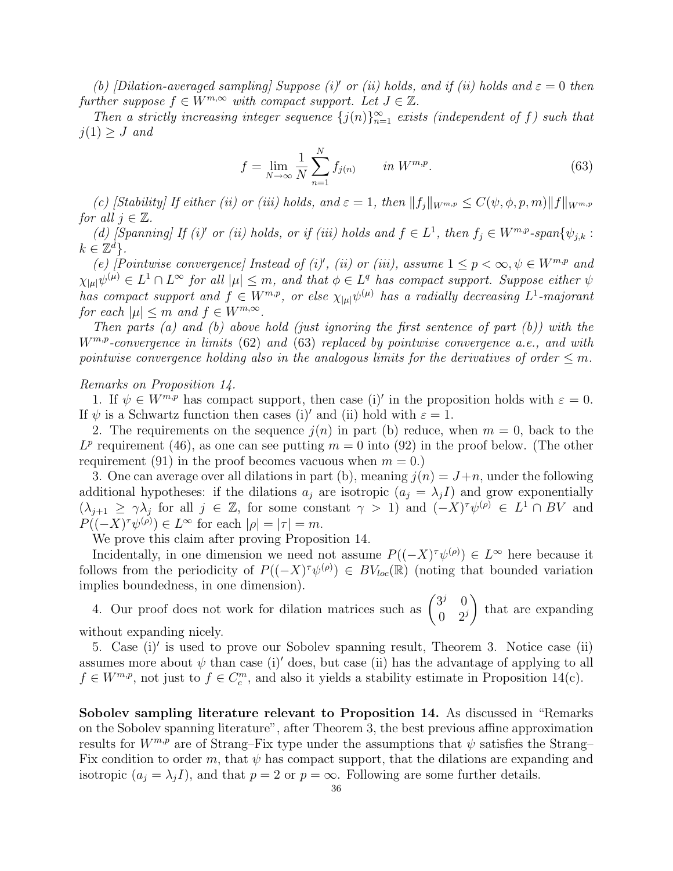(b) [Dilation-averaged sampling] Suppose (i)<sup>'</sup> or (ii) holds, and if (ii) holds and  $\varepsilon = 0$  then further suppose  $f \in W^{m,\infty}$  with compact support. Let  $J \in \mathbb{Z}$ .

Then a strictly increasing integer sequence  $\{j(n)\}_{n=1}^{\infty}$  exists (independent of f) such that  $j(1) \geq J$  and

$$
f = \lim_{N \to \infty} \frac{1}{N} \sum_{n=1}^{N} f_{j(n)} \qquad in \ W^{m,p}.
$$
 (63)

(c) [Stability] If either (ii) or (iii) holds, and  $\varepsilon = 1$ , then  $||f_i||_{W^{m,p}} \leq C(\psi, \phi, p, m)||f||_{W^{m,p}}$ for all  $j \in \mathbb{Z}$ .

(d) [Spanning] If (i)' or (ii) holds, or if (iii) holds and  $f \in L^1$ , then  $f_j \in W^{m,p}$ -span $\{\psi_{j,k} :$  $k \in \mathbb{Z}^d$ .

(e) [Pointwise convergence] Instead of (i)', (ii) or (iii), assume  $1 \leq p < \infty, \psi \in W^{m,p}$  and  $\chi_{|\mu|} \psi^{(\mu)} \in L^1 \cap L^{\infty}$  for all  $|\mu| \leq m$ , and that  $\phi \in L^q$  has compact support. Suppose either  $\psi$ has compact support and  $f \in W^{m,p}$ , or else  $\chi_{|\mu|} \psi^{(\mu)}$  has a radially decreasing  $L^1$ -majorant for each  $|\mu| \leq m$  and  $f \in W^{m,\infty}$ .

Then parts (a) and (b) above hold (just ignoring the first sentence of part  $(b)$ ) with the  $W^{m,p}$ -convergence in limits (62) and (63) replaced by pointwise convergence a.e., and with pointwise convergence holding also in the analogous limits for the derivatives of order  $\leq m$ .

Remarks on Proposition 14.

1. If  $\psi \in W^{m,p}$  has compact support, then case (i)' in the proposition holds with  $\varepsilon = 0$ . If  $\psi$  is a Schwartz function then cases (i)' and (ii) hold with  $\varepsilon = 1$ .

2. The requirements on the sequence  $i(n)$  in part (b) reduce, when  $m = 0$ , back to the  $L^p$  requirement (46), as one can see putting  $m = 0$  into (92) in the proof below. (The other requirement (91) in the proof becomes vacuous when  $m = 0$ .)

3. One can average over all dilations in part (b), meaning  $j(n) = J+n$ , under the following additional hypotheses: if the dilations  $a_j$  are isotropic  $(a_j = \lambda_j I)$  and grow exponentially  $(\lambda_{j+1} \geq \gamma \lambda_j \text{ for all } j \in \mathbb{Z}, \text{ for some constant } \gamma > 1) \text{ and } (-X)^{\tau} \psi^{(\rho)} \in L^1 \cap BV \text{ and }$  $P((-X)^{\tau}\psi^{(\rho)}) \in L^{\infty}$  for each  $|\rho|=|\tau|=m$ .

We prove this claim after proving Proposition 14.

Incidentally, in one dimension we need not assume  $P((-X)^{T}\psi^{(\rho)}) \in L^{\infty}$  here because it follows from the periodicity of  $P((-X)^{T}\psi^{(\rho)}) \in BV_{loc}(\mathbb{R})$  (noting that bounded variation implies boundedness, in one dimension).  $\mathbf{r}$ 

plues boundedness, in one dimension).<br>4. Our proof does not work for dilation matrices such as  $\begin{pmatrix} 3^j & 0 \\ 0 & 2^j \end{pmatrix}$  $0 \quad 2^j$ that are expanding without expanding nicely.

5. Case (i)' is used to prove our Sobolev spanning result, Theorem 3. Notice case (ii) assumes more about  $\psi$  than case (i)' does, but case (ii) has the advantage of applying to all  $f \in W^{m,p}$ , not just to  $f \in C_c^m$ , and also it yields a stability estimate in Proposition 14(c).

Sobolev sampling literature relevant to Proposition 14. As discussed in "Remarks on the Sobolev spanning literature", after Theorem 3, the best previous affine approximation results for  $W^{m,p}$  are of Strang–Fix type under the assumptions that  $\psi$  satisfies the Strang– Fix condition to order m, that  $\psi$  has compact support, that the dilations are expanding and isotropic  $(a_i = \lambda_i I)$ , and that  $p = 2$  or  $p = \infty$ . Following are some further details.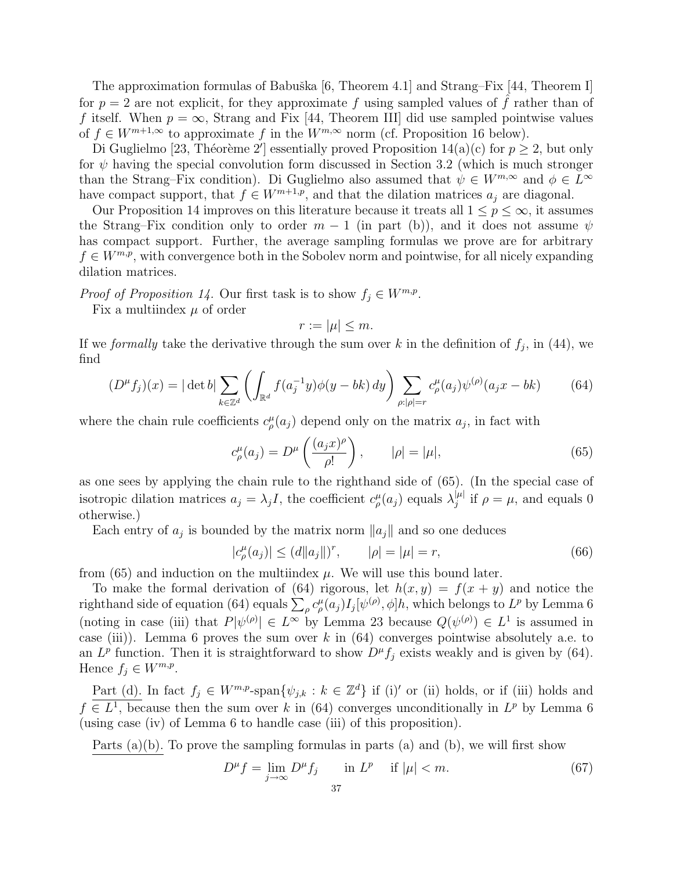The approximation formulas of Babuška [6, Theorem 4.1] and Strang–Fix [44, Theorem I] for  $p = 2$  are not explicit, for they approximate f using sampled values of f rather than of f itself. When  $p = \infty$ , Strang and Fix [44, Theorem III] did use sampled pointwise values of  $f \in W^{m+1,\infty}$  to approximate f in the  $W^{m,\infty}$  norm (cf. Proposition 16 below).

Di Guglielmo [23, Théorème 2'] essentially proved Proposition 14(a)(c) for  $p \ge 2$ , but only for  $\psi$  having the special convolution form discussed in Section 3.2 (which is much stronger than the Strang–Fix condition). Di Guglielmo also assumed that  $\psi \in W^{m,\infty}$  and  $\phi \in L^{\infty}$ have compact support, that  $f \in W^{m+1,p}$ , and that the dilation matrices  $a_j$  are diagonal.

Our Proposition 14 improves on this literature because it treats all  $1 \leq p \leq \infty$ , it assumes the Strang–Fix condition only to order  $m-1$  (in part (b)), and it does not assume  $\psi$ has compact support. Further, the average sampling formulas we prove are for arbitrary  $f \in W^{m,p}$ , with convergence both in the Sobolev norm and pointwise, for all nicely expanding dilation matrices.

*Proof of Proposition 14.* Our first task is to show  $f_j \in W^{m,p}$ .

Fix a multiindex  $\mu$  of order

$$
r := |\mu| \le m.
$$

If we *formally* take the derivative through the sum over k in the definition of  $f_j$ , in (44), we find  $\overline{a}$ 

$$
(D^{\mu}f_j)(x) = |\det b| \sum_{k \in \mathbb{Z}^d} \left( \int_{\mathbb{R}^d} f(a_j^{-1}y) \phi(y - bk) dy \right) \sum_{\rho : |\rho| = r} c_{\rho}^{\mu}(a_j) \psi^{(\rho)}(a_j x - bk) \tag{64}
$$

where the chain rule coefficients  $c_{\rho}^{\mu}(a_j)$  depend only on the matrix  $a_j$ , in fact with

$$
c_{\rho}^{\mu}(a_j) = D^{\mu}\left(\frac{(a_j x)^{\rho}}{\rho!}\right), \qquad |\rho| = |\mu|,
$$
\n(65)

as one sees by applying the chain rule to the righthand side of (65). (In the special case of isotropic dilation matrices  $a_j = \lambda_j I$ , the coefficient  $c^{\mu}_{\rho}(a_j)$  equals  $\lambda_j^{|\mu|}$  $j^{\mu}$  if  $\rho = \mu$ , and equals 0 otherwise.)

Each entry of  $a_j$  is bounded by the matrix norm  $\|a_j\|$  and so one deduces

$$
|c_{\rho}^{\mu}(a_j)| \leq (d||a_j||)^r, \qquad |\rho| = |\mu| = r,
$$
\n(66)

from  $(65)$  and induction on the multiindex  $\mu$ . We will use this bound later.

D

To make the formal derivation of (64) rigorous, let  $h(x, y) = f(x + y)$  and notice the To make the formal derivation of (64) rigorous, let  $n(x, y) = f(x + y)$  and notice the righthand side of equation (64) equals  $\sum_{\rho} c^{\mu}_{\rho}(a_j) I_j[\psi^{(\rho)}, \phi]h$ , which belongs to  $L^p$  by Lemma 6 (noting in case (iii) that  $P[\psi^{(\rho)}] \in L^{\infty}$  by Lemma 23 because  $Q(\psi^{(\rho)}) \in L^{1}$  is assumed in case (iii)). Lemma 6 proves the sum over k in  $(64)$  converges pointwise absolutely a.e. to an  $L^p$  function. Then it is straightforward to show  $D^\mu f_j$  exists weakly and is given by (64). Hence  $f_j \in W^{m,p}$ .

Part (d). In fact  $f_j \in W^{m,p}$ -span $\{\psi_{j,k} : k \in \mathbb{Z}^d\}$  if (i)' or (ii) holds, or if (iii) holds and  $f \in L^1$ , because then the sum over k in (64) converges unconditionally in  $L^p$  by Lemma 6 (using case (iv) of Lemma 6 to handle case (iii) of this proposition).

Parts  $(a)(b)$ . To prove the sampling formulas in parts  $(a)$  and  $(b)$ , we will first show

$$
D^{\mu}f = \lim_{j \to \infty} D^{\mu}f_j \quad \text{in } L^p \quad \text{if } |\mu| < m. \tag{67}
$$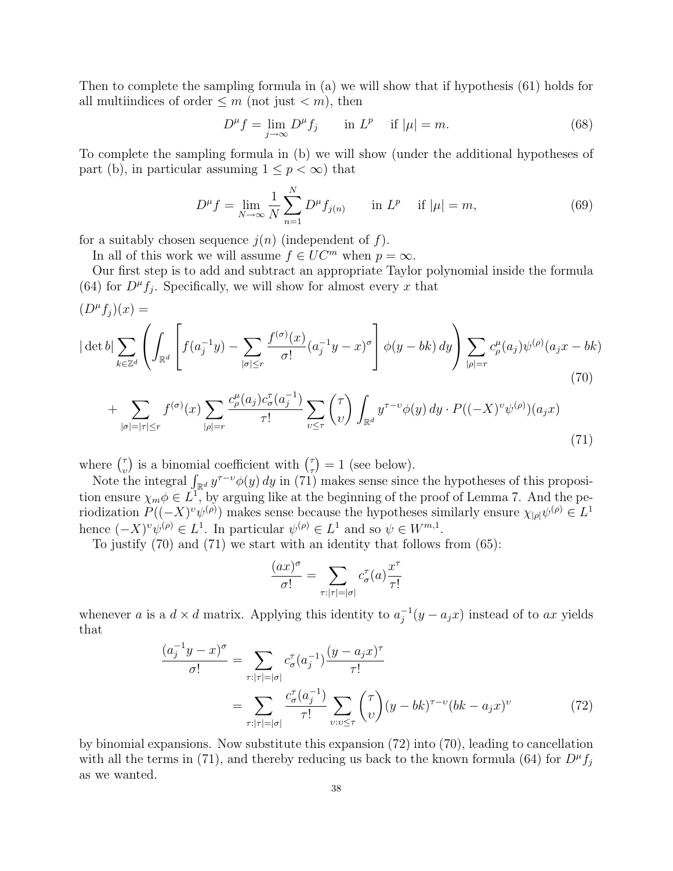Then to complete the sampling formula in (a) we will show that if hypothesis (61) holds for all multiindices of order  $\leq m$  (not just  $\lt m$ ), then

$$
D^{\mu} f = \lim_{j \to \infty} D^{\mu} f_j \qquad \text{in } L^p \quad \text{if } |\mu| = m. \tag{68}
$$

To complete the sampling formula in (b) we will show (under the additional hypotheses of part (b), in particular assuming  $1 \leq p < \infty$ ) that

$$
D^{\mu} f = \lim_{N \to \infty} \frac{1}{N} \sum_{n=1}^{N} D^{\mu} f_{j(n)} \quad \text{in } L^{p} \quad \text{if } |\mu| = m,
$$
 (69)

for a suitably chosen sequence  $j(n)$  (independent of f).

In all of this work we will assume  $f \in UC^m$  when  $p = \infty$ .

Our first step is to add and subtract an appropriate Taylor polynomial inside the formula (64) for  $D^{\mu} f_j$ . Specifically, we will show for almost every x that

$$
(D^{\mu}f_j)(x) =
$$
  
\n
$$
|\det b| \sum_{k \in \mathbb{Z}^d} \left( \int_{\mathbb{R}^d} \left[ f(a_j^{-1}y) - \sum_{|\sigma| \le r} \frac{f^{(\sigma)}(x)}{\sigma!} (a_j^{-1}y - x)^{\sigma} \right] \phi(y - bk) dy \right) \sum_{|\rho| = r} c_{\rho}^{\mu}(a_j) \psi^{(\rho)}(a_j x - bk)
$$
  
\n
$$
+ \sum_{|\sigma| = |\tau| \le r} f^{(\sigma)}(x) \sum_{|\rho| = r} \frac{c_{\rho}^{\mu}(a_j) c_{\sigma}^{\tau}(a_j^{-1})}{\tau!} \sum_{v \le \tau} {(\tau) \choose v} \int_{\mathbb{R}^d} y^{\tau - v} \phi(y) dy \cdot P((-X)^{v} \psi^{(\rho)})(a_j x)
$$
  
\n(71)

where  $\binom{7}{4}$ υ ) is a binomial coefficient with  $\binom{7}{5}$ τ  $= 1$  (see below).

Here  $\binom{v}{v}$  is a binomial coefficient with  $\binom{v}{v} = 1$  (see below).<br>Note the integral  $\int_{\mathbb{R}^d} y^{\tau-v} \phi(y) dy$  in (71) makes sense since the hypotheses of this proposition ensure  $\chi_m \phi \in L^1$ , by arguing like at the beginning of the proof of Lemma 7. And the periodization  $P((-X)^{v}\psi^{(\rho)})$  makes sense because the hypotheses similarly ensure  $\chi_{|\rho|}\psi^{(\rho)} \in L^{1}$ hence  $(-X)^{v}\psi^{(\rho)} \in L^{1}$ . In particular  $\psi^{(\rho)} \in L^{1}$  and so  $\psi \in W^{m,1}$ .

To justify (70) and (71) we start with an identity that follows from (65):

$$
\frac{(ax)^{\sigma}}{\sigma!} = \sum_{\tau:|\tau|=|\sigma|} c_{\sigma}^{\tau}(a) \frac{x^{\tau}}{\tau!}
$$

whenever a is a  $d \times d$  matrix. Applying this identity to  $a_i^{-1}$  $j^{-1}(y - a_jx)$  instead of to ax yields that

$$
\frac{(a_j^{-1}y - x)^{\sigma}}{\sigma!} = \sum_{\tau:|\tau|=|\sigma|} c_{\sigma}^{\tau}(a_j^{-1}) \frac{(y - a_j x)^{\tau}}{\tau!} \n= \sum_{\tau:|\tau|=|\sigma|} \frac{c_{\sigma}^{\tau}(a_j^{-1})}{\tau!} \sum_{v:v \leq \tau} {\tau \choose v} (y - bk)^{\tau-v} (bk - a_j x)^{v}
$$
\n(72)

by binomial expansions. Now substitute this expansion (72) into (70), leading to cancellation with all the terms in (71), and thereby reducing us back to the known formula (64) for  $D^{\mu}f_j$ as we wanted.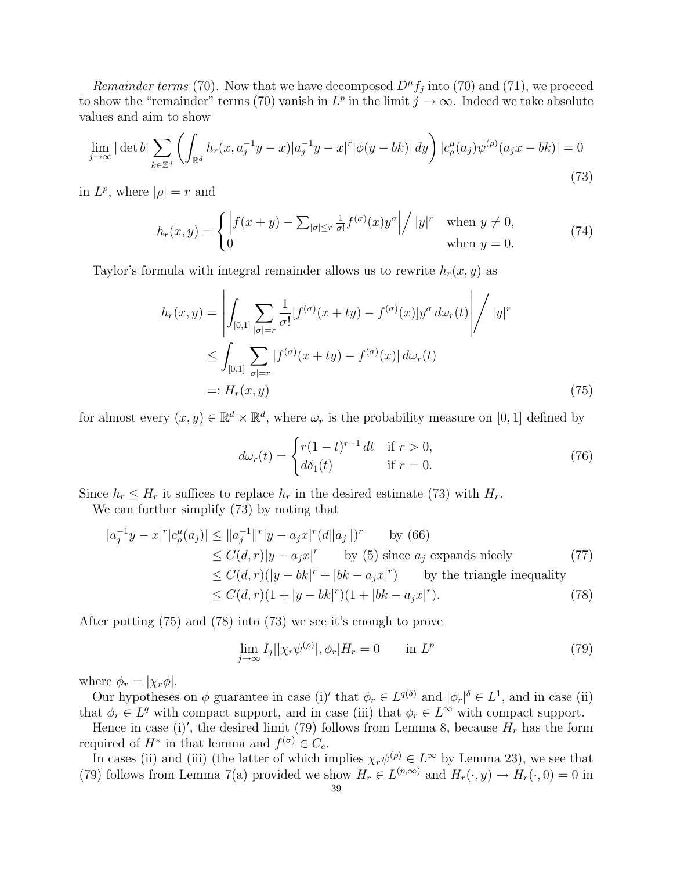Remainder terms (70). Now that we have decomposed  $D^{\mu} f_j$  into (70) and (71), we proceed to show the "remainder" terms (70) vanish in  $L^p$  in the limit  $j \to \infty$ . Indeed we take absolute values and aim to show

$$
\lim_{j \to \infty} |\det b| \sum_{k \in \mathbb{Z}^d} \left( \int_{\mathbb{R}^d} h_r(x, a_j^{-1}y - x) |a_j^{-1}y - x|^r |\phi(y - bk)| dy \right) |c_\rho^\mu(a_j)\psi^{(\rho)}(a_jx - bk)| = 0
$$
\n(73)

in  $L^p$ , where  $|\rho| = r$  and

$$
h_r(x,y) = \begin{cases} \left| f(x+y) - \sum_{|\sigma| \le r} \frac{1}{\sigma!} f^{(\sigma)}(x) y^{\sigma} \right| / |y|^r & \text{when } y \ne 0, \\ 0 & \text{when } y = 0. \end{cases}
$$
(74)

Taylor's formula with integral remainder allows us to rewrite  $h_r(x, y)$  as

$$
h_r(x,y) = \left| \int_{[0,1]} \sum_{|\sigma|=r} \frac{1}{\sigma!} [f^{(\sigma)}(x+ty) - f^{(\sigma)}(x)] y^{\sigma} d\omega_r(t) \right| / |y|^r
$$
  

$$
\leq \int_{[0,1]} \sum_{|\sigma|=r} |f^{(\sigma)}(x+ty) - f^{(\sigma)}(x)| d\omega_r(t)
$$
  

$$
=: H_r(x,y) \tag{75}
$$

for almost every  $(x, y) \in \mathbb{R}^d \times \mathbb{R}^d$ , where  $\omega_r$  is the probability measure on [0, 1] defined by

$$
d\omega_r(t) = \begin{cases} r(1-t)^{r-1} dt & \text{if } r > 0, \\ d\delta_1(t) & \text{if } r = 0. \end{cases}
$$
 (76)

Since  $h_r \leq H_r$  it suffices to replace  $h_r$  in the desired estimate (73) with  $H_r$ .

We can further simplify (73) by noting that

$$
|a_j^{-1}y - x|^r |c_\rho^\mu(a_j)| \le ||a_j^{-1}||^r |y - a_j x|^r (d||a_j||)^r \qquad \text{by (66)}
$$
  
\n
$$
\le C(d, r) |y - a_j x|^r \qquad \text{by (5) since } a_j \text{ expands nicely} \qquad (77)
$$
  
\n
$$
\le C(d, r) (|y - bk|^r + |bk - a_j x|^r) \qquad \text{by the triangle inequality}
$$
  
\n
$$
\le C(d, r) (1 + |y - bk|^r) (1 + |bk - a_j x|^r).
$$
 (78)

After putting (75) and (78) into (73) we see it's enough to prove

$$
\lim_{j \to \infty} I_j[|\chi_r \psi^{(\rho)}|, \phi_r] H_r = 0 \quad \text{in } L^p
$$
\n(79)

where  $\phi_r = |\chi_r \phi|$ .

Our hypotheses on  $\phi$  guarantee in case (i)' that  $\phi_r \in L^{q(\delta)}$  and  $|\phi_r|^{\delta} \in L^1$ , and in case (ii) that  $\phi_r \in L^q$  with compact support, and in case (iii) that  $\phi_r \in L^\infty$  with compact support.

Hence in case (i)', the desired limit (79) follows from Lemma 8, because  $H_r$  has the form required of  $H^*$  in that lemma and  $f^{(\sigma)} \in C_c$ .

In cases (ii) and (iii) (the latter of which implies  $\chi_r\psi^{(\rho)} \in L^{\infty}$  by Lemma 23), we see that (79) follows from Lemma 7(a) provided we show  $H_r \in L^{(p,\infty)}$  and  $H_r(\cdot,y) \to H_r(\cdot,0) = 0$  in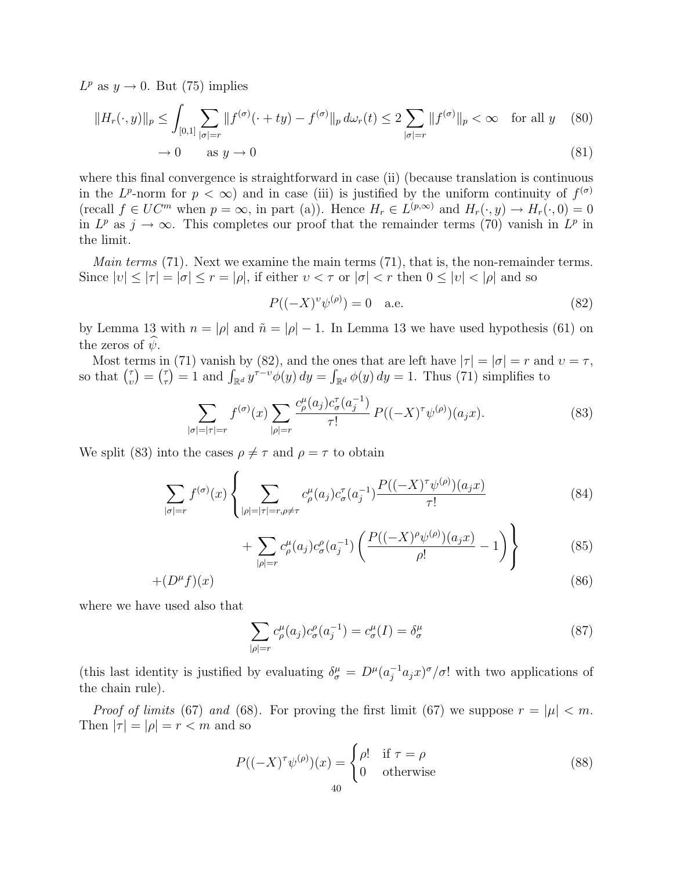$L^p$  as  $y \to 0$ . But (75) implies

$$
||H_r(\cdot, y)||_p \le \int_{[0,1]} \sum_{|\sigma|=r} ||f^{(\sigma)}(\cdot + ty) - f^{(\sigma)}||_p d\omega_r(t) \le 2 \sum_{|\sigma|=r} ||f^{(\sigma)}||_p < \infty \quad \text{for all } y \quad (80)
$$

$$
\to 0 \qquad \text{as } y \to 0 \tag{81}
$$

where this final convergence is straightforward in case (ii) (because translation is continuous in the L<sup>p</sup>-norm for  $p < \infty$ ) and in case (iii) is justified by the uniform continuity of  $f^{(\sigma)}$ (recall  $f \in UC^m$  when  $p = \infty$ , in part (a)). Hence  $H_r \in L^{(p,\infty)}$  and  $H_r(\cdot, y) \to H_r(\cdot, 0) = 0$ in  $L^p$  as  $j \to \infty$ . This completes our proof that the remainder terms (70) vanish in  $L^p$  in the limit.

*Main terms* (71). Next we examine the main terms (71), that is, the non-remainder terms. Since  $|v| \leq |\tau| = |\sigma| \leq r = |\rho|$ , if either  $v < \tau$  or  $|\sigma| < r$  then  $0 \leq |v| < |\rho|$  and so

$$
P((-X)^{v}\psi^{(\rho)}) = 0 \quad \text{a.e.} \tag{82}
$$

by Lemma 13 with  $n = |\rho|$  and  $\tilde{n} = |\rho| - 1$ . In Lemma 13 we have used hypothesis (61) on the zeros of  $\psi$ .

Most terms in (71) vanish by (82), and the ones that are left have  $|\tau| = |\sigma| = r$  and  $v = \tau$ , Most te<br>so that  $\binom{7}{4}$  $\binom{\tau}{v} = \binom{\tau}{\tau}$  $f(\tau) = 1$  and  $\int_{\mathbb{R}^d} y^{\tau-\nu} \phi(y) dy = \int_{\mathbb{R}^d} \phi(y) dy = 1$ . Thus (71) simplifies to

$$
\sum_{|\sigma|=|\tau|=r} f^{(\sigma)}(x) \sum_{|\rho|=r} \frac{c_{\rho}^{\mu}(a_j) c_{\sigma}^{\tau}(a_j^{-1})}{\tau!} P((-X)^{\tau} \psi^{(\rho)}) (a_j x). \tag{83}
$$

We split (83) into the cases  $\rho \neq \tau$  and  $\rho = \tau$  to obtain

$$
\sum_{|\sigma|=r} f^{(\sigma)}(x) \left\{ \sum_{|\rho|=|\tau|=r, \rho \neq \tau} c^{\mu}_{\rho}(a_j) c^{\tau}_{\sigma}(a_j^{-1}) \frac{P((-X)^{\tau} \psi^{(\rho)})(a_j x)}{\tau!} \right\} \tag{84}
$$

$$
+\sum_{|\rho|=r} c_{\rho}^{\mu}(a_j) c_{\sigma}^{\rho}(a_j^{-1}) \left( \frac{P((-X)^{\rho} \psi^{(\rho)}) (a_j x)}{\rho!} - 1 \right) \right\} \tag{85}
$$

$$
+(D^{\mu}f)(x) \tag{86}
$$

where we have used also that

$$
\sum_{|\rho|=r} c_{\rho}^{\mu}(a_j) c_{\sigma}^{\rho}(a_j^{-1}) = c_{\sigma}^{\mu}(I) = \delta_{\sigma}^{\mu}
$$
\n(87)

(this last identity is justified by evaluating  $\delta_{\sigma}^{\mu} = D^{\mu} (a_j^{-1} a_j x)^{\sigma} / \sigma!$  with two applications of the chain rule).

*Proof of limits* (67) and (68). For proving the first limit (67) we suppose  $r = |\mu| < m$ . Then  $|\tau| = |\rho| = r < m$  and so

$$
P((-X)^{\tau}\psi^{(\rho)})(x) = \begin{cases} \rho! & \text{if } \tau = \rho \\ 0 & \text{otherwise} \end{cases}
$$
 (88)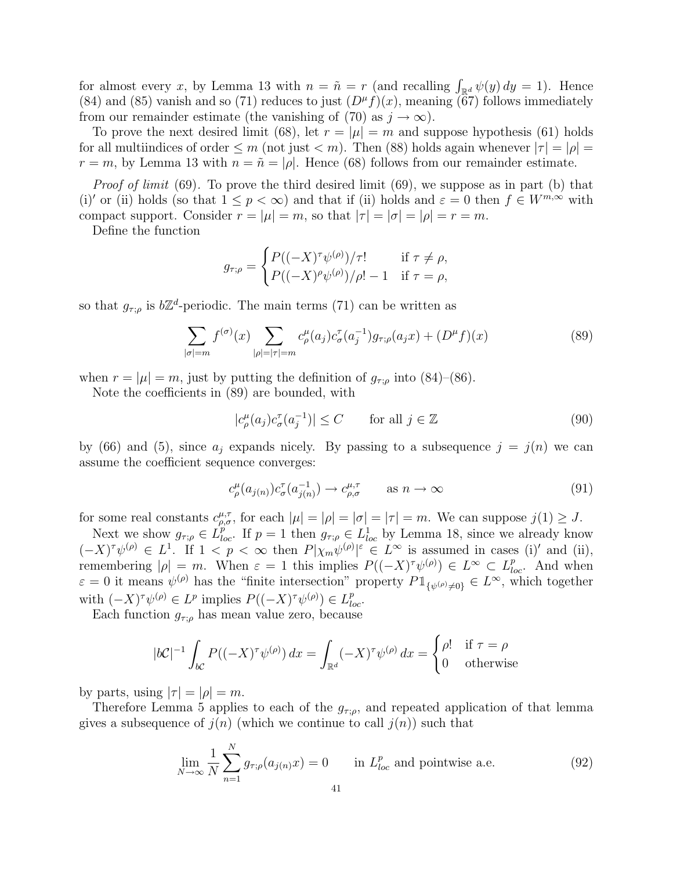for almost every x, by Lemma 13 with  $n = \tilde{n} = r$  (and recalling  $\int_{\mathbb{R}^d} \psi(y) dy = 1$ ). Hence (84) and (85) vanish and so (71) reduces to just  $(D^{\mu}f)(x)$ , meaning (67) follows immediately from our remainder estimate (the vanishing of (70) as  $j \to \infty$ ).

To prove the next desired limit (68), let  $r = |\mu| = m$  and suppose hypothesis (61) holds for all multiindices of order  $\leq m$  (not just  $\lt m$ ). Then (88) holds again whenever  $|\tau|=|\rho|=$  $r = m$ , by Lemma 13 with  $n = \tilde{n} = |\rho|$ . Hence (68) follows from our remainder estimate.

*Proof of limit* (69). To prove the third desired limit (69), we suppose as in part (b) that (i)' or (ii) holds (so that  $1 \leq p < \infty$ ) and that if (ii) holds and  $\varepsilon = 0$  then  $f \in W^{m,\infty}$  with compact support. Consider  $r = |\mu| = m$ , so that  $|\tau| = |\sigma| = |\rho| = r = m$ .

Define the function

$$
g_{\tau;\rho} = \begin{cases} P((-X)^{\tau}\psi^{(\rho)})/\tau! & \text{if } \tau \neq \rho, \\ P((-X)^{\rho}\psi^{(\rho)})/\rho! - 1 & \text{if } \tau = \rho, \end{cases}
$$

so that  $g_{\tau;\rho}$  is  $b\mathbb{Z}^d$ -periodic. The main terms (71) can be written as

$$
\sum_{|\sigma|=m} f^{(\sigma)}(x) \sum_{|\rho|=|\tau|=m} c^{\mu}_{\rho}(a_j) c^{\tau}_{\sigma}(a_j^{-1}) g_{\tau;\rho}(a_j x) + (D^{\mu} f)(x) \tag{89}
$$

when  $r = |\mu| = m$ , just by putting the definition of  $g_{\tau,\rho}$  into (84)–(86).

Note the coefficients in (89) are bounded, with

$$
|c_{\rho}^{\mu}(a_j)c_{\sigma}^{\tau}(a_j^{-1})| \le C \qquad \text{for all } j \in \mathbb{Z}
$$
 (90)

by (66) and (5), since  $a_j$  expands nicely. By passing to a subsequence  $j = j(n)$  we can assume the coefficient sequence converges:

$$
c^{\mu}_{\rho}(a_{j(n)})c^{\tau}_{\sigma}(a_{j(n)}^{-1}) \to c^{\mu,\tau}_{\rho,\sigma} \qquad \text{as } n \to \infty \tag{91}
$$

for some real constants  $c^{\mu,\tau}_{\rho,\sigma}$ , for each  $|\mu|=|\rho|=|\sigma|=|\tau|=m$ . We can suppose  $j(1)\geq J$ .

Next we show  $g_{\tau,\rho} \in L_{loc}^p$ . If  $p=1$  then  $g_{\tau,\rho} \in L_{loc}^1$  by Lemma 18, since we already know  $(-X)^{\tau}\psi^{(\rho)} \in L^{1}$ . If  $1 < p < \infty$  then  $P|\chi_{m}\psi^{(\rho)}|^{s} \in L^{\infty}$  is assumed in cases (i)' and (ii), remembering  $|\rho| = m$ . When  $\varepsilon = 1$  this implies  $P((-X)^{\tau}\psi^{(\rho)}) \in L^{\infty} \subset L^{p}_{loc}$ . And when  $\varepsilon = 0$  it means  $\psi^{(\rho)}$  has the "finite intersection" property  $P1_{\{\psi^{(\rho)}\neq 0\}} \in L^{\infty}$ , which together with  $(-X)^\tau \psi^{(\rho)} \in L^p$  implies  $P((-X)^\tau \psi^{(\rho)}) \in L^p_{loc}$ .

Each function  $g_{\tau;\rho}$  has mean value zero, because

$$
|b\mathcal{C}|^{-1} \int_{b\mathcal{C}} P((-X)^{\tau} \psi^{(\rho)}) dx = \int_{\mathbb{R}^d} (-X)^{\tau} \psi^{(\rho)} dx = \begin{cases} \rho! & \text{if } \tau = \rho \\ 0 & \text{otherwise} \end{cases}
$$

by parts, using  $|\tau| = |\rho| = m$ .

Therefore Lemma 5 applies to each of the  $g_{\tau,\rho}$ , and repeated application of that lemma gives a subsequence of  $j(n)$  (which we continue to call  $j(n)$ ) such that

$$
\lim_{N \to \infty} \frac{1}{N} \sum_{n=1}^{N} g_{\tau;\rho}(a_{j(n)}x) = 0 \quad \text{in } L_{loc}^p \text{ and pointwise a.e.}
$$
 (92)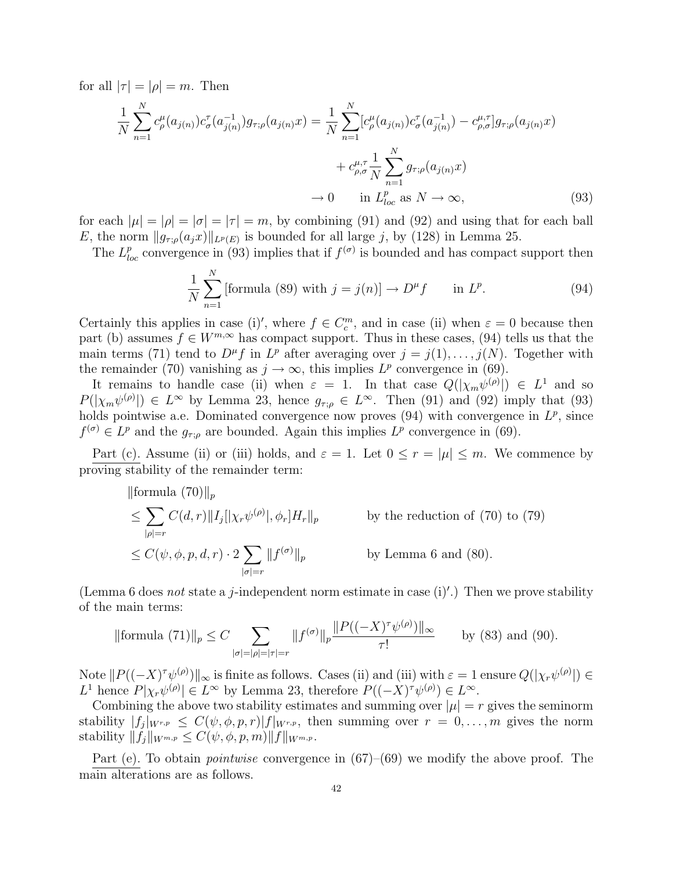for all  $|\tau| = |\rho| = m$ . Then

$$
\frac{1}{N} \sum_{n=1}^{N} c_{\rho}^{\mu}(a_{j(n)}) c_{\sigma}^{\tau}(a_{j(n)}^{-1}) g_{\tau; \rho}(a_{j(n)} x) = \frac{1}{N} \sum_{n=1}^{N} [c_{\rho}^{\mu}(a_{j(n)}) c_{\sigma}^{\tau}(a_{j(n)}^{-1}) - c_{\rho, \sigma}^{\mu, \tau}] g_{\tau; \rho}(a_{j(n)} x) \n+ c_{\rho, \sigma}^{\mu, \tau} \frac{1}{N} \sum_{n=1}^{N} g_{\tau; \rho}(a_{j(n)} x) \n\to 0 \quad \text{in } L_{loc}^{p} \text{ as } N \to \infty,
$$
\n(93)

for each  $|\mu| = |\rho| = |\tau| = m$ , by combining (91) and (92) and using that for each ball E, the norm  $||g_{\tau;\rho}(a_jx)||_{L^p(E)}$  is bounded for all large j, by (128) in Lemma 25.

The  $L_{loc}^p$  convergence in (93) implies that if  $f^{(\sigma)}$  is bounded and has compact support then

$$
\frac{1}{N} \sum_{n=1}^{N} \text{[formula (89) with } j = j(n) \text{]} \to D^{\mu} f \quad \text{in } L^{p}.
$$
 (94)

Certainly this applies in case (i)', where  $f \in C_c^m$ , and in case (ii) when  $\varepsilon = 0$  because then part (b) assumes  $f \in W^{m,\infty}$  has compact support. Thus in these cases, (94) tells us that the main terms (71) tend to  $D^{\mu} f$  in  $L^{p}$  after averaging over  $j = j(1), \ldots, j(N)$ . Together with the remainder (70) vanishing as  $j \to \infty$ , this implies  $L^p$  convergence in (69).

It remains to handle case (ii) when  $\varepsilon = 1$ . In that case  $Q(|\chi_m \psi^{(\rho)}|) \in L^1$  and so  $P(|\chi_m \psi^{(\rho)}|) \in L^{\infty}$  by Lemma 23, hence  $g_{\tau,\rho} \in L^{\infty}$ . Then (91) and (92) imply that (93) holds pointwise a.e. Dominated convergence now proves  $(94)$  with convergence in  $L^p$ , since  $f^{(\sigma)} \in L^p$  and the  $g_{\tau;\rho}$  are bounded. Again this implies  $L^p$  convergence in (69).

Part (c). Assume (ii) or (iii) holds, and  $\varepsilon = 1$ . Let  $0 \le r = |\mu| \le m$ . We commence by proving stability of the remainder term:

$$
\|\text{formula (70)}\|_{p}
$$
\n
$$
\leq \sum_{|\rho|=r} C(d,r) \|I_{j}[\chi_{r}\psi^{(\rho)}], \phi_{r}]H_{r}\|_{p} \qquad \text{by the reduction of (70) to (79)}
$$
\n
$$
\leq C(\psi, \phi, p, d, r) \cdot 2 \sum_{|\sigma|=r} \|f^{(\sigma)}\|_{p} \qquad \text{by Lemma 6 and (80)}.
$$

(Lemma 6 does not state a j-independent norm estimate in case  $(i)'$ .) Then we prove stability of the main terms:

$$
\|\text{formula (71)}\|_{p} \le C \sum_{|\sigma|=|\rho|=|\tau|=r} \|f^{(\sigma)}\|_{p} \frac{\|P((-X)^{\tau}\psi^{(\rho)})\|_{\infty}}{\tau!} \quad \text{by (83) and (90)}.
$$

Note  $||P((-X)^{\tau}\psi^{(\rho)})||_{\infty}$  is finite as follows. Cases (ii) and (iii) with  $\varepsilon = 1$  ensure  $Q(|\chi_r\psi^{(\rho)}|) \in$ L<sup>1</sup> hence  $P|\chi_r\psi^{(\rho)}| \in L^{\infty}$  by Lemma 23, therefore  $P((-X)^{\tau}\psi^{(\rho)}) \in L^{\infty}$ .

Combining the above two stability estimates and summing over  $|\mu| = r$  gives the seminorm stability  $|f_j|_{W^{r,p}} \leq C(\psi,\phi,p,r)|f|_{W^{r,p}}$ , then summing over  $r = 0,\ldots,m$  gives the norm stability  $||f_j||_{W^{m,p}} \leq C(\psi, \phi, p, m)||f||_{W^{m,p}}$ .

Part (e). To obtain *pointwise* convergence in  $(67)-(69)$  we modify the above proof. The main alterations are as follows.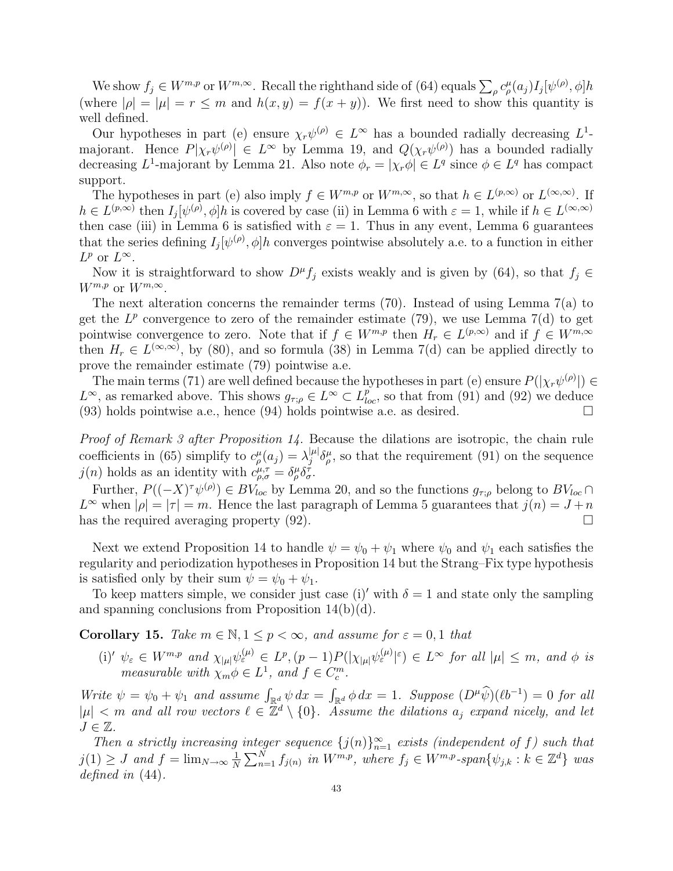We show  $f_j \in W^{m,p}$  or  $W^{m,\infty}$ . Recall the righthand side of (64) equals  $\sum_{\rho} c^{\mu}_{\rho}(a_j) I_j[\psi^{(\rho)}, \phi] h$ (where  $|\rho| = |\mu| = r \le m$  and  $h(x, y) = f(x + y)$ ). We first need to show this quantity is well defined.

Our hypotheses in part (e) ensure  $\chi_r\psi^{(\rho)} \in L^{\infty}$  has a bounded radially decreasing  $L^1$ majorant. Hence  $P[\chi_r\psi^{(\rho)}] \in L^{\infty}$  by Lemma 19, and  $Q(\chi_r\psi^{(\rho)})$  has a bounded radially decreasing  $L^1$ -majorant by Lemma 21. Also note  $\phi_r = |\chi_r \phi| \in L^q$  since  $\phi \in L^q$  has compact support.

The hypotheses in part (e) also imply  $f \in W^{m,p}$  or  $W^{m,\infty}$ , so that  $h \in L^{(p,\infty)}$  or  $L^{(\infty,\infty)}$ . If  $h \in L^{(p,\infty)}$  then  $I_j[\psi^{(\rho)}, \phi]h$  is covered by case (ii) in Lemma 6 with  $\varepsilon = 1$ , while if  $h \in L^{(\infty,\infty)}$ then case (iii) in Lemma 6 is satisfied with  $\varepsilon = 1$ . Thus in any event, Lemma 6 guarantees that the series defining  $I_j[\psi^{(\rho)}, \phi]h$  converges pointwise absolutely a.e. to a function in either  $L^p$  or  $L^\infty$ .

Now it is straightforward to show  $D^{\mu}f_j$  exists weakly and is given by (64), so that  $f_j \in$  $W^{m,p}$  or  $W^{m,\infty}$ .

The next alteration concerns the remainder terms  $(70)$ . Instead of using Lemma  $7(a)$  to get the  $L^p$  convergence to zero of the remainder estimate (79), we use Lemma 7(d) to get pointwise convergence to zero. Note that if  $f \in W^{m,p}$  then  $H_r \in L^{(p,\infty)}$  and if  $f \in W^{m,\infty}$ then  $H_r \in L^{(\infty,\infty)}$ , by (80), and so formula (38) in Lemma 7(d) can be applied directly to prove the remainder estimate (79) pointwise a.e.

The main terms (71) are well defined because the hypotheses in part (e) ensure  $P(|\chi_r\psi^{(\rho)}|) \in$  $L^{\infty}$ , as remarked above. This shows  $g_{\tau;\rho} \in L^{\infty} \subset L_{loc}^{p}$ , so that from (91) and (92) we deduce  $(93)$  holds pointwise a.e., hence  $(94)$  holds pointwise a.e. as desired.

Proof of Remark 3 after Proposition 14. Because the dilations are isotropic, the chain rule coefficients in (65) simplify to  $c_{\rho}^{\mu}(a_j) = \lambda_j^{|\mu|}$  $\int_{j}^{\mu} \delta_{\rho}^{\mu}$ , so that the requirement (91) on the sequence  $j(n)$  holds as an identity with  $c^{\mu,\tau}_{\rho,\sigma} = \delta^{\mu}_{\rho} \delta^{\tau}_{\sigma}$ .

Further,  $P((-X)^{\tau}\psi^{(\rho)}) \in BV_{loc}$  by Lemma 20, and so the functions  $g_{\tau;\rho}$  belong to  $BV_{loc} \cap$  $L^{\infty}$  when  $|\rho| = |\tau| = m$ . Hence the last paragraph of Lemma 5 guarantees that  $j(n) = J + n$ has the required averaging property  $(92)$ .

Next we extend Proposition 14 to handle  $\psi = \psi_0 + \psi_1$  where  $\psi_0$  and  $\psi_1$  each satisfies the regularity and periodization hypotheses in Proposition 14 but the Strang–Fix type hypothesis is satisfied only by their sum  $\psi = \psi_0 + \psi_1$ .

To keep matters simple, we consider just case (i)' with  $\delta = 1$  and state only the sampling and spanning conclusions from Proposition  $14(b)(d)$ .

Corollary 15. Take  $m \in \mathbb{N}, 1 \leq p < \infty$ , and assume for  $\varepsilon = 0, 1$  that

(i)'  $\psi_{\varepsilon} \in W^{m,p}$  and  $\chi_{|\mu|} \psi_{\varepsilon}^{(\mu)} \in L^p$ ,  $(p-1)P(|\chi_{|\mu|} \psi_{\varepsilon}^{(\mu)} |^{\varepsilon}) \in L^{\infty}$  for all  $|\mu| \leq m$ , and  $\phi$  is measurable with  $\chi_m \phi \in L^1$ , and  $f \in C_c^m$ .

Write  $\psi = \psi_0 + \psi_1$  and assume  $\int_{\mathbb{R}^d} \psi \, dx =$  $\int_{\mathbb{R}^d} \phi \, dx = 1$ . Suppose  $(D^\mu \widehat{\psi})(\ell b^{-1}) = 0$  for all  $|\mu| < m$  and all row vectors  $\ell \in \mathbb{Z}^d \setminus \{0\}$ . Assume the dilations  $a_j$  expand nicely, and let  $J \in \mathbb{Z}$ .

Then a strictly increasing integer sequence  $\{j(n)\}_{n=1}^{\infty}$  exists (independent of f) such that  $j(1) \geq J$  and  $f = \lim_{N \to \infty} \frac{1}{N}$ N  $\overline{\nabla}^N$  $_{n=1}^{N} f_{j(n)}$  in  $W^{m,p}$ , where  $f_j \in W^{m,p}$ -span $\{\psi_{j,k} : k \in \mathbb{Z}^d\}$  was defined in  $(44)$ .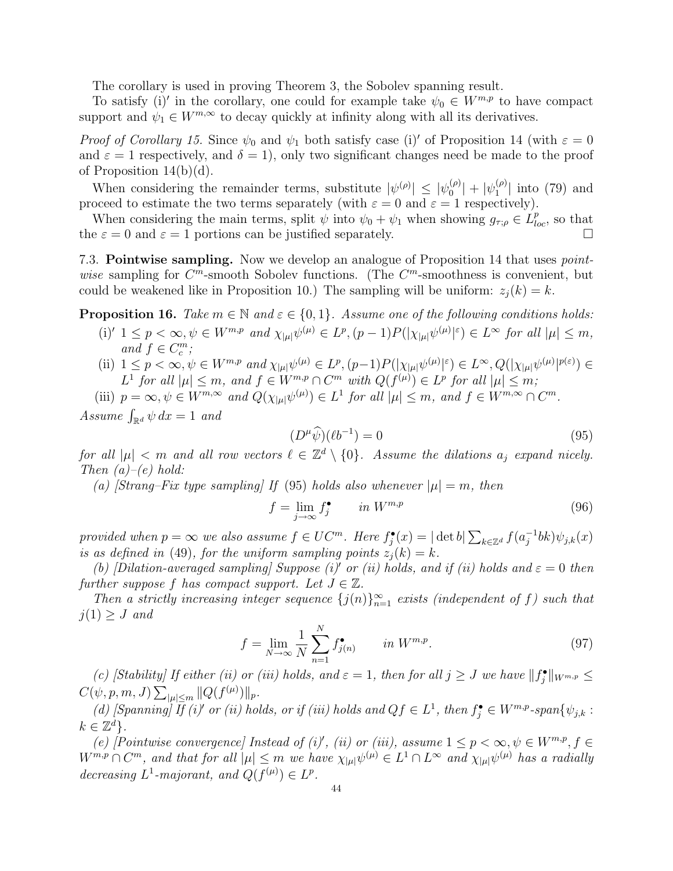The corollary is used in proving Theorem 3, the Sobolev spanning result.

To satisfy (i)' in the corollary, one could for example take  $\psi_0 \in W^{m,p}$  to have compact support and  $\psi_1 \in W^{m,\infty}$  to decay quickly at infinity along with all its derivatives.

Proof of Corollary 15. Since  $\psi_0$  and  $\psi_1$  both satisfy case (i) of Proposition 14 (with  $\varepsilon = 0$ and  $\varepsilon = 1$  respectively, and  $\delta = 1$ , only two significant changes need be made to the proof of Proposition 14(b)(d).

When considering the remainder terms, substitute  $|\psi^{(\rho)}| \leq |\psi^{(\rho)}_{0}|$  $\left| \begin{smallmatrix} (\rho)\cr 0 \end{smallmatrix} \right| + |\psi_1^{(\rho)}\rangle$  $\binom{(\rho)}{1}$  into (79) and proceed to estimate the two terms separately (with  $\varepsilon = 0$  and  $\varepsilon = 1$  respectively).

When considering the main terms, split  $\psi$  into  $\psi_0 + \psi_1$  when showing  $g_{\tau,\rho} \in L^p_{loc}$ , so that the  $\varepsilon = 0$  and  $\varepsilon = 1$  portions can be justified separately.

7.3. **Pointwise sampling.** Now we develop an analogue of Proposition 14 that uses *point*wise sampling for  $C^m$ -smooth Sobolev functions. (The  $C^m$ -smoothness is convenient, but could be weakened like in Proposition 10.) The sampling will be uniform:  $z_i(k) = k$ .

**Proposition 16.** Take  $m \in \mathbb{N}$  and  $\varepsilon \in \{0,1\}$ . Assume one of the following conditions holds:

- (i)'  $1 \leq p < \infty, \psi \in W^{m,p}$  and  $\chi_{|\mu|} \psi^{(\mu)} \in L^p$ ,  $(p-1)P(|\chi_{|\mu|} \psi^{(\mu)}|^\varepsilon) \in L^\infty$  for all  $|\mu| \leq m$ , and  $f \in C_c^m$ ;
- (ii)  $1 \leq p < \infty, \psi \in W^{m,p}$  and  $\chi_{|\mu|} \psi^{(\mu)} \in L^p$ ,  $(p-1)P(|\chi_{|\mu|} \psi^{(\mu)}|^{\varepsilon}) \in L^{\infty}$ ,  $Q(|\chi_{|\mu|} \psi^{(\mu)}|^{p(\varepsilon)}) \in L^{\infty}$  $L^1$  for all  $|\mu| \leq m$ , and  $f \in W^{m,p} \cap C^m$  with  $Q(f^{(\mu)}) \in L^p$  for all  $|\mu| \leq m$ ;

(iii)  $p = \infty, \psi \in W^{m, \infty}$  and  $Q(\chi_{|\mu|} \psi^{(\mu)}) \in L^1$  for all  $|\mu| \leq m$ , and  $f \in W^{m, \infty} \cap C^m$ . Assume  $\int_{\mathbb{R}^d} \psi \, dx = 1$  and

$$
(D^{\mu}\widehat{\psi})(\ell b^{-1}) = 0 \tag{95}
$$

for all  $|\mu| < m$  and all row vectors  $\ell \in \mathbb{Z}^d \setminus \{0\}$ . Assume the dilations  $a_j$  expand nicely. Then  $(a)-(e)$  hold:

(a) [Strang–Fix type sampling] If (95) holds also whenever  $|\mu|=m$ , then

$$
f = \lim_{j \to \infty} f_j^{\bullet} \qquad in \ W^{m,p} \tag{96}
$$

provided when  $p = \infty$  we also assume  $f \in UC^m$ . Here  $f_j^{\bullet}(x) = |\det b|$  $\int_{k\in\mathbb{Z}^d} f(a_j^{-1})$  $_j^{-1}bk)\psi_{j,k}(x)$ is as defined in (49), for the uniform sampling points  $z_i(k) = k$ .

(b) [Dilation-averaged sampling] Suppose (i)' or (ii) holds, and if (ii) holds and  $\varepsilon = 0$  then further suppose f has compact support. Let  $J \in \mathbb{Z}$ .

Then a strictly increasing integer sequence  $\{j(n)\}_{n=1}^{\infty}$  exists (independent of f) such that  $j(1) \geq J$  and

$$
f = \lim_{N \to \infty} \frac{1}{N} \sum_{n=1}^{N} f_{j(n)}^{\bullet} \qquad in \ W^{m,p}.
$$
 (97)

(c) [Stability] If either (ii) or (iii) holds, and  $\varepsilon = 1$ , then for all  $j \geq J$  we have  $||f_j^{\bullet}||_{W^{m,p}} \leq$  $C(\psi, p, m, J)$  $\frac{y}{\sqrt{2}}$  $_{|\mu|\leq m} ||Q(f^{(\mu)})||_p.$ 

(d) [Spanning] If (i)' or (ii) holds, or if (iii) holds and  $Qf \in L^1$ , then  $f_j^{\bullet} \in W^{m,p}$ -span $\{\psi_{j,k} :$  $k \in \mathbb{Z}^d$ .

(e) [Pointwise convergence] Instead of (i)', (ii) or (iii), assume  $1 \leq p < \infty, \psi \in W^{m,p}, f \in$  $W^{m,p}\cap C^m$ , and that for all  $|\mu|\leq m$  we have  $\chi_{|\mu|}\psi^{(\mu)}\in L^1\cap L^\infty$  and  $\chi_{|\mu|}\psi^{(\mu)}$  has a radially decreasing  $L^1$ -majorant, and  $Q(f^{(\mu)}) \in L^p$ .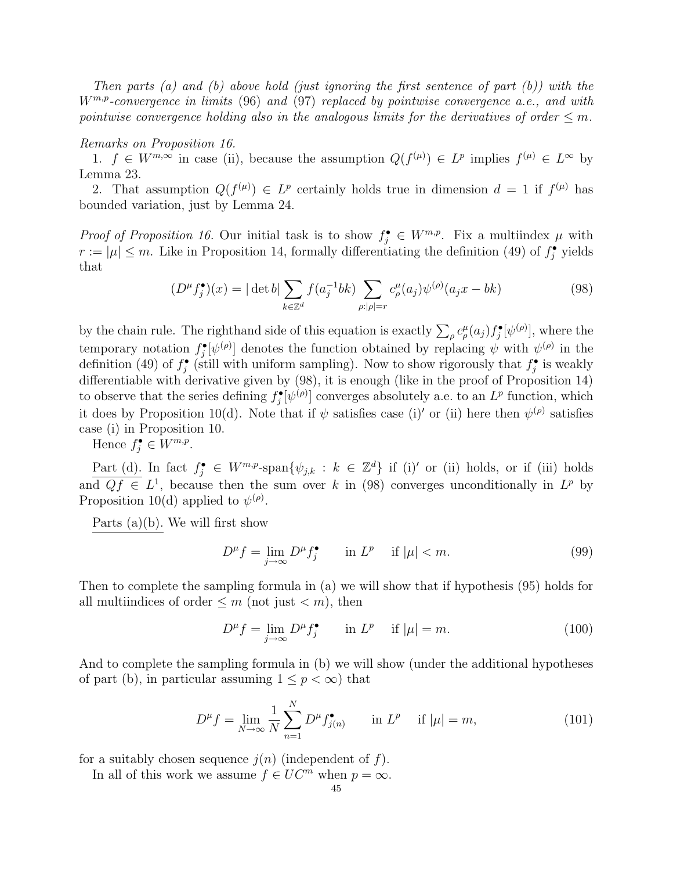Then parts (a) and (b) above hold (just ignoring the first sentence of part  $(b)$ ) with the  $W^{m,p}$ -convergence in limits (96) and (97) replaced by pointwise convergence a.e., and with pointwise convergence holding also in the analogous limits for the derivatives of order  $\leq m$ .

### Remarks on Proposition 16.

1.  $f \in W^{m,\infty}$  in case (ii), because the assumption  $Q(f^{(\mu)}) \in L^p$  implies  $f^{(\mu)} \in L^{\infty}$  by Lemma 23.

2. That assumption  $Q(f^{(\mu)}) \in L^p$  certainly holds true in dimension  $d = 1$  if  $f^{(\mu)}$  has bounded variation, just by Lemma 24.

*Proof of Proposition 16.* Our initial task is to show  $f_j^{\bullet} \in W^{m,p}$ . Fix a multiindex  $\mu$  with  $r := |\mu| \leq m$ . Like in Proposition 14, formally differentiating the definition (49) of  $f_j^{\bullet}$  yields that

$$
(D^{\mu} f_j^{\bullet})(x) = |\det b| \sum_{k \in \mathbb{Z}^d} f(a_j^{-1}bk) \sum_{\rho: |\rho| = r} c_{\rho}^{\mu}(a_j) \psi^{(\rho)}(a_j x - bk)
$$
 (98)

by the chain rule. The righthand side of this equation is exactly  $\sum_{\rho} c^{\mu}_{\rho}(a_j) f_j^{\bullet}[\psi^{(\rho)}],$  where the temporary notation  $f_j^{\bullet}[\psi^{(\rho)}]$  denotes the function obtained by replacing  $\psi$  with  $\psi^{(\rho)}$  in the definition (49) of  $f_j^{\bullet}$  (still with uniform sampling). Now to show rigorously that  $f_j^{\bullet}$  is weakly differentiable with derivative given by (98), it is enough (like in the proof of Proposition 14) to observe that the series defining  $f_j^{\bullet}[\psi^{(\rho)}]$  converges absolutely a.e. to an  $L^p$  function, which it does by Proposition 10(d). Note that if  $\psi$  satisfies case (i)' or (ii) here then  $\psi^{(\rho)}$  satisfies case (i) in Proposition 10.

Hence  $f_j^{\bullet} \in W^{m,p}$ .

Part (d). In fact  $f_j^{\bullet} \in W^{m,p}$ -span $\{\psi_{j,k} : k \in \mathbb{Z}^d\}$  if (i)' or (ii) holds, or if (iii) holds and  $Qf \in L^1$ , because then the sum over k in (98) converges unconditionally in  $L^p$  by Proposition 10(d) applied to  $\psi^{(\rho)}$ .

Parts  $(a)(b)$ . We will first show

$$
D^{\mu} f = \lim_{j \to \infty} D^{\mu} f_j^{\bullet} \qquad \text{in } L^p \quad \text{if } |\mu| < m. \tag{99}
$$

Then to complete the sampling formula in (a) we will show that if hypothesis (95) holds for all multiindices of order  $\leq m$  (not just  $\lt m$ ), then

$$
D^{\mu}f = \lim_{j \to \infty} D^{\mu}f_j^{\bullet} \qquad \text{in } L^p \quad \text{if } |\mu| = m. \tag{100}
$$

And to complete the sampling formula in (b) we will show (under the additional hypotheses of part (b), in particular assuming  $1 \leq p < \infty$ ) that

$$
D^{\mu} f = \lim_{N \to \infty} \frac{1}{N} \sum_{n=1}^{N} D^{\mu} f_{j(n)}^{\bullet} \quad \text{in } L^{p} \quad \text{if } |\mu| = m,
$$
 (101)

for a suitably chosen sequence  $j(n)$  (independent of f).

In all of this work we assume  $f \in UC^m$  when  $p = \infty$ .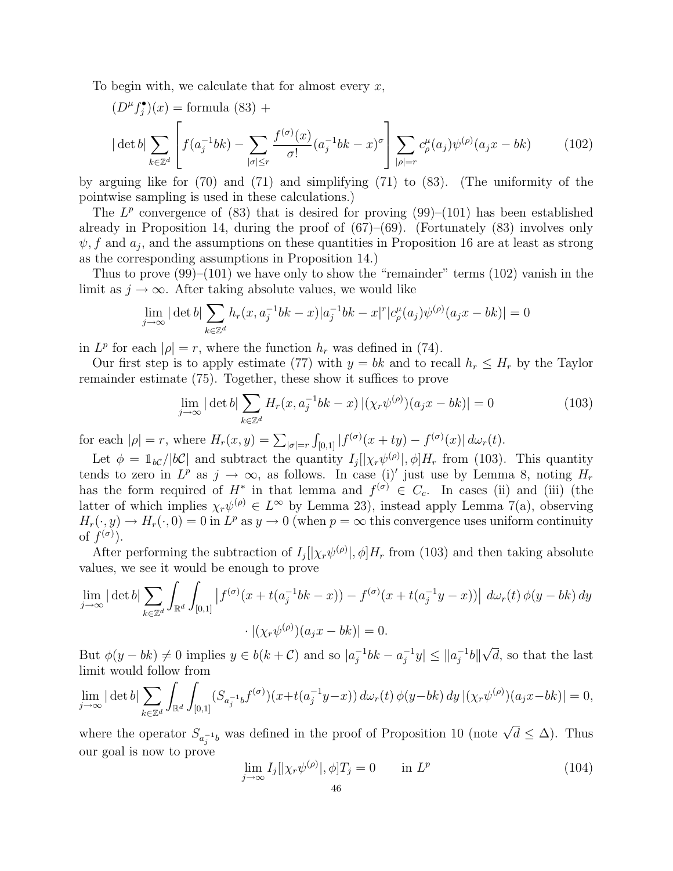To begin with, we calculate that for almost every  $x$ ,

$$
(D^{\mu} f_j^{\bullet})(x) = \text{formula (83)} +
$$

$$
|\det b| \sum_{k \in \mathbb{Z}^d} \left[ f(a_j^{-1}bk) - \sum_{|\sigma| \le r} \frac{f^{(\sigma)}(x)}{\sigma!} (a_j^{-1}bk - x)^{\sigma} \right] \sum_{|\rho|=r} c_{\rho}^{\mu}(a_j) \psi^{(\rho)}(a_j x - bk) \tag{102}
$$

by arguing like for (70) and (71) and simplifying (71) to (83). (The uniformity of the pointwise sampling is used in these calculations.)

The  $L^p$  convergence of (83) that is desired for proving (99)–(101) has been established already in Proposition 14, during the proof of  $(67)$ – $(69)$ . (Fortunately  $(83)$  involves only  $\psi$ , f and  $a_j$ , and the assumptions on these quantities in Proposition 16 are at least as strong as the corresponding assumptions in Proposition 14.)

Thus to prove  $(99)$ – $(101)$  we have only to show the "remainder" terms  $(102)$  vanish in the limit as  $j \to \infty$ . After taking absolute values, we would like

$$
\lim_{j \to \infty} |\det b| \sum_{k \in \mathbb{Z}^d} h_r(x, a_j^{-1}bk - x)| a_j^{-1}bk - x|^r |c_{\rho}^{\mu}(a_j) \psi^{(\rho)}(a_jx - bk)| = 0
$$

in  $L^p$  for each  $|\rho| = r$ , where the function  $h_r$  was defined in (74).

Our first step is to apply estimate (77) with  $y = bk$  and to recall  $h_r \leq H_r$  by the Taylor remainder estimate (75). Together, these show it suffices to prove

$$
\lim_{j \to \infty} |\det b| \sum_{k \in \mathbb{Z}^d} H_r(x, a_j^{-1}bk - x) |(\chi_r \psi^{(\rho)})(a_j x - bk)| = 0
$$
\n(103)

for each  $|\rho| = r$ , where  $H_r(x, y) = \sum_{|\sigma|=r}$  $\int_{[0,1]} |f^{(\sigma)}(x+ty) - f^{(\sigma)}(x)| d\omega_r(t).$ 

Let  $\phi = \mathbb{1}_{bc} / |b\mathcal{C}|$  and subtract the quantity  $I_j[|\chi_r\psi^{(\rho)}|, \phi]H_r$  from (103). This quantity tends to zero in  $L^p$  as  $j \to \infty$ , as follows. In case (i)' just use by Lemma 8, noting  $H_r$ has the form required of  $H^*$  in that lemma and  $f^{(\sigma)} \in C_c$ . In cases (ii) and (iii) (the latter of which implies  $\chi_r\psi^{(\rho)} \in L^{\infty}$  by Lemma 23), instead apply Lemma 7(a), observing  $H_r(\cdot, y) \to H_r(\cdot, 0) = 0$  in  $L^p$  as  $y \to 0$  (when  $p = \infty$  this convergence uses uniform continuity of  $f^{(\sigma)}$ ).

After performing the subtraction of  $I_j[[\chi_r\psi^{(\rho)}], \phi]H_r$  from (103) and then taking absolute values, we see it would be enough to prove  $\sum_{a}$ 

$$
\lim_{j \to \infty} |\det b| \sum_{k \in \mathbb{Z}^d} \int_{\mathbb{R}^d} \int_{[0,1]} |f^{(\sigma)}(x + t(a_j^{-1}bk - x)) - f^{(\sigma)}(x + t(a_j^{-1}y - x))| d\omega_r(t) \phi(y - bk) dy
$$

$$
\cdot |(\chi_r \psi^{(\rho)}) (a_j x - bk)| = 0.
$$

But  $\phi(y - bk) \neq 0$  implies  $y \in b(k + C)$  and so  $|a_i^{-1}|$  $j^{-1}bk - a_j^{-1}$  $|a_j^{-1}y| \leq ||a_j^{-1}||$  $\overline{j}$ <sup>-1</sup>b|| √ d, so that the last limit would follow from

$$
\lim_{j \to \infty} |\det b| \sum_{k \in \mathbb{Z}^d} \int_{\mathbb{R}^d} \int_{[0,1]} (S_{a_j^{-1}b} f^{(\sigma)}) (x + t(a_j^{-1}y - x)) d\omega_r(t) \phi(y - bk) dy |(\chi_r \psi^{(\rho)}) (a_j x - bk)| = 0,
$$

where the operator  $S_{a_i^{-1}b}$  was defined in the proof of Proposition 10 (note  $\sqrt{d} \leq \Delta$ ). Thus our goal is now to prove

$$
\lim_{j \to \infty} I_j[|\chi_r \psi^{(\rho)}|, \phi] T_j = 0 \qquad \text{in } L^p \tag{104}
$$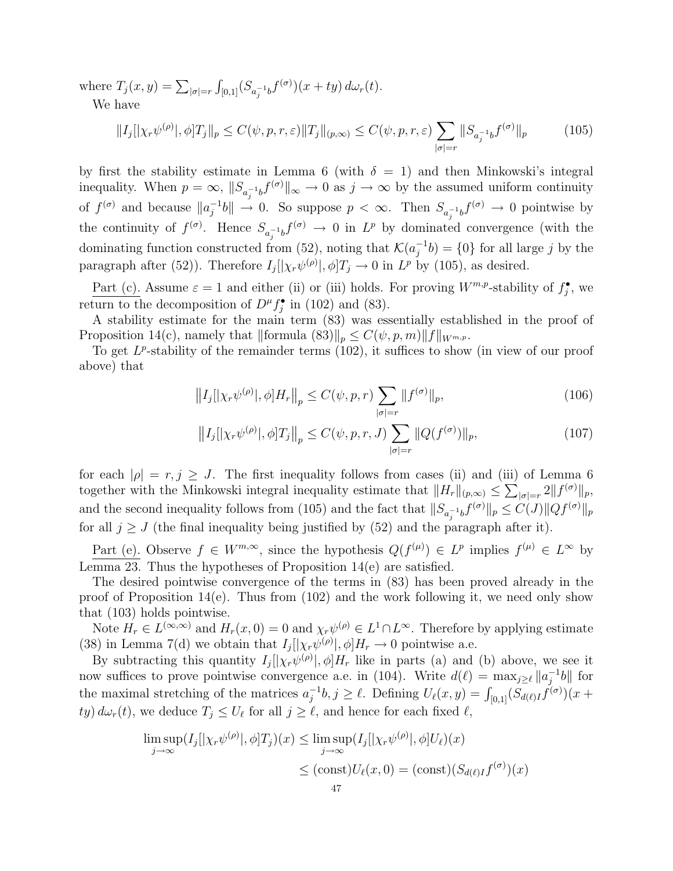where  $T_j(x, y) = \sum_{|\sigma|=r}$ R  $\int_{[0,1]} (S_{a_j^{-1}b} f^{(\sigma)}) (x+ty) d\omega_r(t).$ 

We have

$$
||I_j||\chi_r\psi^{(\rho)}|, \phi]T_j||_p \le C(\psi, p, r, \varepsilon) ||T_j||_{(p,\infty)} \le C(\psi, p, r, \varepsilon) \sum_{|\sigma|=r} ||S_{a_j^{-1}b}f^{(\sigma)}||_p \tag{105}
$$

by first the stability estimate in Lemma 6 (with  $\delta = 1$ ) and then Minkowski's integral inequality. When  $p = \infty$ ,  $||S_{a_j^{-1}b} f^{(\sigma)}||_{\infty} \to 0$  as  $j \to \infty$  by the assumed uniform continuity of  $f^{(\sigma)}$  and because  $||a_i^{-1}||$  $\int_{j}^{-1}b\|\to 0$ . So suppose  $p < \infty$ . Then  $S_{a_j^{-1}b}f^{(\sigma)} \to 0$  pointwise by the continuity of  $f^{(\sigma)}$ . Hence  $S_{a_j^{-1}b}f^{(\sigma)} \to 0$  in  $L^p$  by dominated convergence (with the dominating function constructed from (52), noting that  $\mathcal{K}(a_i^{-1})$  $j^{-1}b$  = {0} for all large j by the paragraph after (52)). Therefore  $I_j[|\chi_r\psi^{(\rho)}|, \phi]T_j \to 0$  in  $L^p$  by (105), as desired.

Part (c). Assume  $\varepsilon = 1$  and either (ii) or (iii) holds. For proving  $W^{m,p}$ -stability of  $f_j^{\bullet}$ , we return to the decomposition of  $D^{\mu} f_j^{\bullet}$  in (102) and (83).

A stability estimate for the main term (83) was essentially established in the proof of Proposition 14(c), namely that  $\|\text{formula (83)}\|_p \leq C(\psi, p, m)\|f\|_{W^{m,p}}$ .

To get  $L^p$ -stability of the remainder terms (102), it suffices to show (in view of our proof above) that

$$
||I_j||\chi_r\psi^{(\rho)}|, \phi]H_r||_p \le C(\psi, p, r) \sum_{|\sigma|=r} ||f^{(\sigma)}||_p, \tag{106}
$$

$$
||I_j||\chi_r\psi^{(\rho)}|, \phi]T_j||_p \le C(\psi, p, r, J) \sum_{|\sigma|=r} ||Q(f^{(\sigma)})||_p, \tag{107}
$$

for each  $|\rho| = r, j \geq J$ . The first inequality follows from cases (ii) and (iii) of Lemma 6 together with the Minkowski integral inequality estimate that  $||H_r||_{(p,\infty)} \leq \sum_{|\sigma|=r} 2||f^{(\sigma)}||_p$ , and the second inequality follows from (105) and the fact that  $||S_{a_i^{-1}b}f^{(\sigma)}||_p \leq C(J)||Qf^{(\sigma)}||_p$ for all  $j \geq J$  (the final inequality being justified by (52) and the paragraph after it).

Part (e). Observe  $f \in W^{m,\infty}$ , since the hypothesis  $Q(f^{(\mu)}) \in L^p$  implies  $f^{(\mu)} \in L^{\infty}$  by Lemma 23. Thus the hypotheses of Proposition 14(e) are satisfied.

The desired pointwise convergence of the terms in (83) has been proved already in the proof of Proposition 14(e). Thus from (102) and the work following it, we need only show that (103) holds pointwise.

Note  $H_r \in L^{(\infty,\infty)}$  and  $H_r(x,0) = 0$  and  $\chi_r \psi^{(\rho)} \in L^1 \cap L^{\infty}$ . Therefore by applying estimate (38) in Lemma 7(d) we obtain that  $I_j[|\chi_r\psi^{(\rho)}|, \phi]H_r \to 0$  pointwise a.e.

By subtracting this quantity  $I_j[[\chi_r\psi^{(\rho)}], \phi]H_r$  like in parts (a) and (b) above, we see it now suffices to prove pointwise convergence a.e. in (104). Write  $d(\ell) = \max_{j \geq \ell} ||a_j^{-1}||$  $\overline{a}^{-1}b$ || for the maximal stretching of the matrices  $a_i^{-1}$ ince a.e. in (104). Write  $u(t) = \max_{j \ge \ell} ||u_j||_0$  for  $u_j^{-1}b, j \ge \ell$ . Defining  $U_{\ell}(x, y) = \int_{[0,1]} (S_{d(\ell)I} f^{(\sigma)})(x +$  $(ty) d\omega_r(t)$ , we deduce  $T_j \leq U_\ell$  for all  $j \geq \ell$ , and hence for each fixed  $\ell$ ,

$$
\limsup_{j \to \infty} (I_j[|\chi_r \psi^{(\rho)}|, \phi]T_j)(x) \le \limsup_{j \to \infty} (I_j[|\chi_r \psi^{(\rho)}|, \phi]U_\ell)(x)
$$
  

$$
\le (\text{const})U_\ell(x, 0) = (\text{const})(S_{d(\ell)}f^{(\sigma)})(x)
$$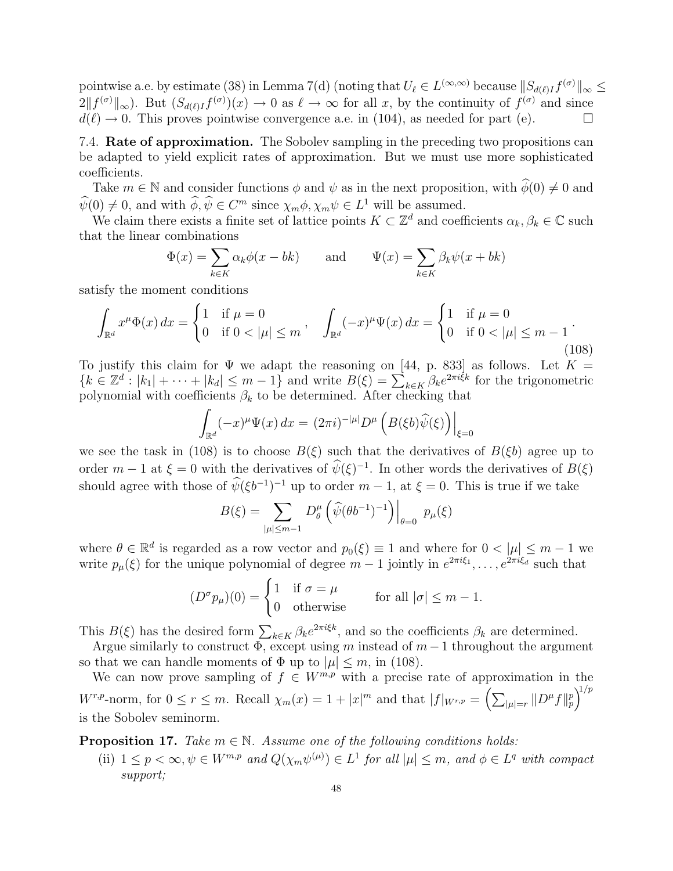pointwise a.e. by estimate (38) in Lemma 7(d) (noting that  $U_\ell \in L^{(\infty,\infty)}$  because  $||S_{d(\ell)I}f^{(\sigma)}||_{\infty} \le$  $2||f^{(\sigma)}||_{\infty}$ ). But  $(S_{d(\ell)I}f^{(\sigma)})(x) \to 0$  as  $\ell \to \infty$  for all x, by the continuity of  $f^{(\sigma)}$  and since  $d(\ell) \to 0$ . This proves pointwise convergence a.e. in (104), as needed for part (e).  $\Box$ 

7.4. Rate of approximation. The Sobolev sampling in the preceding two propositions can be adapted to yield explicit rates of approximation. But we must use more sophisticated coefficients.

Take  $m \in \mathbb{N}$  and consider functions  $\phi$  and  $\psi$  as in the next proposition, with  $\widehat{\phi}(0) \neq 0$  and  $\widehat{\psi}(0) \neq 0$ , and with  $\widehat{\phi}, \widehat{\psi} \in C^m$  since  $\chi_m \phi, \chi_m \psi \in L^1$  will be assumed.

We claim there exists a finite set of lattice points  $K \subset \mathbb{Z}^d$  and coefficients  $\alpha_k, \beta_k \in \mathbb{C}$  such that the linear combinations<br>  $\Phi(x) = \sum a$ 

$$
\Phi(x) = \sum_{k \in K} \alpha_k \phi(x - bk) \quad \text{and} \quad \Psi(x) = \sum_{k \in K} \beta_k \psi(x + bk)
$$

satisfy the moment conditions  $\frac{1}{\sqrt{2}}$ 

$$
\int_{\mathbb{R}^d} x^{\mu} \Phi(x) dx = \begin{cases} 1 & \text{if } \mu = 0 \\ 0 & \text{if } 0 < |\mu| \le m \end{cases}, \quad \int_{\mathbb{R}^d} (-x)^{\mu} \Psi(x) dx = \begin{cases} 1 & \text{if } \mu = 0 \\ 0 & \text{if } 0 < |\mu| \le m - 1 \end{cases} \tag{108}
$$

To justify this claim for  $\Psi$  we adapt the reasoning on [44, p. 833] as follows. Let  $K =$ To justify this claim for  $\Psi$  we adapt the reasoning on [44, p. 855] as follows. Let  $\Lambda = \{k \in \mathbb{Z}^d : |k_1| + \cdots + |k_d| \leq m-1\}$  and write  $B(\xi) = \sum_{k \in K} \beta_k e^{2\pi i \xi k}$  for the trigonometric polynomial with coefficients  $\beta_k$  to be determined. After checking that

$$
\int_{\mathbb{R}^d} (-x)^{\mu} \Psi(x) dx = (2\pi i)^{-|\mu|} D^{\mu} \left( B(\xi b) \widehat{\psi}(\xi) \right) \Big|_{\xi=0}
$$

we see the task in (108) is to choose  $B(\xi)$  such that the derivatives of  $B(\xi b)$  agree up to order  $m-1$  at  $\xi = 0$  with the derivatives of  $\widehat{\psi}(\xi)^{-1}$ . In other words the derivatives of  $B(\xi)$ should agree with those of  $\hat{\psi}(\xi b^{-1})^{-1}$  up to order  $m-1$ , at  $\xi = 0$ . This is true if we take  $\frac{1}{2}$ 

$$
B(\xi) = \sum_{|\mu| \leq m-1} D_{\theta}^{\mu} \left( \widehat{\psi}(\theta b^{-1})^{-1} \right) \Big|_{\theta=0} p_{\mu}(\xi)
$$

where  $\theta \in \mathbb{R}^d$  is regarded as a row vector and  $p_0(\xi) \equiv 1$  and where for  $0 < |\mu| \leq m - 1$  we write  $p_\mu(\xi)$  for the unique polynomial of degree  $m-1$  jointly in  $e^{2\pi i \xi_1}, \ldots, e^{2\pi i \xi_d}$  such that

$$
(D^{\sigma}p_{\mu})(0) = \begin{cases} 1 & \text{if } \sigma = \mu \\ 0 & \text{otherwise} \end{cases} \quad \text{for all } |\sigma| \leq m - 1.
$$

This  $B(\xi)$  has the desired form  $\sum_{k \in K} \beta_k e^{2\pi i \xi k}$ , and so the coefficients  $\beta_k$  are determined.

Argue similarly to construct  $\Phi$ , except using m instead of  $m-1$  throughout the argument so that we can handle moments of  $\Phi$  up to  $|\mu| \leq m$ , in (108).

We can now prove sampling of  $f \in W^{m,p}$  with a precise rate of approximation in the  $W^{r,p}$ -norm, for  $0 \leq r \leq m$ . Recall  $\chi_m(x) = 1 + |x|^m$  and that  $|f|_{W^{r,p}} =$  $\frac{p_{10}}{2}$  $_{|\mu|=r}$   $||D^{\mu}f||_p^p$  $\frac{1}{p}$ is the Sobolev seminorm.

**Proposition 17.** Take  $m \in \mathbb{N}$ . Assume one of the following conditions holds:

(ii)  $1 \leq p < \infty, \psi \in W^{m,p}$  and  $Q(\chi_m \psi^{(\mu)}) \in L^1$  for all  $|\mu| \leq m$ , and  $\phi \in L^q$  with compact support;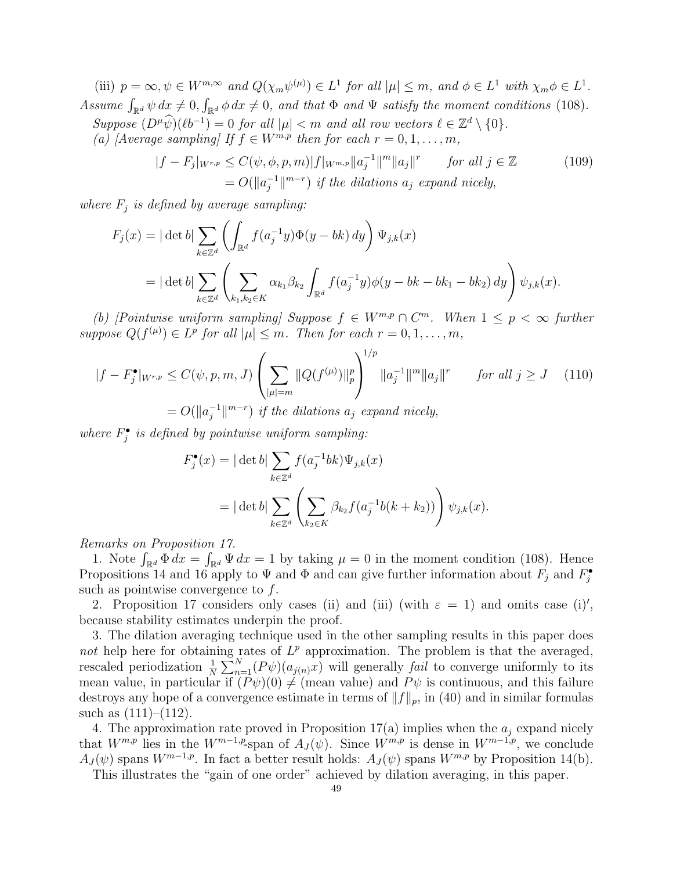(iii)  $p = \infty, \psi \in W^{m, \infty}$  and  $Q(\chi_m \psi^{(\mu)}) \in L^1$  for all  $|\mu| \leq m$ , and  $\phi \in L^1$  with  $\chi_m \phi \in L^1$ . Assume  $\int_{\mathbb{R}^d} \psi \, dx \neq 0$ , R  $\sum_{\mathbb{R}^d} \phi \, dx \neq 0$ , and that  $\Phi$  and  $\Psi$  satisfy the moment conditions (108). Suppose  $(D^{\mu}\widehat{\psi})(\ell b^{-1}) = 0$  for all  $|\mu| < m$  and all row vectors  $\ell \in \mathbb{Z}^d \setminus \{0\}.$ (a) [Average sampling] If  $f \in W^{m,p}$  then for each  $r = 0, 1, \ldots, m$ ,

$$
|f - F_j|_{W^{r,p}} \le C(\psi, \phi, p, m)|f|_{W^{m,p}} ||a_j^{-1}||^m ||a_j||^r \quad \text{for all } j \in \mathbb{Z}
$$
\n
$$
= O(||a_j^{-1}||^{m-r}) \text{ if the dilations } a_j \text{ expand nicely,}
$$
\n
$$
(109)
$$

where  $F_i$  is defined by average sampling:

$$
F_j(x) = |\det b| \sum_{k \in \mathbb{Z}^d} \left( \int_{\mathbb{R}^d} f(a_j^{-1}y) \Phi(y - bk) dy \right) \Psi_{j,k}(x)
$$
  
= |\det b| \sum\_{k \in \mathbb{Z}^d} \left( \sum\_{k\_1, k\_2 \in K} \alpha\_{k\_1} \beta\_{k\_2} \int\_{\mathbb{R}^d} f(a\_j^{-1}y) \phi(y - bk - bk\_1 - bk\_2) dy \right) \psi\_{j,k}(x).

(b) [Pointwise uniform sampling] Suppose  $f \in W^{m,p} \cap C^m$ . When  $1 \leq p < \infty$  further suppose  $Q(f^{(\mu)}) \in L^p$  for all  $|\mu| \leq m$ . Then for each  $r = 0, 1, ..., m$ ,

$$
|f - F_j^{\bullet}|_{W^{r,p}} \le C(\psi, p, m, J) \left(\sum_{|\mu|=m} \|Q(f^{(\mu)})\|_p^p\right)^{1/p} \|a_j^{-1}\|^{m} \|a_j\|^r \quad \text{for all } j \ge J \quad (110)
$$
  
=  $O(\|a_j^{-1}\|^{m-r})$  if the dilations  $a_j$  expand nicely,

where  $F_j^{\bullet}$  is defined by pointwise uniform sampling:

$$
F_j^{\bullet}(x) = |\det b| \sum_{k \in \mathbb{Z}^d} f(a_j^{-1}bk) \Psi_{j,k}(x)
$$
  
= |\det b| 
$$
\sum_{k \in \mathbb{Z}^d} \left( \sum_{k_2 \in K} \beta_{k_2} f(a_j^{-1}b(k + k_2)) \right) \psi_{j,k}(x).
$$

Remarks on Proposition 17. R

eriance in a proposition 17.<br>1. Note  $\int_{\mathbb{R}^d} \Phi \, dx = \int_{\mathbb{R}^d} \Psi \, dx = 1$  by taking  $\mu = 0$  in the moment condition (108). Hence Propositions 14 and 16 apply to  $\Psi$  and  $\Phi$  and can give further information about  $F_j$  and  $F_j^{\bullet}$ such as pointwise convergence to  $f$ .

2. Proposition 17 considers only cases (ii) and (iii) (with  $\varepsilon = 1$ ) and omits case (i)', because stability estimates underpin the proof.

3. The dilation averaging technique used in the other sampling results in this paper does not help here for obtaining rates of  $L^p$  approximation. The problem is that the averaged, rescaled periodization  $\frac{1}{N}$  $\mathop{\rm mg}\limits_{\bigwedge N}$  $n_{n=1}^{N}(P\psi)(a_{j(n)}x)$  will generally *fail* to converge uniformly to its mean value, in particular if  $(P\psi)(0) \neq$  (mean value) and  $P\psi$  is continuous, and this failure destroys any hope of a convergence estimate in terms of  $||f||_p$ , in (40) and in similar formulas such as  $(111)–(112)$ .

4. The approximation rate proved in Proposition 17(a) implies when the  $a_j$  expand nicely that  $W^{m,p}$  lies in the  $W^{m-1,p}$ -span of  $A_J(\psi)$ . Since  $\dot{W}^{m,p}$  is dense in  $W^{m-1,p}$ , we conclude  $A_J(\psi)$  spans  $W^{m-1,p}$ . In fact a better result holds:  $A_J(\psi)$  spans  $W^{m,p}$  by Proposition 14(b).

This illustrates the "gain of one order" achieved by dilation averaging, in this paper.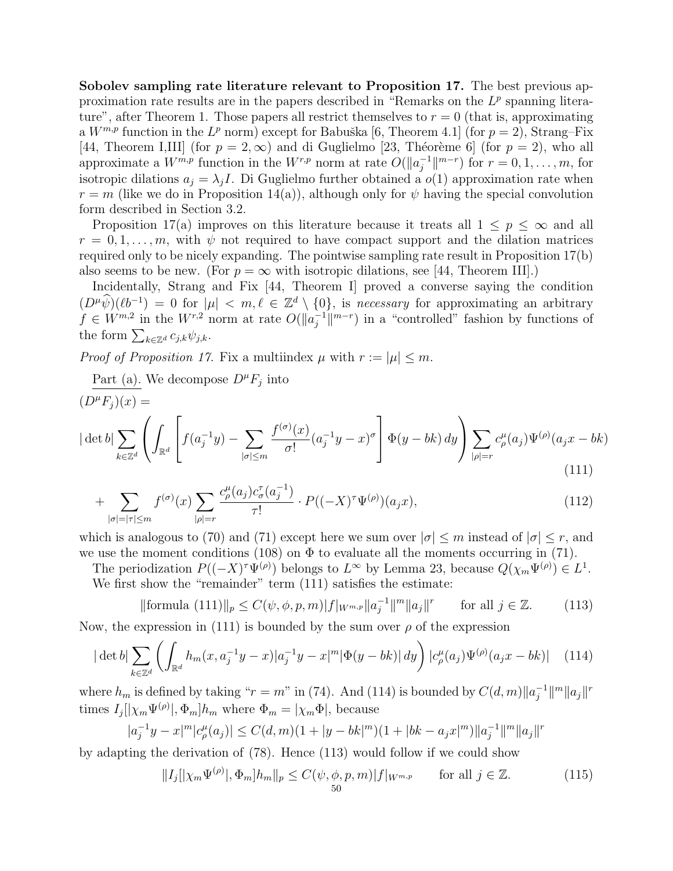Sobolev sampling rate literature relevant to Proposition 17. The best previous approximation rate results are in the papers described in "Remarks on the  $L^p$  spanning literature", after Theorem 1. Those papers all restrict themselves to  $r = 0$  (that is, approximating a  $W^{m,p}$  function in the  $L^p$  norm) except for Babuška [6, Theorem 4.1] (for  $p=2$ ), Strang–Fix [44, Theorem I,III] (for  $p = 2, \infty$ ) and di Guglielmo [23, Théorème 6] (for  $p = 2$ ), who all approximate a  $W^{m,p}$  function in the  $W^{r,p}$  norm at rate  $O(\Vert a_i^{-1})$  $\int_{j}^{-1}$ ||<sup>*m*-*r*</sup>) for  $r = 0, 1, ..., m$ , for isotropic dilations  $a_i = \lambda_i I$ . Di Guglielmo further obtained a  $o(1)$  approximation rate when  $r = m$  (like we do in Proposition 14(a)), although only for  $\psi$  having the special convolution form described in Section 3.2.

Proposition 17(a) improves on this literature because it treats all  $1 \leq p \leq \infty$  and all  $r = 0, 1, \ldots, m$ , with  $\psi$  not required to have compact support and the dilation matrices required only to be nicely expanding. The pointwise sampling rate result in Proposition 17(b) also seems to be new. (For  $p = \infty$  with isotropic dilations, see [44, Theorem III].)

Incidentally, Strang and Fix [44, Theorem I] proved a converse saying the condition  $(D^{\mu}\hat{\psi})(\ell b^{-1}) = 0$  for  $|\mu| < m, \ell \in \mathbb{Z}^d \setminus \{0\}$ , is necessary for approximating an arbitrary  $f \in W^{m,2}$  in the  $W^{r,2}$  norm at rate  $O(\Vert a_i^{-1})$  $\int_{i}^{-1}$ ||<sup>m-r</sup>) in a "controlled" fashion by functions of  $y \in W$  in the  $W$  is the form  $\sum_{k \in \mathbb{Z}^d} c_{j,k} \psi_{j,k}$ .

*Proof of Proposition 17.* Fix a multiindex  $\mu$  with  $r := |\mu| \leq m$ .

Part (a). We decompose  $D^{\mu}F_j$  into

$$
(D^{\mu}F_j)(x) =
$$
  
\n
$$
|\det b| \sum_{k \in \mathbb{Z}^d} \left( \int_{\mathbb{R}^d} \left[ f(a_j^{-1}y) - \sum_{|\sigma| \le m} \frac{f^{(\sigma)}(x)}{\sigma!} (a_j^{-1}y - x)^{\sigma} \right] \Phi(y - bk) dy \right) \sum_{|\rho| = r} c_{\rho}^{\mu}(a_j) \Psi^{(\rho)}(a_j x - bk)
$$
\n(111)

$$
+\sum_{|\sigma|=|\tau|\leq m} f^{(\sigma)}(x) \sum_{|\rho|=r} \frac{c_{\rho}^{\mu}(a_j) c_{\sigma}^{\tau}(a_j^{-1})}{\tau!} \cdot P((-X)^{\tau} \Psi^{(\rho)})(a_j x), \tag{112}
$$

which is analogous to (70) and (71) except here we sum over  $|\sigma| \leq m$  instead of  $|\sigma| \leq r$ , and we use the moment conditions (108) on  $\Phi$  to evaluate all the moments occurring in (71).

The periodization  $P((-X)^{\tau}\Psi^{(\rho)})$  belongs to  $L^{\infty}$  by Lemma 23, because  $Q(\chi_m\Psi^{(\rho)}) \in L^1$ . We first show the "remainder" term  $(111)$  satisfies the estimate:

$$
\|\text{formula (111)}\|_{p} \le C(\psi,\phi,p,m)|f|_{W^{m,p}}\|a_{j}^{-1}\|^{m}\|a_{j}\|^{r} \qquad \text{for all } j \in \mathbb{Z}.\tag{113}
$$

Now, the expression in (111) is bounded by the sum over  $\rho$  of the expression  $\frac{1}{2}$ 

$$
|\det b| \sum_{k \in \mathbb{Z}^d} \left( \int_{\mathbb{R}^d} h_m(x, a_j^{-1}y - x) |a_j^{-1}y - x|^m |\Phi(y - bk)| dy \right) |c_\rho^\mu(a_j) \Psi^{(\rho)}(a_j x - bk)| \tag{114}
$$

where  $h_m$  is defined by taking " $r = m$ " in (74). And (114) is bounded by  $C(d, m) \|a_i^{-1}\|$  $\frac{-1}{j}$  $\|m\|a_j\|$ <sup>r</sup> times  $I_j[|\chi_m \Psi^{(\rho)}|, \Phi_m] h_m$  where  $\Phi_m = |\chi_m \Phi|$ , because

$$
|a_j^{-1}y - x|^m |c_\rho^{\mu}(a_j)| \le C(d,m)(1+|y-bk|^m)(1+|bk - a_jx|^m) \|a_j^{-1}\|^m \|a_j\|^r
$$

by adapting the derivation of (78). Hence (113) would follow if we could show

$$
||I_j||\chi_m\Psi^{(\rho)}|, \Phi_m]h_m||_p \le C(\psi, \phi, p, m)|f|_{W^{m,p}} \qquad \text{for all } j \in \mathbb{Z}.
$$
 (115)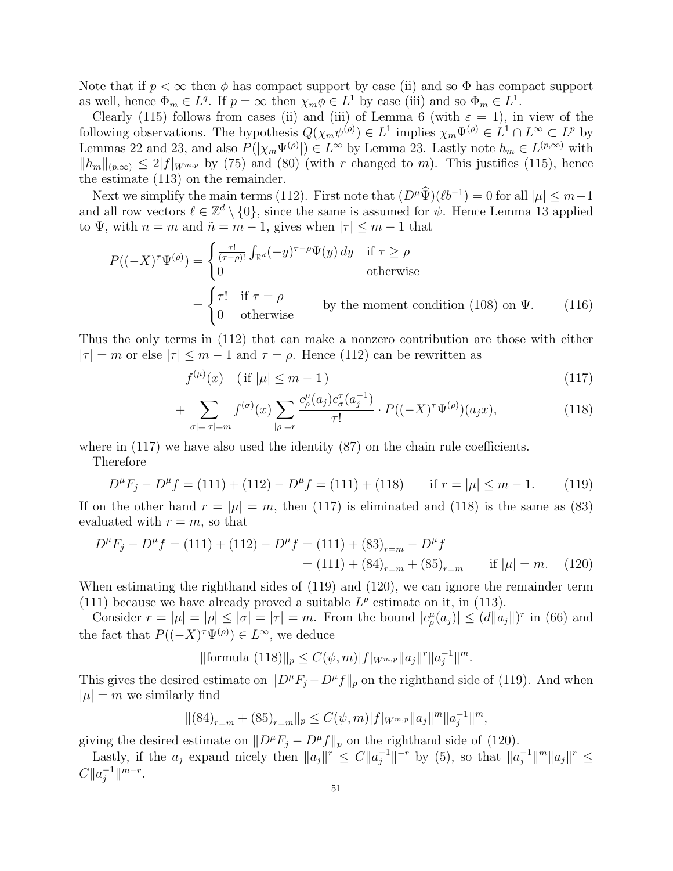Note that if  $p < \infty$  then  $\phi$  has compact support by case (ii) and so  $\Phi$  has compact support as well, hence  $\Phi_m \in L^q$ . If  $p = \infty$  then  $\chi_m \phi \in L^1$  by case (iii) and so  $\Phi_m \in L^1$ .

Clearly (115) follows from cases (ii) and (iii) of Lemma 6 (with  $\varepsilon = 1$ ), in view of the following observations. The hypothesis  $Q(\chi_m \psi^{(\rho)}) \in L^1$  implies  $\chi_m \Psi^{(\rho)} \in L^1 \cap L^{\infty} \subset L^p$  by Lemmas 22 and 23, and also  $P(|\chi_m \Psi^{(\rho)}|) \in L^{\infty}$  by Lemma 23. Lastly note  $h_m \in L^{(p,\infty)}$  with  $||h_m||_{(p,\infty)} \leq 2|f|_{W^{m,p}}$  by (75) and (80) (with r changed to m). This justifies (115), hence the estimate (113) on the remainder.

Next we simplify the main terms (112). First note that  $(D^{\mu}\hat{\Psi})(\ell b^{-1}) = 0$  for all  $|\mu| \leq m-1$ and all row vectors  $\ell \in \mathbb{Z}^d \setminus \{0\}$ , since the same is assumed for  $\psi$ . Hence Lemma 13 applied to  $\Psi$ , with  $n = m$  and  $\tilde{n} = m - 1$ , gives when  $|\tau| \leq m - 1$  that

$$
P((-X)^{\tau}\Psi^{(\rho)}) = \begin{cases} \frac{\tau!}{(\tau-\rho)!} \int_{\mathbb{R}^d} (-y)^{\tau-\rho} \Psi(y) \, dy & \text{if } \tau \ge \rho \\ 0 & \text{otherwise} \end{cases}
$$

$$
= \begin{cases} \tau! & \text{if } \tau = \rho \\ 0 & \text{otherwise} \end{cases} \qquad \text{by the moment condition (108) on } \Psi. \qquad (116)
$$

Thus the only terms in (112) that can make a nonzero contribution are those with either  $|\tau| = m$  or else  $|\tau| \leq m - 1$  and  $\tau = \rho$ . Hence (112) can be rewritten as

$$
f^{(\mu)}(x) \quad (\text{if } |\mu| \le m - 1) \tag{117}
$$

$$
+\sum_{|\sigma|=|\tau|=m} f^{(\sigma)}(x) \sum_{|\rho|=r} \frac{c^{\mu}_{\rho}(a_j)c^{\tau}_{\sigma}(a_j^{-1})}{\tau!} \cdot P((-X)^{\tau} \Psi^{(\rho)})(a_j x), \tag{118}
$$

where in  $(117)$  we have also used the identity  $(87)$  on the chain rule coefficients.

Therefore

$$
D^{\mu}F_j - D^{\mu}f = (111) + (112) - D^{\mu}f = (111) + (118) \quad \text{if } r = |\mu| \le m - 1. \tag{119}
$$

If on the other hand  $r = |\mu| = m$ , then (117) is eliminated and (118) is the same as (83) evaluated with  $r = m$ , so that

$$
D^{\mu}F_j - D^{\mu}f = (111) + (112) - D^{\mu}f = (111) + (83)_{r=m} - D^{\mu}f
$$
  
= (111) + (84)\_{r=m} + (85)\_{r=m} if |\mu| = m. (120)

When estimating the righthand sides of (119) and (120), we can ignore the remainder term (111) because we have already proved a suitable  $L^p$  estimate on it, in (113).

Consider  $r = |\mu| = |\rho| \le |\sigma| = |\tau| = m$ . From the bound  $|c_{\rho}^{\mu}(a_j)| \le (d||a_j||)^{r}$  in (66) and the fact that  $P((-X)^{\tau}\Psi^{(\rho)}) \in L^{\infty}$ , we deduce

> $\|\text{formula (118)}\|_p \leq C(\psi, m) |f|_{W^{m,p}} \|a_j\|^r \|a_i^{-1}\|_p$  $\frac{-1}{j}$ ||<sup>*m*</sup>.

This gives the desired estimate on  $||D^{\mu}F_j - D^{\mu}f||_p$  on the righthand side of (119). And when  $|\mu| = m$  we similarly find

$$
\|(84)_{r=m} + (85)_{r=m}\|_p \le C(\psi, m) |f|_{W^{m,p}} \|a_j\|^m \|a_j^{-1}\|^m,
$$

giving the desired estimate on  $||D^{\mu}F_j - D^{\mu}f||_p$  on the righthand side of (120).

Lastly, if the  $a_j$  expand nicely then  $||a_j||^r \leq C||a_j^{-1}||^r$  $\|a_j^{-1}\|^{-r}$  by (5), so that  $\|a_j^{-1}\|$  $\|a_j^{-1}\|^{m}\|a_j\|^{r} \leq$  $C||a_i^{-1}$  $\frac{-1}{j}$ || $^{m-r}$ .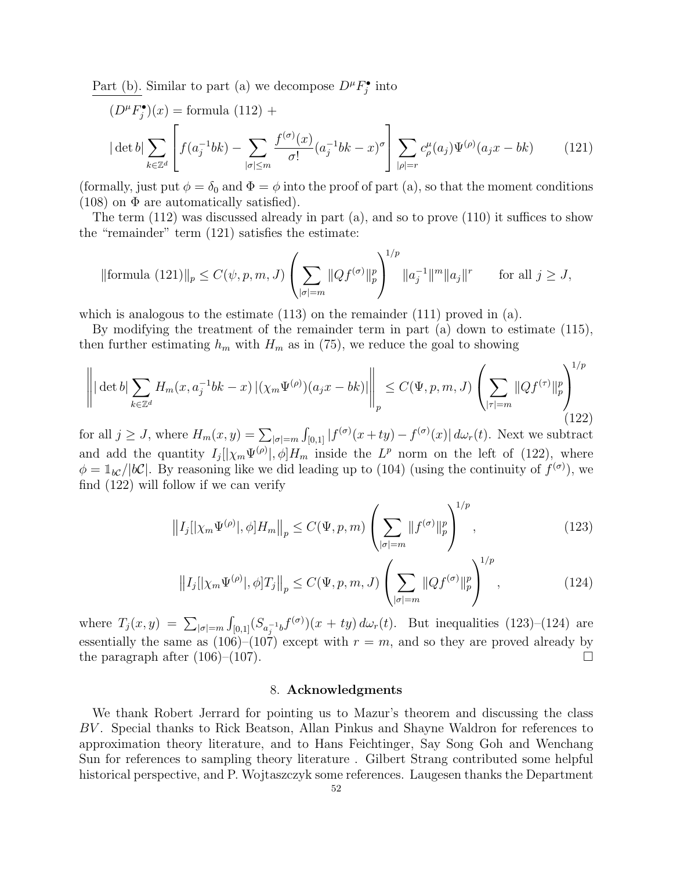Part (b). Similar to part (a) we decompose  $D^{\mu}F_j^{\bullet}$  into

$$
(D^{\mu}F_j^{\bullet})(x) = \text{formula } (112) +
$$
  

$$
|\det b| \sum_{k \in \mathbb{Z}^d} \left[ f(a_j^{-1}bk) - \sum_{|\sigma| \le m} \frac{f^{(\sigma)}(x)}{\sigma!} (a_j^{-1}bk - x)^{\sigma} \right] \sum_{|\rho| = r} c_{\rho}^{\mu}(a_j) \Psi^{(\rho)}(a_j x - bk) \tag{121}
$$

(formally, just put  $\phi = \delta_0$  and  $\Phi = \phi$  into the proof of part (a), so that the moment conditions  $(108)$  on  $\Phi$  are automatically satisfied).

The term (112) was discussed already in part (a), and so to prove (110) it suffices to show the "remainder" term (121) satisfies the estimate:

$$
\|\text{formula (121)}\|_{p} \le C(\psi, p, m, J) \left(\sum_{|\sigma|=m} \|Qf^{(\sigma)}\|_{p}^{p}\right)^{1/p} \|a_{j}^{-1}\|^{m} \|a_{j}\|^{r} \quad \text{for all } j \ge J,
$$

which is analogous to the estimate  $(113)$  on the remainder  $(111)$  proved in  $(a)$ .

By modifying the treatment of the remainder term in part (a) down to estimate (115), then further estimating  $h_m$  with  $H_m$  as in (75), we reduce the goal to showing

$$
\left\| |\det b| \sum_{k \in \mathbb{Z}^d} H_m(x, a_j^{-1}bk - x) |(\chi_m \Psi^{(\rho)})(a_j x - bk)| \right\|_p \le C(\Psi, p, m, J) \left( \sum_{|\tau| = m} \|Qf^{(\tau)}\|_p^p \right)^{1/p}
$$
\n(122)

for all  $j \geq J$ , where  $H_m(x, y) = \sum_{|\sigma|=m}$  $\int_{[0,1]} |f^{(\sigma)}(x+ty) - f^{(\sigma)}(x)| d\omega_r(t)$ . Next we subtract and add the quantity  $I_j[|\chi_m\Psi^{(\rho)}|, \phi]H_m$  inside the  $L^p$  norm on the left of (122), where  $\phi = \mathbb{1}_{bc}/|\mathbb{b}\mathcal{C}|$ . By reasoning like we did leading up to (104) (using the continuity of  $f^{(\sigma)}$ ), we find (122) will follow if we can verify

$$
||I_j||\chi_m \Psi^{(\rho)}|, \phi]H_m||_p \le C(\Psi, p, m) \left(\sum_{|\sigma|=m} ||f^{(\sigma)}||_p^p\right)^{1/p},
$$
\n(123)

$$
||I_j||\chi_m \Psi^{(\rho)}|, \phi]T_j||_p \le C(\Psi, p, m, J) \left(\sum_{|\sigma|=m} ||Qf^{(\sigma)}||_p^p\right)^{1/p},
$$
\n(124)

where  $T_j(x, y) = \sum_{|\sigma|=m}$  $\int_{[0,1]} (S_{a_i^{-1}b} f^{(\sigma)}) (x + ty) d\omega_r(t)$ . But inequalities (123)–(124) are essentially the same as  $(106)$ – $(107)$  except with  $r = m$ , and so they are proved already by the paragraph after  $(106)$ – $(107)$ .

#### 8. Acknowledgments

We thank Robert Jerrard for pointing us to Mazur's theorem and discussing the class BV . Special thanks to Rick Beatson, Allan Pinkus and Shayne Waldron for references to approximation theory literature, and to Hans Feichtinger, Say Song Goh and Wenchang Sun for references to sampling theory literature . Gilbert Strang contributed some helpful historical perspective, and P. Wojtaszczyk some references. Laugesen thanks the Department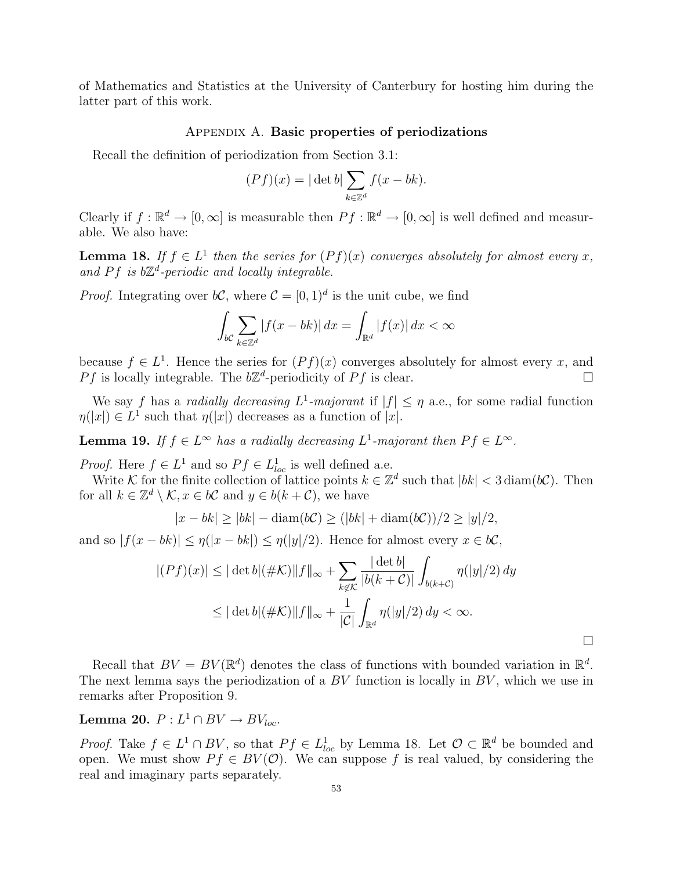of Mathematics and Statistics at the University of Canterbury for hosting him during the latter part of this work.

#### Appendix A. Basic properties of periodizations

Recall the definition of periodization from Section 3.1:

$$
(Pf)(x) = |\det b| \sum_{k \in \mathbb{Z}^d} f(x - bk).
$$

Clearly if  $f: \mathbb{R}^d \to [0, \infty]$  is measurable then  $Pf: \mathbb{R}^d \to [0, \infty]$  is well defined and measurable. We also have:

**Lemma 18.** If  $f \in L^1$  then the series for  $(Pf)(x)$  converges absolutely for almost every x, and Pf is  $b\mathbb{Z}^d$ -periodic and locally integrable.

*Proof.* Integrating over  $b\mathcal{C}$ , where  $\mathcal{C} = [0, 1]^d$  is the unit cube, we find

$$
\int_{b\mathcal{C}} \sum_{k \in \mathbb{Z}^d} |f(x - bk)| dx = \int_{\mathbb{R}^d} |f(x)| dx < \infty
$$

because  $f \in L^1$ . Hence the series for  $(Pf)(x)$  converges absolutely for almost every x, and Pf is locally integrable. The  $b\mathbb{Z}^d$ -periodicity of Pf is clear.

We say f has a radially decreasing  $L^1$ -majorant if  $|f| \leq \eta$  a.e., for some radial function  $\eta(|x|) \in L^1$  such that  $\eta(|x|)$  decreases as a function of |x|.

**Lemma 19.** If  $f \in L^{\infty}$  has a radially decreasing  $L^1$ -majorant then  $Pf \in L^{\infty}$ .

*Proof.* Here  $f \in L^1$  and so  $Pf \in L^1_{loc}$  is well defined a.e.

Write K for the finite collection of lattice points  $k \in \mathbb{Z}^d$  such that  $|bk| < 3 \operatorname{diam}(b\mathcal{C})$ . Then for all  $k \in \mathbb{Z}^d \setminus \mathcal{K}, x \in b\mathcal{C}$  and  $y \in b(k+\mathcal{C})$ , we have

$$
|x - bk| \ge |bk| - \operatorname{diam}(b\mathcal{C}) \ge (|bk| + \operatorname{diam}(b\mathcal{C}))/2 \ge |y|/2,
$$

and so  $|f(x-bk)| \leq \eta(|x-bk|) \leq \eta(|y|/2)$ . Hence for almost every  $x \in b\mathcal{C}$ ,

$$
|(Pf)(x)| \leq |\det b|(\# \mathcal{K})||f||_{\infty} + \sum_{k \notin \mathcal{K}} \frac{|\det b|}{|b(k+\mathcal{C})|} \int_{b(k+\mathcal{C})} \eta(|y|/2) dy
$$
  

$$
\leq |\det b|(\# \mathcal{K})||f||_{\infty} + \frac{1}{|\mathcal{C}|} \int_{\mathbb{R}^d} \eta(|y|/2) dy < \infty.
$$

¤

Recall that  $BV = BV(\mathbb{R}^d)$  denotes the class of functions with bounded variation in  $\mathbb{R}^d$ . The next lemma says the periodization of a  $BV$  function is locally in  $BV$ , which we use in remarks after Proposition 9.

Lemma 20.  $P: L^1 \cap BV \rightarrow BV_{loc}.$ 

*Proof.* Take  $f \in L^1 \cap BV$ , so that  $Pf \in L^1_{loc}$  by Lemma 18. Let  $\mathcal{O} \subset \mathbb{R}^d$  be bounded and open. We must show  $P f \in BV(\mathcal{O})$ . We can suppose f is real valued, by considering the real and imaginary parts separately.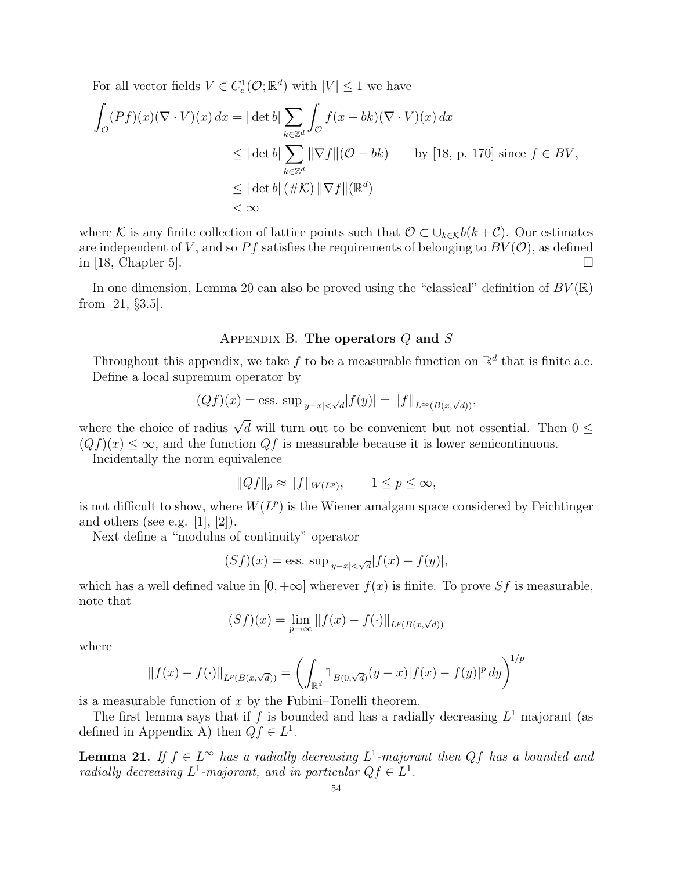For all vector fields  $V \in C_c^1(\mathcal{O}; \mathbb{R}^d)$  with  $|V| \leq 1$  we have

$$
\int_{\mathcal{O}} (Pf)(x)(\nabla \cdot V)(x) dx = |\det b| \sum_{k \in \mathbb{Z}^d} \int_{\mathcal{O}} f(x - bk)(\nabla \cdot V)(x) dx
$$
  
\n
$$
\leq |\det b| \sum_{k \in \mathbb{Z}^d} ||\nabla f||(\mathcal{O} - bk) \qquad \text{by [18, p. 170] since } f \in BV,
$$
  
\n
$$
\leq |\det b| (\# \mathcal{K}) ||\nabla f|| (\mathbb{R}^d)
$$
  
\n
$$
< \infty
$$

where K is any finite collection of lattice points such that  $\mathcal{O} \subset \bigcup_{k \in \mathcal{K}} b(k+\mathcal{C})$ . Our estimates are independent of V, and so Pf satisfies the requirements of belonging to  $BV(\mathcal{O})$ , as defined in [18, Chapter 5].  $\Box$ 

In one dimension, Lemma 20 can also be proved using the "classical" definition of  $BV(\mathbb{R})$ from [21, §3.5].

### APPENDIX B. The operators  $Q$  and  $S$

Throughout this appendix, we take f to be a measurable function on  $\mathbb{R}^d$  that is finite a.e. Define a local supremum operator by

$$
(Qf)(x) = \text{ess. sup}_{|y-x| < \sqrt{d}} |f(y)| = ||f||_{L^{\infty}(B(x,\sqrt{d}))},
$$

where the choice of radius  $\sqrt{d}$  will turn out to be convenient but not essential. Then  $0 \leq$  $(Qf)(x) \leq \infty$ , and the function  $Qf$  is measurable because it is lower semicontinuous.

Incidentally the norm equivalence

$$
||Qf||_p \approx ||f||_{W(L^p)}, \qquad 1 \le p \le \infty,
$$

is not difficult to show, where  $W(L^p)$  is the Wiener amalgam space considered by Feichtinger and others (see e.g.  $[1], [2]$ ).

Next define a "modulus of continuity" operator

$$
(Sf)(x) = \text{ess. sup}_{|y-x| < \sqrt{d}} |f(x) - f(y)|,
$$

which has a well defined value in  $[0, +\infty]$  wherever  $f(x)$  is finite. To prove Sf is measurable, note that

$$
(Sf)(x) = \lim_{p \to \infty} ||f(x) - f(\cdot)||_{L^p(B(x, \sqrt{d}))}
$$

where

$$
||f(x) - f(\cdot)||_{L^p(B(x,\sqrt{d}))} = \left(\int_{\mathbb{R}^d} 1_{B(0,\sqrt{d})}(y-x)|f(x) - f(y)|^p dy\right)^{1/p}
$$

is a measurable function of  $x$  by the Fubini–Tonelli theorem.

The first lemma says that if f is bounded and has a radially decreasing  $L^1$  majorant (as defined in Appendix A) then  $Qf \in L^1$ .

**Lemma 21.** If  $f \in L^{\infty}$  has a radially decreasing  $L^1$ -majorant then Qf has a bounded and radially decreasing  $L^1$ -majorant, and in particular  $Qf \in L^1$ .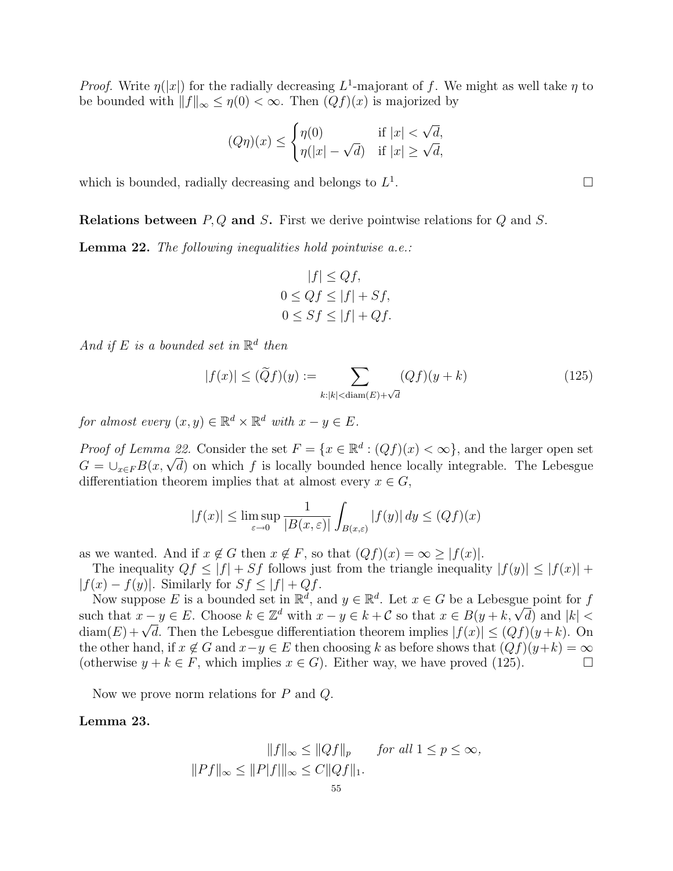*Proof.* Write  $\eta(|x|)$  for the radially decreasing  $L^1$ -majorant of f. We might as well take  $\eta$  to be bounded with  $||f||_{\infty} \leq \eta(0) < \infty$ . Then  $(Qf)(x)$  is majorized by

$$
(Q\eta)(x) \le \begin{cases} \eta(0) & \text{if } |x| < \sqrt{d}, \\ \eta(|x| - \sqrt{d}) & \text{if } |x| \ge \sqrt{d}, \end{cases}
$$

which is bounded, radially decreasing and belongs to  $L<sup>1</sup>$ 

**Relations between**  $P, Q$  and  $S$ . First we derive pointwise relations for  $Q$  and  $S$ .

Lemma 22. The following inequalities hold pointwise a.e.:

$$
|f| \le Qf,
$$
  
 
$$
0 \le Qf \le |f| + Sf,
$$
  
 
$$
0 \le Sf \le |f| + Qf.
$$

And if E is a bounded set in  $\mathbb{R}^d$  then

$$
|f(x)| \le (\widetilde{Q}f)(y) := \sum_{k:|k| < \text{diam}(E) + \sqrt{d}} (Qf)(y+k)
$$
\n(125)

for almost every  $(x, y) \in \mathbb{R}^d \times \mathbb{R}^d$  with  $x - y \in E$ .

*Proof of Lemma 22.* Consider the set  $F = \{x \in \mathbb{R}^d : (Qf)(x) < \infty\}$ , and the larger open set *Froof of Lemma zz.* Consider the set  $F = \{x \in \mathbb{R}^n : (\mathcal{Q}f)(x) < \infty\}$ , and the larger open set  $G = \cup_{x \in F} B(x, \sqrt{d})$  on which f is locally bounded hence locally integrable. The Lebesgue differentiation theorem implies that at almost every  $x \in G$ ,

$$
|f(x)| \le \limsup_{\varepsilon \to 0} \frac{1}{|B(x,\varepsilon)|} \int_{B(x,\varepsilon)} |f(y)| \, dy \le (Qf)(x)
$$

as we wanted. And if  $x \notin G$  then  $x \notin F$ , so that  $(Qf)(x) = \infty \geq |f(x)|$ .

The inequality  $Qf \leq |f| + Sf$  follows just from the triangle inequality  $|f(y)| \leq |f(x)| +$  $|f(x) - f(y)|$ . Similarly for  $Sf \leq |f| + Qf$ .

Now suppose E is a bounded set in  $\mathbb{R}^d$ , and  $y \in \mathbb{R}^d$ . Let  $x \in G$  be a Lebesgue point for f Now suppose E is a bounded set in  $\mathbb{R}^n$ , and  $y \in \mathbb{R}^n$ . Let  $x \in G$  be a Lebesgue point for f<br>such that  $x - y \in E$ . Choose  $k \in \mathbb{Z}^d$  with  $x - y \in k + C$  so that  $x \in B(y + k, \sqrt{d})$  and  $|k|$ such that  $x - y \in E$ . Choose  $\kappa \in \mathbb{Z}^*$  with  $x - y \in \kappa + C$  so that  $x \in B(y + \kappa, \sqrt{a})$  and  $|\kappa| <$ <br>diam $(E) + \sqrt{d}$ . Then the Lebesgue differentiation theorem implies  $|f(x)| \leq (Qf)(y + k)$ . On the other hand, if  $x \notin G$  and  $x-y \in E$  then choosing k as before shows that  $(Qf)(y+k) = \infty$ (otherwise  $y + k \in F$ , which implies  $x \in G$ ). Either way, we have proved (125).

Now we prove norm relations for P and Q.

### Lemma 23.

$$
||f||_{\infty} \le ||Qf||_p \quad \text{for all } 1 \le p \le \infty,
$$
  

$$
||Pf||_{\infty} \le ||P|f|||_{\infty} \le C||Qf||_1.
$$

. The contract of the contract of  $\Box$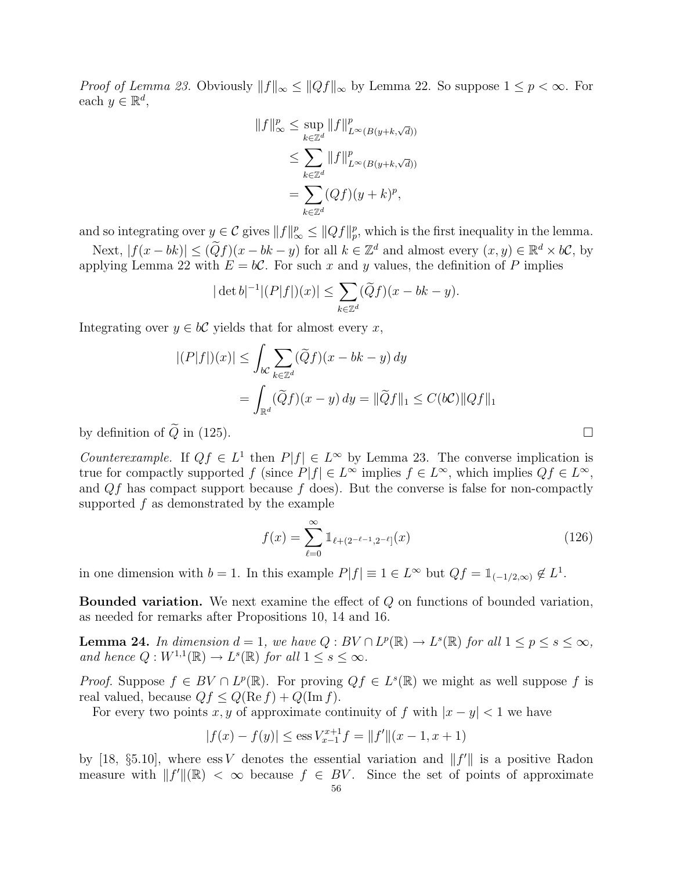*Proof of Lemma 23.* Obviously  $||f||_{\infty} \leq ||Qf||_{\infty}$  by Lemma 22. So suppose  $1 \leq p < \infty$ . For each  $y \in \mathbb{R}^d$ ,

$$
||f||_{\infty}^p \le \sup_{k \in \mathbb{Z}^d} ||f||_{L^{\infty}(B(y+k,\sqrt{d}))}^p
$$
  
\n
$$
\le \sum_{k \in \mathbb{Z}^d} ||f||_{L^{\infty}(B(y+k,\sqrt{d}))}^p
$$
  
\n
$$
= \sum_{k \in \mathbb{Z}^d} (Qf)(y+k)^p,
$$

and so integrating over  $y \in \mathcal{C}$  gives  $||f||_{\infty}^p \leq ||Qf||_p^p$ , which is the first inequality in the lemma.

Next,  $|f(x-bk)| \leq (\widetilde{Q}f)(x-bk-y)$  for all  $k \in \mathbb{Z}^d$  and almost every  $(x, y) \in \mathbb{R}^d \times b\mathcal{C}$ , by applying Lemma 22 with  $E = b\mathcal{C}$ . For such x and y values, the definition of P implies

$$
|\det b|^{-1}|(P|f|)(x)| \le \sum_{k \in \mathbb{Z}^d} (\widetilde{Q}f)(x - bk - y).
$$

Integrating over  $y \in bC$  yields that for almost every x,

$$
|(P|f|)(x)| \le \int_{bC} \sum_{k \in \mathbb{Z}^d} (\widetilde{Q}f)(x - bk - y) dy
$$
  
= 
$$
\int_{\mathbb{R}^d} (\widetilde{Q}f)(x - y) dy = ||\widetilde{Q}f||_1 \le C(bC) ||Qf||_1
$$

by definition of  $Q$  in (125).

Counterexample. If  $Qf \in L^1$  then  $P|f| \in L^{\infty}$  by Lemma 23. The converse implication is true for compactly supported f (since  $P|f| \in L^{\infty}$  implies  $f \in L^{\infty}$ , which implies  $Qf \in L^{\infty}$ , and  $Qf$  has compact support because f does). But the converse is false for non-compactly supported f as demonstrated by the example

$$
f(x) = \sum_{\ell=0}^{\infty} 1_{\ell+(2^{-\ell-1},2^{-\ell}]}(x)
$$
 (126)

in one dimension with  $b = 1$ . In this example  $P|f| \equiv 1 \in L^{\infty}$  but  $Qf = \mathbb{1}_{(-1/2,\infty)} \notin L^{1}$ .

Bounded variation. We next examine the effect of Q on functions of bounded variation, as needed for remarks after Propositions 10, 14 and 16.

**Lemma 24.** In dimension  $d = 1$ , we have  $Q : BV \cap L^p(\mathbb{R}) \to L^s(\mathbb{R})$  for all  $1 \leq p \leq s \leq \infty$ , and hence  $Q: W^{1,1}(\mathbb{R}) \to L^s(\mathbb{R})$  for all  $1 \leq s \leq \infty$ .

*Proof.* Suppose  $f \in BV \cap L^p(\mathbb{R})$ . For proving  $Qf \in L^s(\mathbb{R})$  we might as well suppose f is real valued, because  $Qf \leq Q(\text{Re } f) + Q(\text{Im } f)$ .

For every two points x, y of approximate continuity of f with  $|x-y| < 1$  we have

$$
|f(x) - f(y)| \le \operatorname{ess} V_{x-1}^{x+1} f = ||f'||(x - 1, x + 1)
$$

by [18, §5.10], where  $\text{ess } V$  denotes the essential variation and  $||f'||$  is a positive Radon measure with  $||f'||(\mathbb{R}) < \infty$  because  $f \in BV$ . Since the set of points of approximate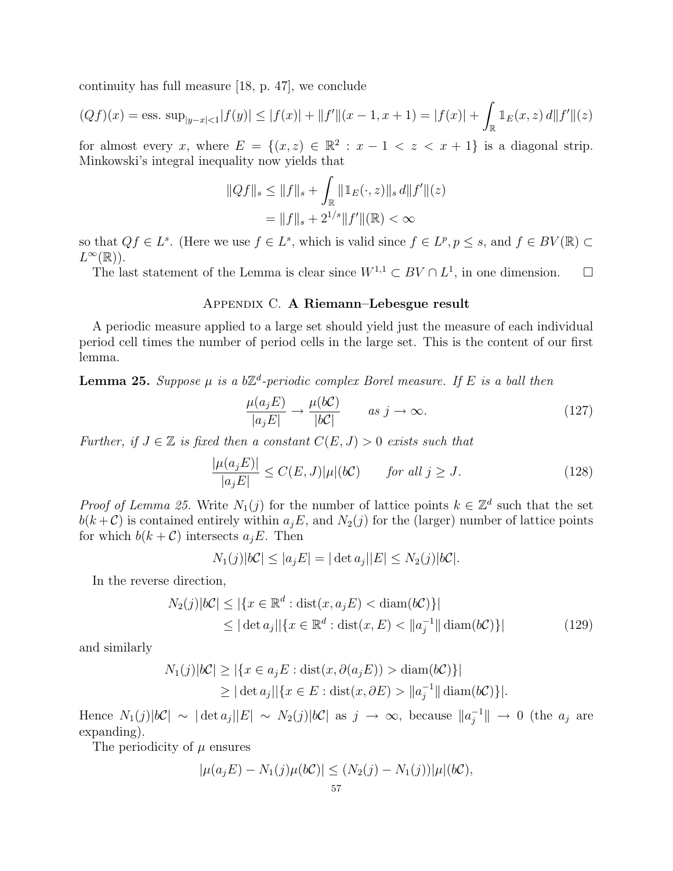continuity has full measure [18, p. 47], we conclude

$$
(Qf)(x) = \text{ess. sup}_{|y-x| < 1} |f(y)| \le |f(x)| + \|f'\|(x-1, x+1) = |f(x)| + \int_{\mathbb{R}} 1_E(x, z) \, d\|f'\|(z)
$$

for almost every x, where  $E = \{(x, z) \in \mathbb{R}^2 : x - 1 < z < x + 1\}$  is a diagonal strip. Minkowski's integral inequality now yields that

$$
||Qf||_s \le ||f||_s + \int_{\mathbb{R}} ||\mathbb{1}_E(\cdot, z)||_s \, d||f'||(z)
$$
  
=  $||f||_s + 2^{1/s} ||f'||(\mathbb{R}) < \infty$ 

so that  $Qf \in L^s$ . (Here we use  $f \in L^s$ , which is valid since  $f \in L^p, p \leq s$ , and  $f \in BV(\mathbb{R}) \subset$  $L^{\infty}(\mathbb{R})$ ).

The last statement of the Lemma is clear since  $W^{1,1} \subset BV \cap L^1$ , in one dimension.  $\Box$ 

## Appendix C. A Riemann–Lebesgue result

A periodic measure applied to a large set should yield just the measure of each individual period cell times the number of period cells in the large set. This is the content of our first lemma.

**Lemma 25.** Suppose  $\mu$  is a b $\mathbb{Z}^d$ -periodic complex Borel measure. If E is a ball then

$$
\frac{\mu(a_j E)}{|a_j E|} \to \frac{\mu(bC)}{|bC|} \qquad as \ j \to \infty.
$$
\n(127)

Further, if  $J \in \mathbb{Z}$  is fixed then a constant  $C(E, J) > 0$  exists such that

$$
\frac{|\mu(a_j E)|}{|a_j E|} \le C(E, J)|\mu|(b\mathcal{C}) \qquad \text{for all } j \ge J. \tag{128}
$$

*Proof of Lemma 25.* Write  $N_1(j)$  for the number of lattice points  $k \in \mathbb{Z}^d$  such that the set  $b(k+\mathcal{C})$  is contained entirely within  $a_jE$ , and  $N_2(j)$  for the (larger) number of lattice points for which  $b(k+\mathcal{C})$  intersects  $a_jE$ . Then

$$
N_1(j)|bC| \le |a_jE| = |\det a_j||E| \le N_2(j)|bC|.
$$

In the reverse direction,

$$
N_2(j)|bC| \leq |\{x \in \mathbb{R}^d : \text{dist}(x, a_j E) < \text{diam}(bC)\}|
$$
  
\n
$$
\leq |\det a_j| |\{x \in \mathbb{R}^d : \text{dist}(x, E) < \|a_j^{-1}\| \text{diam}(bC)\}|
$$
\n(129)

and similarly

$$
N_1(j)|bC| \ge |\{x \in a_j E : \text{dist}(x, \partial(a_j E)) > \text{diam}(bC)\}|
$$
  
 
$$
\ge |\det a_j| |\{x \in E : \text{dist}(x, \partial E) > ||a_j^{-1}|| \text{diam}(bC)\}|.
$$

Hence  $N_1(j)|bC| \sim |\det a_j||E| \sim N_2(j)|bC|$  as  $j \to \infty$ , because  $||a_i^{-1}||$  $\overline{a}_j^{-1}$   $\parallel$   $\rightarrow$  0 (the  $a_j$  are expanding).

The periodicity of  $\mu$  ensures

$$
|\mu(a_j E) - N_1(j)\mu(bC)| \le (N_2(j) - N_1(j))|\mu|(bC),
$$
<sup>57</sup>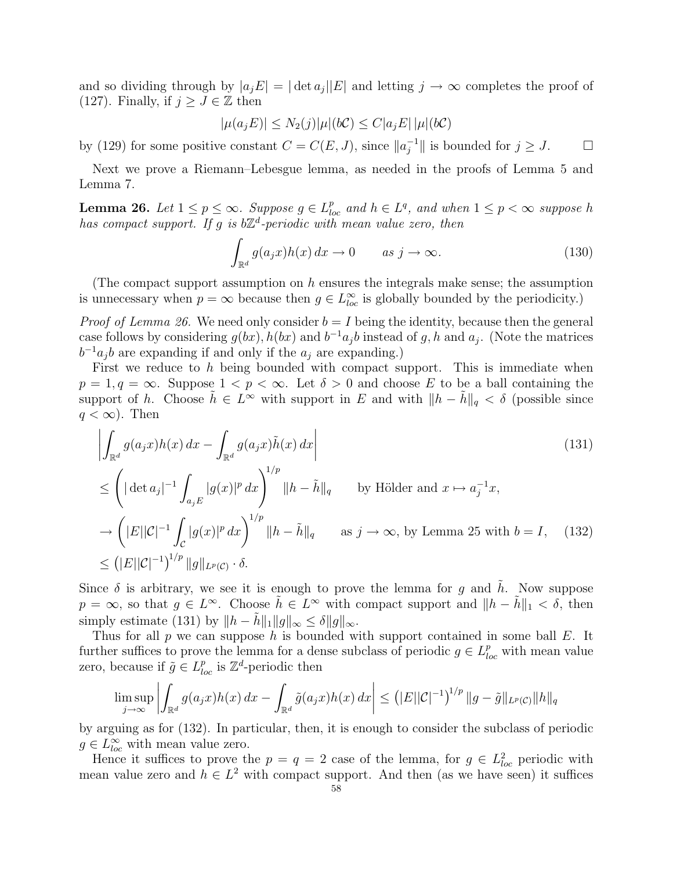and so dividing through by  $|a_jE| = |\det a_j||E|$  and letting  $j \to \infty$  completes the proof of (127). Finally, if  $j \geq J \in \mathbb{Z}$  then

$$
|\mu(a_j E)| \le N_2(j)|\mu|(b\mathcal{C}) \le C|a_j E| |\mu|(b\mathcal{C})
$$

by (129) for some positive constant  $C = C(E, J)$ , since  $||a_i^{-1}||$  $\int_{j}^{-1}$  is bounded for  $j \geq J$ .  $\Box$ 

Next we prove a Riemann–Lebesgue lemma, as needed in the proofs of Lemma 5 and Lemma 7.

**Lemma 26.** Let  $1 \leq p \leq \infty$ . Suppose  $g \in L_{loc}^p$  and  $h \in L^q$ , and when  $1 \leq p < \infty$  suppose h has compact support. If g is  $b\mathbb{Z}^d$ -periodic with mean value zero, then

$$
\int_{\mathbb{R}^d} g(a_j x) h(x) dx \to 0 \qquad as \ j \to \infty.
$$
 (130)

(The compact support assumption on  $h$  ensures the integrals make sense; the assumption is unnecessary when  $p = \infty$  because then  $g \in L^{\infty}_{loc}$  is globally bounded by the periodicity.)

*Proof of Lemma 26.* We need only consider  $b = I$  being the identity, because then the general case follows by considering  $g(bx)$ ,  $h(bx)$  and  $b^{-1}a_jb$  instead of g, h and  $a_j$ . (Note the matrices  $b^{-1}a_jb$  are expanding if and only if the  $a_j$  are expanding.)

First we reduce to h being bounded with compact support. This is immediate when  $p = 1, q = \infty$ . Suppose  $1 < p < \infty$ . Let  $\delta > 0$  and choose E to be a ball containing the support of h. Choose  $\tilde{h} \in L^{\infty}$  with support in E and with  $||h - \tilde{h}||_q < \delta$  (possible since  $q < \infty$ ). Then ¯

$$
\left| \int_{\mathbb{R}^d} g(a_j x) h(x) dx - \int_{\mathbb{R}^d} g(a_j x) \tilde{h}(x) dx \right|
$$
\n
$$
\leq \left( |\det a_j|^{-1} \int_{a_j E} |g(x)|^p dx \right)^{1/p} ||h - \tilde{h}||_q \quad \text{by Hölder and } x \mapsto a_j^{-1} x,
$$
\n
$$
\to \left( |E||\mathcal{C}|^{-1} \int_{\mathcal{C}} |g(x)|^p dx \right)^{1/p} ||h - \tilde{h}||_q \quad \text{as } j \to \infty, \text{ by Lemma 25 with } b = I, \quad (132)
$$
\n
$$
\leq \left( |E||\mathcal{C}|^{-1} \right)^{1/p} ||g||_{L^p(\mathcal{C})} \cdot \delta.
$$

Since  $\delta$  is arbitrary, we see it is enough to prove the lemma for g and h. Now suppose  $p = \infty$ , so that  $g \in L^{\infty}$ . Choose  $\tilde{h} \in L^{\infty}$  with compact support and  $||h - \tilde{h}||_1 < \delta$ , then simply estimate (131) by  $||h - \tilde{h}||_1 ||g||_{\infty} \le \delta ||g||_{\infty}$ .

Thus for all  $p$  we can suppose  $h$  is bounded with support contained in some ball  $E$ . It further suffices to prove the lemma for a dense subclass of periodic  $g \in L^p_{loc}$  with mean value zero, because if  $\tilde{g} \in L^{p}_{loc}$  is  $\mathbb{Z}^{d}$ -periodic then  $\overline{C}$   $\overline{C}$   $\overline{C}$   $\overline{C}$  $\overline{a}$ 

$$
\limsup_{j \to \infty} \left| \int_{\mathbb{R}^d} g(a_j x) h(x) \, dx - \int_{\mathbb{R}^d} \tilde{g}(a_j x) h(x) \, dx \right| \le \left( |E| |\mathcal{C}|^{-1} \right)^{1/p} \|g - \tilde{g}\|_{L^p(\mathcal{C})} \|h\|_q
$$

by arguing as for (132). In particular, then, it is enough to consider the subclass of periodic  $g \in L_{loc}^{\infty}$  with mean value zero.

Hence it suffices to prove the  $p = q = 2$  case of the lemma, for  $g \in L^2_{loc}$  periodic with mean value zero and  $h \in L^2$  with compact support. And then (as we have seen) it suffices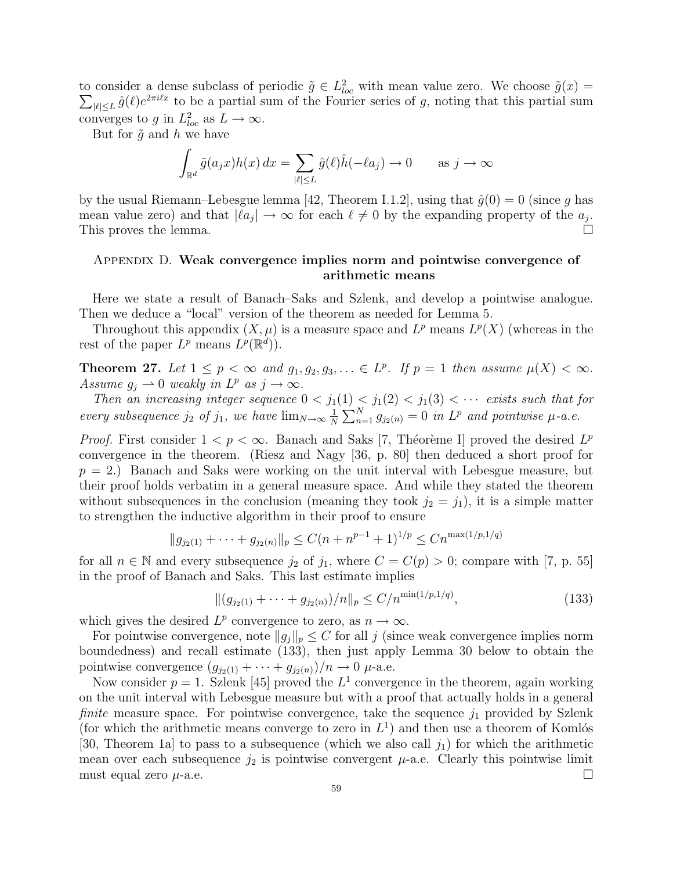to consider a dense subclass of periodic  $\tilde{g} \in L^2_{loc}$  with mean value zero. We choose  $\tilde{g}(x) =$  $|e| \leq L \hat{g}(\ell) e^{2\pi i \ell x}$  to be a partial sum of the Fourier series of g, noting that this partial sum converges to g in  $L^2_{loc}$  as  $L \to \infty$ .

But for  $\tilde{g}$  and h we have Z

$$
\int_{\mathbb{R}^d} \tilde{g}(a_j x) h(x) dx = \sum_{|\ell| \le L} \hat{g}(\ell) \hat{h}(-\ell a_j) \to 0 \quad \text{as } j \to \infty
$$

by the usual Riemann–Lebesgue lemma [42, Theorem I.1.2], using that  $\hat{g}(0) = 0$  (since g has mean value zero) and that  $|la_j| \to \infty$  for each  $\ell \neq 0$  by the expanding property of the  $a_j$ . This proves the lemma.  $\Box$ 

## Appendix D. Weak convergence implies norm and pointwise convergence of arithmetic means

Here we state a result of Banach–Saks and Szlenk, and develop a pointwise analogue. Then we deduce a "local" version of the theorem as needed for Lemma 5.

Throughout this appendix  $(X, \mu)$  is a measure space and  $L^p$  means  $L^p(X)$  (whereas in the rest of the paper  $L^p$  means  $L^p(\mathbb{R}^d)$ .

**Theorem 27.** Let  $1 \leq p < \infty$  and  $g_1, g_2, g_3, \ldots \in L^p$ . If  $p = 1$  then assume  $\mu(X) < \infty$ . Assume  $g_j \rightharpoonup 0$  weakly in  $L^p$  as  $j \rightharpoonup \infty$ .

Then an increasing integer sequence  $0 < j_1(1) < j_1(2) < j_1(3) < \cdots$  exists such that for every subsequence  $j_2$  of  $j_1$ , we have  $\lim_{N\to\infty}\frac{1}{N}$ N  $\frac{1}{\sqrt{N}}$  $_{n=1}^N g_{j_2(n)} = 0$  in  $L^p$  and pointwise  $\mu$ -a.e.

*Proof.* First consider  $1 < p < \infty$ . Banach and Saks [7, Théorème I] proved the desired  $L^p$ convergence in the theorem. (Riesz and Nagy [36, p. 80] then deduced a short proof for  $p = 2$ .) Banach and Saks were working on the unit interval with Lebesgue measure, but their proof holds verbatim in a general measure space. And while they stated the theorem without subsequences in the conclusion (meaning they took  $j_2 = j_1$ ), it is a simple matter to strengthen the inductive algorithm in their proof to ensure

$$
||g_{j_2(1)} + \cdots + g_{j_2(n)}||_p \le C(n + n^{p-1} + 1)^{1/p} \le Cn^{\max(1/p, 1/q)}
$$

for all  $n \in \mathbb{N}$  and every subsequence  $j_2$  of  $j_1$ , where  $C = C(p) > 0$ ; compare with [7, p. 55] in the proof of Banach and Saks. This last estimate implies

$$
\|(g_{j_2(1)} + \dots + g_{j_2(n)})/n\|_p \le C/n^{\min(1/p, 1/q)},\tag{133}
$$

which gives the desired  $L^p$  convergence to zero, as  $n \to \infty$ .

For pointwise convergence, note  $||g_j||_p \leq C$  for all j (since weak convergence implies norm boundedness) and recall estimate (133), then just apply Lemma 30 below to obtain the pointwise convergence  $(g_{j_2(1)} + \cdots + g_{j_2(n)})/n \to 0$   $\mu$ -a.e.

Now consider  $p = 1$ . Szlenk [45] proved the  $L<sup>1</sup>$  convergence in the theorem, again working on the unit interval with Lebesgue measure but with a proof that actually holds in a general finite measure space. For pointwise convergence, take the sequence  $j_1$  provided by Szlenk (for which the arithmetic means converge to zero in  $L<sup>1</sup>$ ) and then use a theorem of Komlós [30, Theorem 1a] to pass to a subsequence (which we also call  $j_1$ ) for which the arithmetic mean over each subsequence  $j_2$  is pointwise convergent  $\mu$ -a.e. Clearly this pointwise limit must equal zero  $\mu$ -a.e.  $\Box$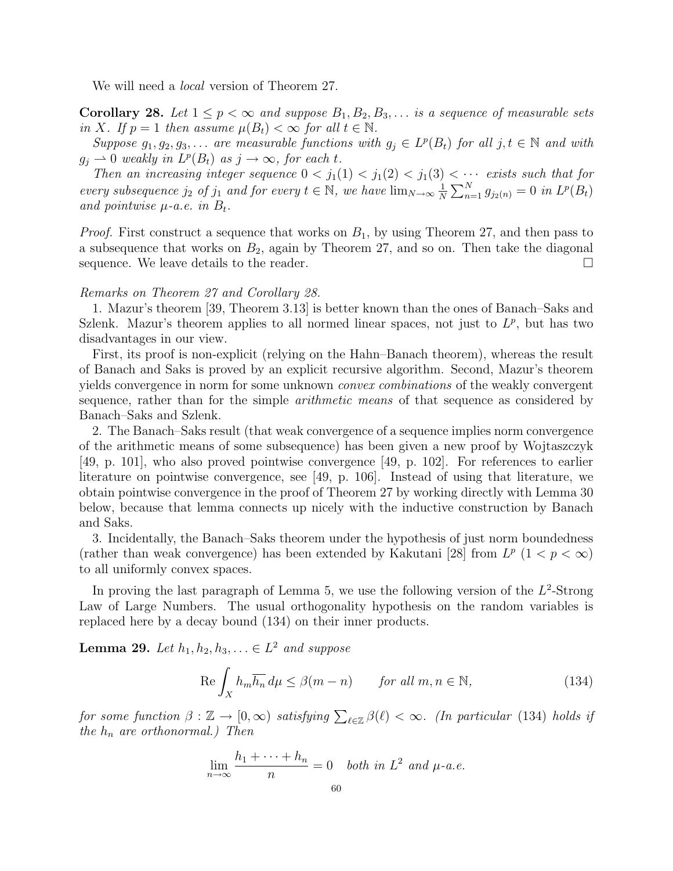We will need a *local* version of Theorem 27.

**Corollary 28.** Let  $1 \leq p < \infty$  and suppose  $B_1, B_2, B_3, \ldots$  is a sequence of measurable sets in X. If  $p = 1$  then assume  $\mu(B_t) < \infty$  for all  $t \in \mathbb{N}$ .

Suppose  $g_1, g_2, g_3, \ldots$  are measurable functions with  $g_j \in L^p(B_t)$  for all  $j, t \in \mathbb{N}$  and with  $g_j \rightharpoonup 0$  weakly in  $L^p(B_t)$  as  $j \rightarrow \infty$ , for each t.

Then an increasing integer sequence  $0 < j_1(1) < j_1(2) < j_1(3) < \cdots$  exists such that for every subsequence  $j_2$  of  $j_1$  and for every  $t \in \mathbb{N}$ , we have  $\lim_{N \to \infty} \frac{1}{N}$  $\frac{1}{N}\sum_{n=1}^{N} g_{j_2(n)} = 0$  in  $L^p(B_t)$ and pointwise  $\mu$ -a.e. in  $B_t$ .

*Proof.* First construct a sequence that works on  $B_1$ , by using Theorem 27, and then pass to a subsequence that works on  $B_2$ , again by Theorem 27, and so on. Then take the diagonal sequence. We leave details to the reader.  $\Box$ 

#### Remarks on Theorem 27 and Corollary 28.

1. Mazur's theorem [39, Theorem 3.13] is better known than the ones of Banach–Saks and Szlenk. Mazur's theorem applies to all normed linear spaces, not just to  $L^p$ , but has two disadvantages in our view.

First, its proof is non-explicit (relying on the Hahn–Banach theorem), whereas the result of Banach and Saks is proved by an explicit recursive algorithm. Second, Mazur's theorem yields convergence in norm for some unknown convex combinations of the weakly convergent sequence, rather than for the simple *arithmetic means* of that sequence as considered by Banach–Saks and Szlenk.

2. The Banach–Saks result (that weak convergence of a sequence implies norm convergence of the arithmetic means of some subsequence) has been given a new proof by Wojtaszczyk [49, p. 101], who also proved pointwise convergence [49, p. 102]. For references to earlier literature on pointwise convergence, see [49, p. 106]. Instead of using that literature, we obtain pointwise convergence in the proof of Theorem 27 by working directly with Lemma 30 below, because that lemma connects up nicely with the inductive construction by Banach and Saks.

3. Incidentally, the Banach–Saks theorem under the hypothesis of just norm boundedness (rather than weak convergence) has been extended by Kakutani [28] from  $L^p$  (1 <  $p < \infty$ ) to all uniformly convex spaces.

In proving the last paragraph of Lemma 5, we use the following version of the  $L^2$ -Strong Law of Large Numbers. The usual orthogonality hypothesis on the random variables is replaced here by a decay bound (134) on their inner products.

**Lemma 29.** Let  $h_1, h_2, h_3, \ldots \in L^2$  and suppose

$$
\operatorname{Re}\int_{X} h_{m} \overline{h_{n}} \, d\mu \le \beta (m - n) \qquad \text{for all } m, n \in \mathbb{N}, \tag{134}
$$

for some function  $\beta : \mathbb{Z} \to [0, \infty)$  satisfying  $\sum_{\ell \in \mathbb{Z}} \beta(\ell) < \infty$ . (In particular (134) holds if the  $h_n$  are orthonormal.) Then

$$
\lim_{n \to \infty} \frac{h_1 + \dots + h_n}{n} = 0 \quad \text{both in } L^2 \text{ and } \mu \text{-}a.e.
$$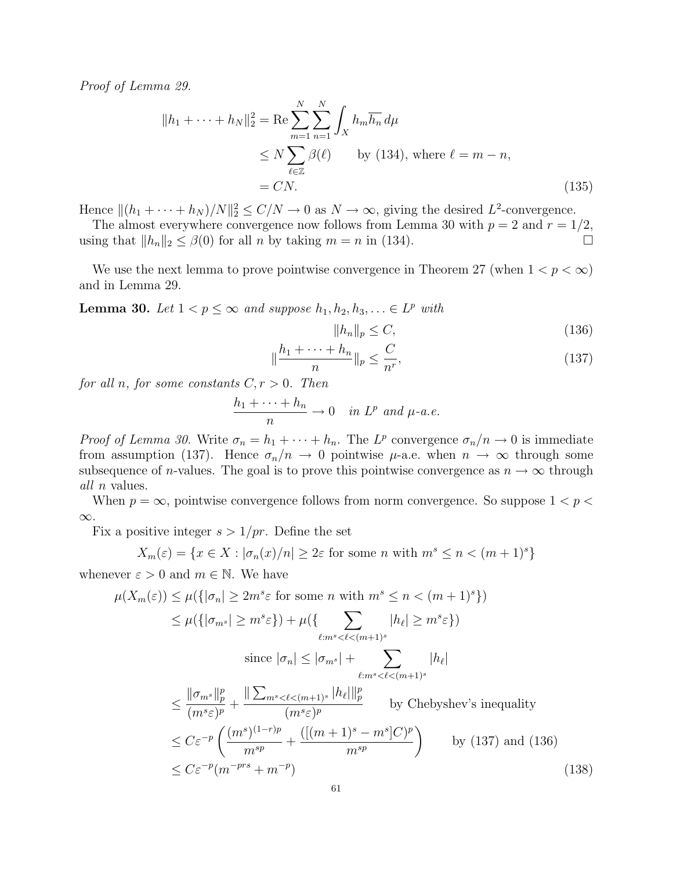Proof of Lemma 29.

$$
||h_1 + \dots + h_N||_2^2 = \text{Re} \sum_{m=1}^N \sum_{n=1}^N \int_X h_m \overline{h_n} d\mu
$$
  
\n
$$
\leq N \sum_{\ell \in \mathbb{Z}} \beta(\ell) \qquad \text{by (134), where } \ell = m - n,
$$
  
\n
$$
= CN.
$$
 (135)

Hence  $||(h_1 + \cdots + h_N)/N||_2^2 \le C/N \to 0$  as  $N \to \infty$ , giving the desired  $L^2$ -convergence.

The almost everywhere convergence now follows from Lemma 30 with  $p = 2$  and  $r = 1/2$ , using that  $||h_n||_2 \leq \beta(0)$  for all n by taking  $m = n$  in (134).

We use the next lemma to prove pointwise convergence in Theorem 27 (when  $1 < p < \infty$ ) and in Lemma 29.

**Lemma 30.** Let  $1 < p \leq \infty$  and suppose  $h_1, h_2, h_3, \ldots \in L^p$  with

$$
||h_n||_p \le C,\t\t(136)
$$

$$
\|\frac{h_1 + \dots + h_n}{n}\|_p \le \frac{C}{n^r},\tag{137}
$$

for all n, for some constants  $C, r > 0$ . Then

$$
\frac{h_1 + \dots + h_n}{n} \to 0 \quad in \ L^p \ and \ \mu-a.e.
$$

*Proof of Lemma 30.* Write  $\sigma_n = h_1 + \cdots + h_n$ . The L<sup>p</sup> convergence  $\sigma_n/n \to 0$  is immediate from assumption (137). Hence  $\sigma_n/n \to 0$  pointwise  $\mu$ -a.e. when  $n \to \infty$  through some subsequence of *n*-values. The goal is to prove this pointwise convergence as  $n \to \infty$  through all n values.

When  $p = \infty$ , pointwise convergence follows from norm convergence. So suppose  $1 < p <$ ∞.

Fix a positive integer  $s > 1/pr$ . Define the set

$$
X_m(\varepsilon) = \{ x \in X : |\sigma_n(x)/n| \ge 2\varepsilon \text{ for some } n \text{ with } m^s \le n < (m+1)^s \}
$$

whenever  $\varepsilon > 0$  and  $m \in \mathbb{N}$ . We have

$$
\mu(X_m(\varepsilon)) \le \mu(\{|\sigma_n| \ge 2m^s \varepsilon \text{ for some } n \text{ with } m^s \le n < (m+1)^s \})
$$
  
\n
$$
\le \mu(\{|\sigma_m s| \ge m^s \varepsilon\}) + \mu(\{ \sum_{\ell : m^s < \ell < (m+1)^s} |h_\ell| \ge m^s \varepsilon \})
$$
  
\nsince  $|\sigma_n| \le |\sigma_m s| + \sum_{\ell : m^s < \ell < (m+1)^s} |h_\ell|$   
\n
$$
\le \frac{||\sigma_m s||_p^p}{(m^s \varepsilon)^p} + \frac{||\sum_{m^s < \ell < (m+1)^s} |h_\ell||_p^p}{(m^s \varepsilon)^p} \qquad \text{by Chebyshev's inequality}
$$
  
\n
$$
\le C\varepsilon^{-p} \left( \frac{(m^s)^{(1-r)p}}{m^{sp}} + \frac{([(m+1)^s - m^s]C)^p}{m^{sp}} \right) \qquad \text{by (137) and (136)}
$$
  
\n
$$
\le C\varepsilon^{-p}(m^{-prs} + m^{-p})
$$
  
\n(138)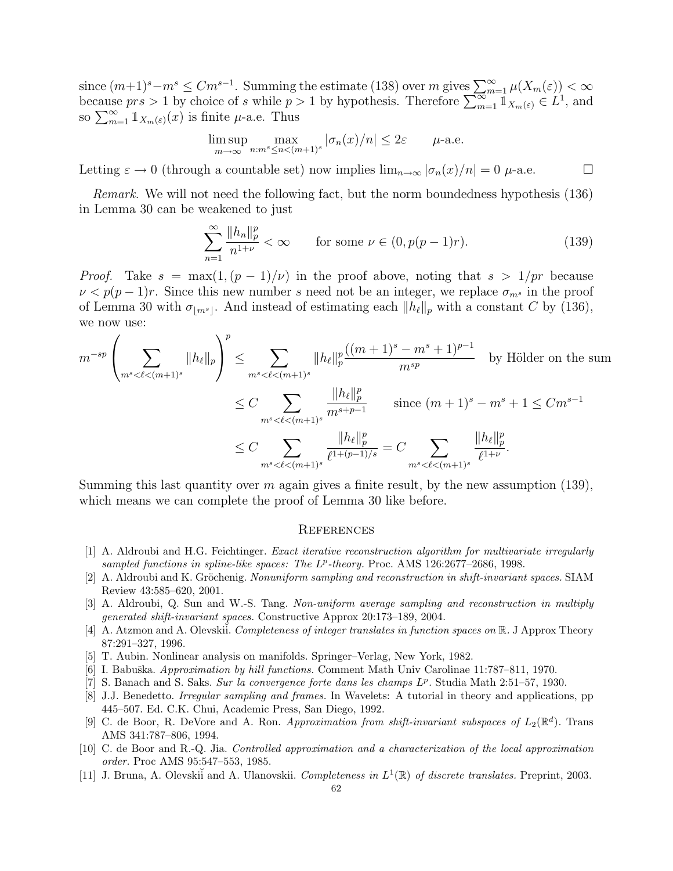since  $(m+1)^s-m^s \leq Cm^{s-1}$ . Summing the estimate (138) over m gives  $\sum_{m=1}^{\infty} \mu(X_m(\varepsilon)) < \infty$ <br>because  $prs > 1$  by choice of s while  $p > 1$  by hypothesis. Therefore  $\sum_{m=1}^{\infty} \mathbb{1}_{X_m(\varepsilon)} \in L^1$ , and because  $prs > 1$  by choice of s while p.<br>so  $\sum_{m=1}^{\infty} \mathbb{1}_{X_m(\varepsilon)}(x)$  is finite  $\mu$ -a.e. Thus

$$
\limsup_{m \to \infty} \max_{n : m^s \le n < (m+1)^s} |\sigma_n(x)/n| \le 2\varepsilon \qquad \mu\text{-a.e.}
$$

Letting  $\varepsilon \to 0$  (through a countable set) now implies  $\lim_{n\to\infty} |\sigma_n(x)/n| = 0$   $\mu$ -a.e.  $\Box$ 

Remark. We will not need the following fact, but the norm boundedness hypothesis (136) in Lemma 30 can be weakened to just

$$
\sum_{n=1}^{\infty} \frac{\|h_n\|_p^p}{n^{1+\nu}} < \infty \qquad \text{for some } \nu \in (0, p(p-1)r). \tag{139}
$$

*Proof.* Take  $s = \max(1, (p-1)/\nu)$  in the proof above, noting that  $s > 1/pr$  because  $\nu < p(p-1)r$ . Since this new number s need not be an integer, we replace  $\sigma_{m^s}$  in the proof of Lemma 30 with  $\sigma_{\lfloor m^s \rfloor}$ . And instead of estimating each  $\|h_\ell\|_p$  with a constant C by (136), we now use:  $\frac{1}{2}$ 

$$
m^{-sp} \left(\sum_{m^s < \ell < (m+1)^s} \|h_\ell\|_p\right)^p \leq \sum_{m^s < \ell < (m+1)^s} \|h_\ell\|_p^p \frac{((m+1)^s - m^s + 1)^{p-1}}{m^{sp}} \quad \text{by Hölder on the sum}
$$
\n
$$
\leq C \sum_{m^s < \ell < (m+1)^s} \frac{\|h_\ell\|_p^p}{m^{s+p-1}} \quad \text{since } (m+1)^s - m^s + 1 \leq Cm^{s-1}
$$
\n
$$
\leq C \sum_{m^s < \ell < (m+1)^s} \frac{\|h_\ell\|_p^p}{\ell^{1+(p-1)/s}} = C \sum_{m^s < \ell < (m+1)^s} \frac{\|h_\ell\|_p^p}{\ell^{1+\nu}}.
$$

Summing this last quantity over  $m$  again gives a finite result, by the new assumption (139), which means we can complete the proof of Lemma 30 like before.

#### **REFERENCES**

- [1] A. Aldroubi and H.G. Feichtinger. Exact iterative reconstruction algorithm for multivariate irregularly sampled functions in spline-like spaces: The  $L^p$ -theory. Proc. AMS 126:2677-2686, 1998.
- $[2]$  A. Aldroubi and K. Gröchenig. Nonuniform sampling and reconstruction in shift-invariant spaces. SIAM Review 43:585–620, 2001.
- [3] A. Aldroubi, Q. Sun and W.-S. Tang. Non-uniform average sampling and reconstruction in multiply generated shift-invariant spaces. Constructive Approx 20:173–189, 2004.
- [4] A. Atzmon and A. Olevskii. Completeness of integer translates in function spaces on R. J Approx Theory 87:291–327, 1996.
- [5] T. Aubin. Nonlinear analysis on manifolds. Springer–Verlag, New York, 1982.
- [6] I. Babuška. Approximation by hill functions. Comment Math Univ Carolinae 11:787–811, 1970.
- [7] S. Banach and S. Saks. Sur la convergence forte dans les champs  $L^p$ . Studia Math 2:51-57, 1930.
- [8] J.J. Benedetto. Irregular sampling and frames. In Wavelets: A tutorial in theory and applications, pp 445–507. Ed. C.K. Chui, Academic Press, San Diego, 1992.
- [9] C. de Boor, R. DeVore and A. Ron. Approximation from shift-invariant subspaces of  $L_2(\mathbb{R}^d)$ . Trans AMS 341:787–806, 1994.
- [10] C. de Boor and R.-Q. Jia. Controlled approximation and a characterization of the local approximation order. Proc AMS 95:547–553, 1985.
- [11] J. Bruna, A. Olevskii and A. Ulanovskii. Completeness in  $L^1(\mathbb{R})$  of discrete translates. Preprint, 2003.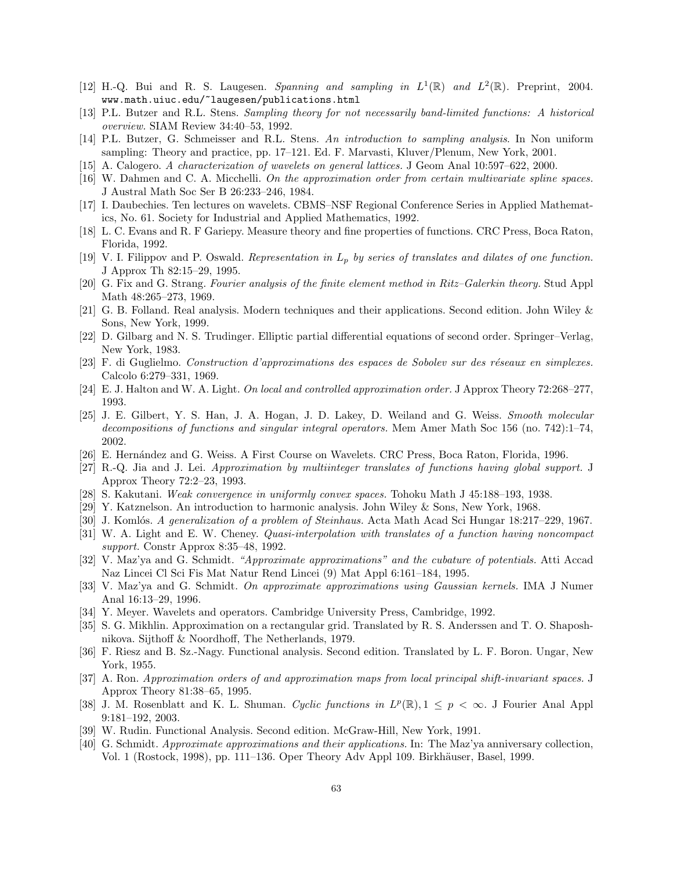- [12] H.-Q. Bui and R. S. Laugesen. Spanning and sampling in  $L^1(\mathbb{R})$  and  $L^2(\mathbb{R})$ . Preprint, 2004. www.math.uiuc.edu/~laugesen/publications.html
- [13] P.L. Butzer and R.L. Stens. Sampling theory for not necessarily band-limited functions: A historical overview. SIAM Review 34:40–53, 1992.
- [14] P.L. Butzer, G. Schmeisser and R.L. Stens. An introduction to sampling analysis. In Non uniform sampling: Theory and practice, pp. 17–121. Ed. F. Marvasti, Kluver/Plenum, New York, 2001.
- [15] A. Calogero. A characterization of wavelets on general lattices. J Geom Anal 10:597–622, 2000.
- [16] W. Dahmen and C. A. Micchelli. On the approximation order from certain multivariate spline spaces. J Austral Math Soc Ser B 26:233–246, 1984.
- [17] I. Daubechies. Ten lectures on wavelets. CBMS–NSF Regional Conference Series in Applied Mathematics, No. 61. Society for Industrial and Applied Mathematics, 1992.
- [18] L. C. Evans and R. F Gariepy. Measure theory and fine properties of functions. CRC Press, Boca Raton, Florida, 1992.
- [19] V. I. Filippov and P. Oswald. Representation in  $L_p$  by series of translates and dilates of one function. J Approx Th 82:15–29, 1995.
- [20] G. Fix and G. Strang. Fourier analysis of the finite element method in Ritz–Galerkin theory. Stud Appl Math 48:265–273, 1969.
- [21] G. B. Folland. Real analysis. Modern techniques and their applications. Second edition. John Wiley & Sons, New York, 1999.
- [22] D. Gilbarg and N. S. Trudinger. Elliptic partial differential equations of second order. Springer–Verlag, New York, 1983.
- [23] F. di Guglielmo. Construction d'approximations des espaces de Sobolev sur des réseaux en simplexes. Calcolo 6:279–331, 1969.
- [24] E. J. Halton and W. A. Light. On local and controlled approximation order. J Approx Theory 72:268–277, 1993.
- [25] J. E. Gilbert, Y. S. Han, J. A. Hogan, J. D. Lakey, D. Weiland and G. Weiss. Smooth molecular decompositions of functions and singular integral operators. Mem Amer Math Soc 156 (no. 742):1–74, 2002.
- [26] E. Hern´andez and G. Weiss. A First Course on Wavelets. CRC Press, Boca Raton, Florida, 1996.
- [27] R.-Q. Jia and J. Lei. Approximation by multiinteger translates of functions having global support. J Approx Theory 72:2–23, 1993.
- [28] S. Kakutani. Weak convergence in uniformly convex spaces. Tohoku Math J 45:188–193, 1938.
- [29] Y. Katznelson. An introduction to harmonic analysis. John Wiley & Sons, New York, 1968.
- [30] J. Komlós. A generalization of a problem of Steinhaus. Acta Math Acad Sci Hungar 18:217–229, 1967.
- [31] W. A. Light and E. W. Cheney. Quasi-interpolation with translates of a function having noncompact support. Constr Approx 8:35–48, 1992.
- [32] V. Maz'ya and G. Schmidt. "Approximate approximations" and the cubature of potentials. Atti Accad Naz Lincei Cl Sci Fis Mat Natur Rend Lincei (9) Mat Appl 6:161–184, 1995.
- [33] V. Maz'ya and G. Schmidt. On approximate approximations using Gaussian kernels. IMA J Numer Anal 16:13–29, 1996.
- [34] Y. Meyer. Wavelets and operators. Cambridge University Press, Cambridge, 1992.
- [35] S. G. Mikhlin. Approximation on a rectangular grid. Translated by R. S. Anderssen and T. O. Shaposhnikova. Sijthoff & Noordhoff, The Netherlands, 1979.
- [36] F. Riesz and B. Sz.-Nagy. Functional analysis. Second edition. Translated by L. F. Boron. Ungar, New York, 1955.
- [37] A. Ron. Approximation orders of and approximation maps from local principal shift-invariant spaces. J Approx Theory 81:38–65, 1995.
- [38] J. M. Rosenblatt and K. L. Shuman. Cyclic functions in  $L^p(\mathbb{R})$ ,  $1 \leq p < \infty$ . J Fourier Anal Appl 9:181–192, 2003.
- [39] W. Rudin. Functional Analysis. Second edition. McGraw-Hill, New York, 1991.
- [40] G. Schmidt. Approximate approximations and their applications. In: The Maz'ya anniversary collection, Vol. 1 (Rostock, 1998), pp. 111–136. Oper Theory Adv Appl 109. Birkhäuser, Basel, 1999.